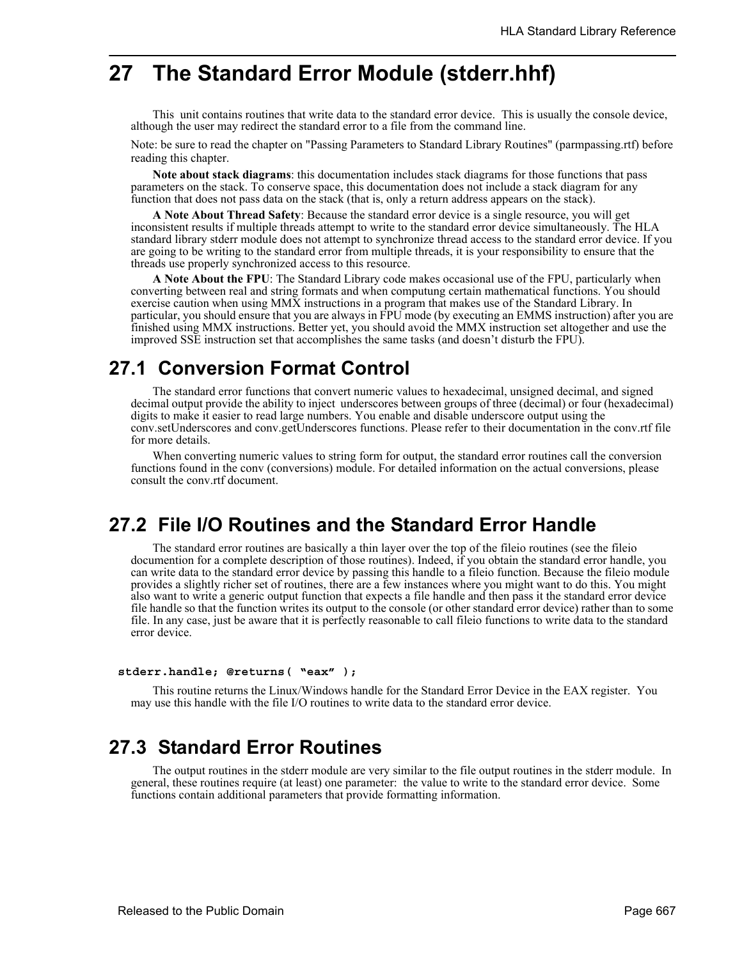# **27 The Standard Error Module (stderr.hhf)**

This unit contains routines that write data to the standard error device. This is usually the console device, although the user may redirect the standard error to a file from the command line.

Note: be sure to read the chapter on "Passing Parameters to Standard Library Routines" (parmpassing.rtf) before reading this chapter.

**Note about stack diagrams**: this documentation includes stack diagrams for those functions that pass parameters on the stack. To conserve space, this documentation does not include a stack diagram for any function that does not pass data on the stack (that is, only a return address appears on the stack).

**A Note About Thread Safety**: Because the standard error device is a single resource, you will get inconsistent results if multiple threads attempt to write to the standard error device simultaneously. The HLA standard library stderr module does not attempt to synchronize thread access to the standard error device. If you are going to be writing to the standard error from multiple threads, it is your responsibility to ensure that the threads use properly synchronized access to this resource.

**A Note About the FPU**: The Standard Library code makes occasional use of the FPU, particularly when converting between real and string formats and when computung certain mathematical functions. You should exercise caution when using MMX instructions in a program that makes use of the Standard Library. In particular, you should ensure that you are always in FPU mode (by executing an EMMS instruction) after you are finished using MMX instructions. Better yet, you should avoid the MMX instruction set altogether and use the improved SSE instruction set that accomplishes the same tasks (and doesn't disturb the FPU).

# **27.1 Conversion Format Control**

The standard error functions that convert numeric values to hexadecimal, unsigned decimal, and signed decimal output provide the ability to inject underscores between groups of three (decimal) or four (hexadecimal) digits to make it easier to read large numbers. You enable and disable underscore output using the conv.setUnderscores and conv.getUnderscores functions. Please refer to their documentation in the conv.rtf file for more details.

When converting numeric values to string form for output, the standard error routines call the conversion functions found in the conv (conversions) module. For detailed information on the actual conversions, please consult the conv.rtf document.

# **27.2 File I/O Routines and the Standard Error Handle**

The standard error routines are basically a thin layer over the top of the fileio routines (see the fileio documention for a complete description of those routines). Indeed, if you obtain the standard error handle, you can write data to the standard error device by passing this handle to a fileio function. Because the fileio module provides a slightly richer set of routines, there are a few instances where you might want to do this. You might also want to write a generic output function that expects a file handle and then pass it the standard error device file handle so that the function writes its output to the console (or other standard error device) rather than to some file. In any case, just be aware that it is perfectly reasonable to call fileio functions to write data to the standard error device.

#### **stderr.handle; @returns( "eax" );**

This routine returns the Linux/Windows handle for the Standard Error Device in the EAX register. You may use this handle with the file I/O routines to write data to the standard error device.

# **27.3 Standard Error Routines**

The output routines in the stderr module are very similar to the file output routines in the stderr module. In general, these routines require (at least) one parameter: the value to write to the standard error device. Some functions contain additional parameters that provide formatting information.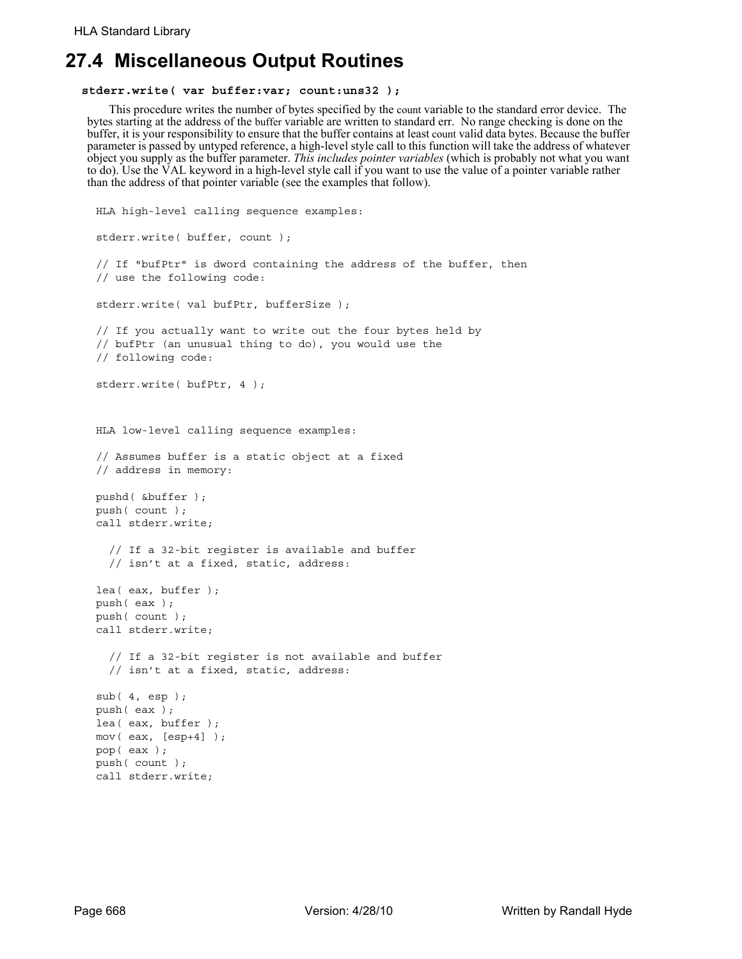# **27.4 Miscellaneous Output Routines**

#### **stderr.write( var buffer:var; count:uns32 );**

This procedure writes the number of bytes specified by the count variable to the standard error device. The bytes starting at the address of the buffer variable are written to standard err. No range checking is done on the buffer, it is your responsibility to ensure that the buffer contains at least count valid data bytes. Because the buffer parameter is passed by untyped reference, a high-level style call to this function will take the address of whatever object you supply as the buffer parameter. *This includes pointer variables* (which is probably not what you want to do). Use the VAL keyword in a high-level style call if you want to use the value of a pointer variable rather than the address of that pointer variable (see the examples that follow).

```
HLA high-level calling sequence examples:
stderr.write( buffer, count );
// If "bufPtr" is dword containing the address of the buffer, then
// use the following code:
stderr.write( val bufPtr, bufferSize );
// If you actually want to write out the four bytes held by
// bufPtr (an unusual thing to do), you would use the
// following code:
stderr.write( bufPtr, 4 );
HLA low-level calling sequence examples:
// Assumes buffer is a static object at a fixed
// address in memory:
pushd( &buffer );
push( count );
call stderr.write;
  // If a 32-bit register is available and buffer
  // isn't at a fixed, static, address:
lea( eax, buffer );
push( eax );
push( count );
call stderr.write;
  // If a 32-bit register is not available and buffer
  // isn't at a fixed, static, address:
sub( 4, esp );
push( eax );
lea( eax, buffer );
mov( eax, [esp+4] );
pop( eax );
push( count );
call stderr.write;
```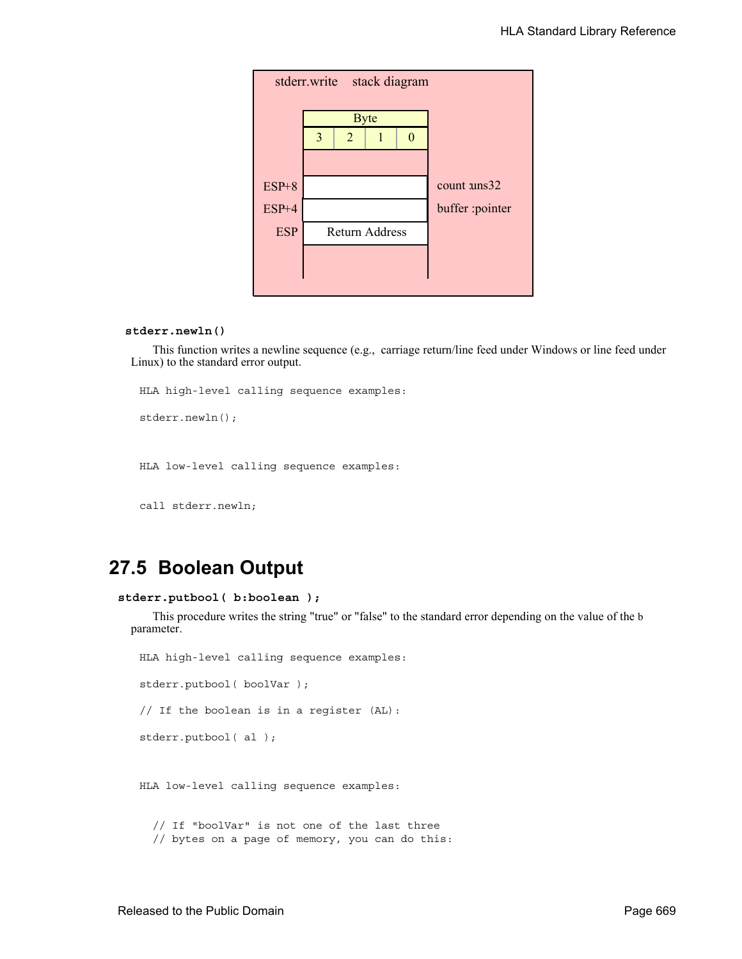|            | stderr.write stack diagram |                       |             |  |                      |  |  |  |  |
|------------|----------------------------|-----------------------|-------------|--|----------------------|--|--|--|--|
|            |                            |                       | <b>Byte</b> |  |                      |  |  |  |  |
|            | 3                          | 2                     |             |  |                      |  |  |  |  |
|            |                            |                       |             |  |                      |  |  |  |  |
| $ESP+8$    |                            |                       |             |  | count $\text{uns}32$ |  |  |  |  |
| $ESP+4$    |                            |                       |             |  | buffer :pointer      |  |  |  |  |
| <b>ESP</b> |                            | <b>Return Address</b> |             |  |                      |  |  |  |  |
|            |                            |                       |             |  |                      |  |  |  |  |
|            |                            |                       |             |  |                      |  |  |  |  |

### **stderr.newln()**

This function writes a newline sequence (e.g., carriage return/line feed under Windows or line feed under Linux) to the standard error output.

HLA high-level calling sequence examples:

stderr.newln();

HLA low-level calling sequence examples:

call stderr.newln;

# **27.5 Boolean Output**

```
stderr.putbool( b:boolean );
```
This procedure writes the string "true" or "false" to the standard error depending on the value of the b parameter.

stderr.putbool( boolVar ); // If the boolean is in a register (AL): stderr.putbool( al ); HLA low-level calling sequence examples: // If "boolVar" is not one of the last three // bytes on a page of memory, you can do this:

HLA high-level calling sequence examples: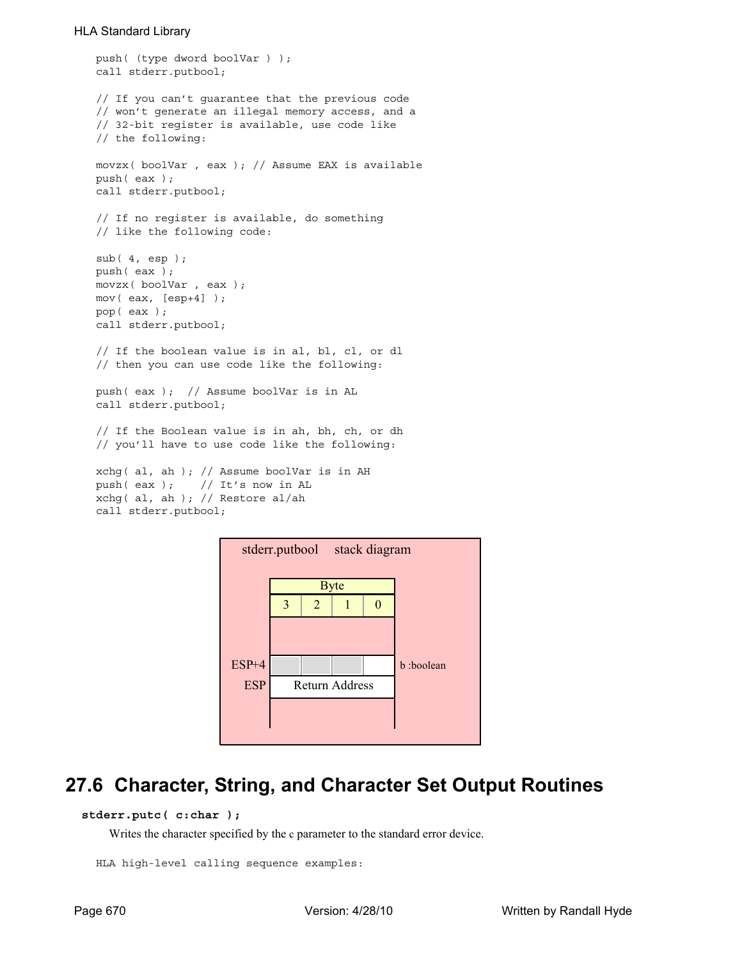```
push( (type dword boolVar ) );
call stderr.putbool;
// If you can't guarantee that the previous code
// won't generate an illegal memory access, and a
// 32-bit register is available, use code like
// the following:
movzx( boolVar , eax ); // Assume EAX is available
push( eax );
call stderr.putbool;
// If no register is available, do something
// like the following code:
sub( 4, esp );
push( eax );
movzx( boolVar , eax );
mov( eax, [esp+4] );
pop( eax );
call stderr.putbool;
// If the boolean value is in al, bl, cl, or dl
// then you can use code like the following:
push( eax ); // Assume boolVar is in AL
call stderr.putbool;
// If the Boolean value is in ah, bh, ch, or dh
// you'll have to use code like the following:
xchg( al, ah ); // Assume boolVar is in AH
push( eax ); // It's now in AL
xchg( al, ah ); // Restore al/ah
call stderr.putbool;
```


# **27.6 Character, String, and Character Set Output Routines**

# **stderr.putc( c:char );**

Writes the character specified by the c parameter to the standard error device.

```
HLA high-level calling sequence examples:
```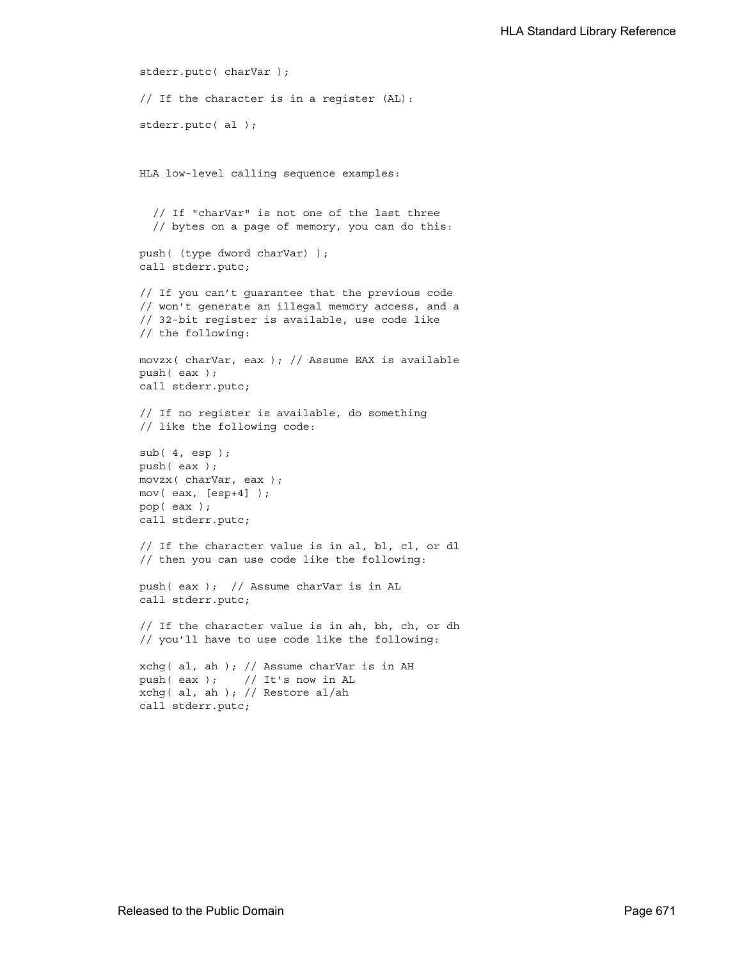```
stderr.putc( charVar );
// If the character is in a register (AL):
stderr.putc( al );
HLA low-level calling sequence examples:
  // If "charVar" is not one of the last three
  // bytes on a page of memory, you can do this:
push( (type dword charVar) );
call stderr.putc;
// If you can't guarantee that the previous code
// won't generate an illegal memory access, and a
// 32-bit register is available, use code like
// the following:
movzx( charVar, eax ); // Assume EAX is available
push( eax );
call stderr.putc;
// If no register is available, do something
// like the following code:
sub( 4, esp );
push( eax );
movzx( charVar, eax );
mov( eax, [esp+4] );
pop( eax );
call stderr.putc;
// If the character value is in al, bl, cl, or dl
// then you can use code like the following:
push( eax ); // Assume charVar is in AL
call stderr.putc;
// If the character value is in ah, bh, ch, or dh
// you'll have to use code like the following:
xchg( al, ah ); // Assume charVar is in AH
push(eax ); // It's now in AL
xchg( al, ah ); // Restore al/ah
call stderr.putc;
```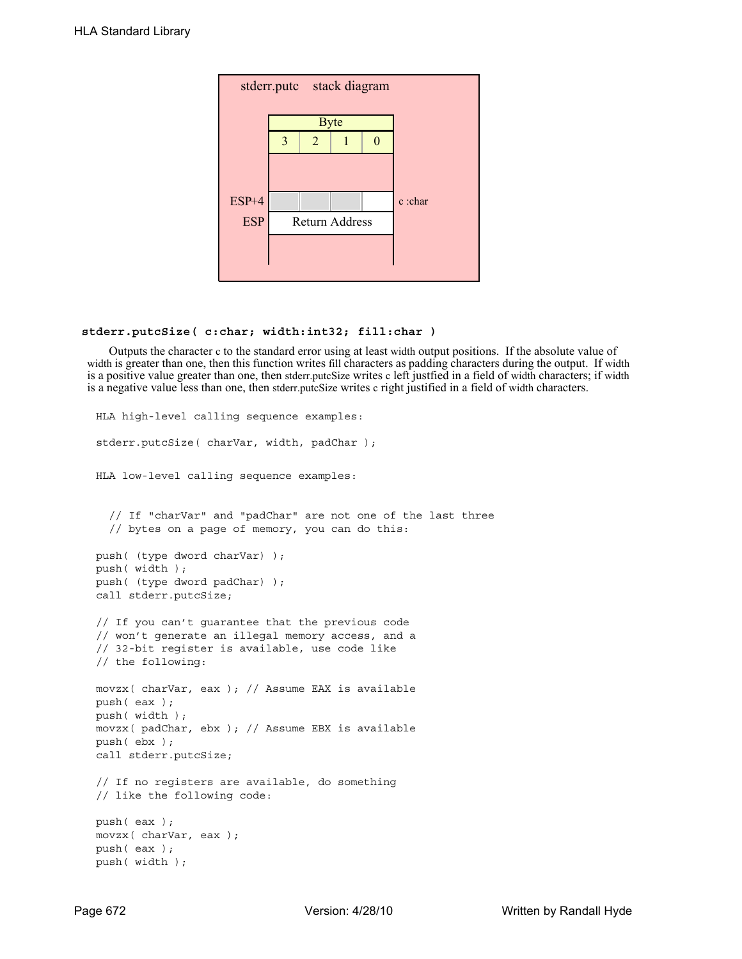|            | stderr.putc stack diagram |                |                       |  |         |
|------------|---------------------------|----------------|-----------------------|--|---------|
|            |                           |                | <b>Byte</b>           |  |         |
|            | 3                         | $\overline{2}$ |                       |  |         |
|            |                           |                |                       |  |         |
| $ESP+4$    |                           |                |                       |  | c :char |
| <b>ESP</b> |                           |                | <b>Return Address</b> |  |         |
|            |                           |                |                       |  |         |
|            |                           |                |                       |  |         |

### **stderr.putcSize( c:char; width:int32; fill:char )**

Outputs the character c to the standard error using at least width output positions. If the absolute value of width is greater than one, then this function writes fill characters as padding characters during the output. If width is a positive value greater than one, then stderr.putcSize writes c left justfied in a field of width characters; if width is a negative value less than one, then stderr.putcSize writes c right justified in a field of width characters.

```
HLA high-level calling sequence examples:
stderr.putcSize( charVar, width, padChar );
HLA low-level calling sequence examples:
  // If "charVar" and "padChar" are not one of the last three
  // bytes on a page of memory, you can do this:
push( (type dword charVar) );
push( width );
push( (type dword padChar) );
call stderr.putcSize;
// If you can't guarantee that the previous code
// won't generate an illegal memory access, and a
// 32-bit register is available, use code like
// the following:
movzx( charVar, eax ); // Assume EAX is available
push( eax );
push( width );
movzx( padChar, ebx ); // Assume EBX is available
push( ebx );
call stderr.putcSize;
// If no registers are available, do something
// like the following code:
push( eax );
movzx( charVar, eax );
push( eax );
push( width );
```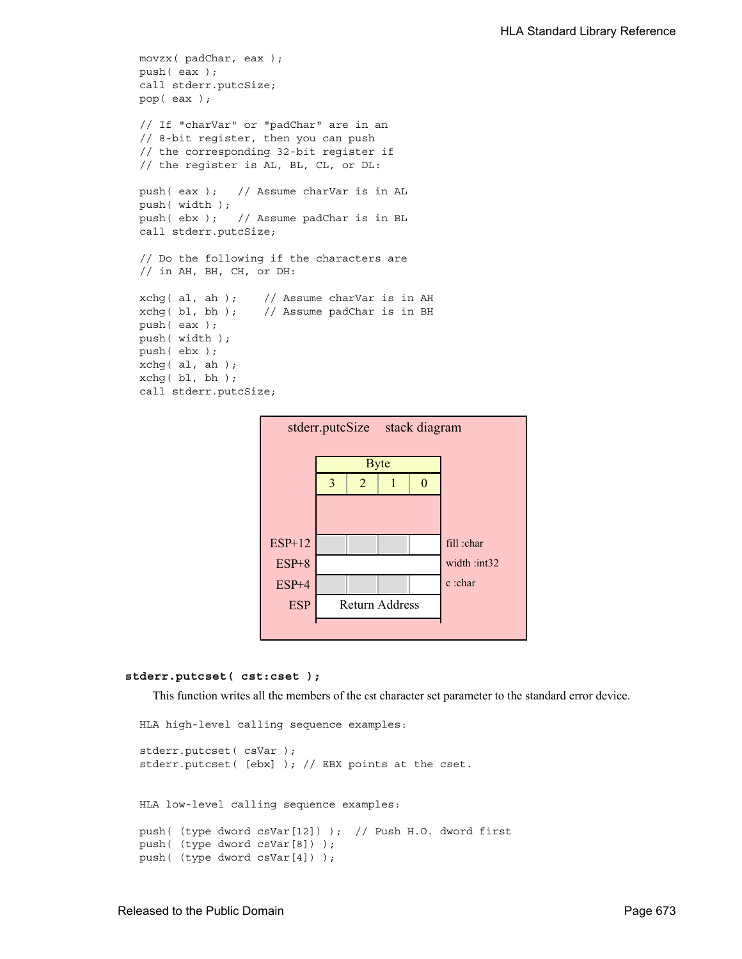```
movzx( padChar, eax );
push( eax );
call stderr.putcSize;
pop( eax );
// If "charVar" or "padChar" are in an
// 8-bit register, then you can push
// the corresponding 32-bit register if
// the register is AL, BL, CL, or DL:
push( eax ); // Assume charVar is in AL
push( width );
push( ebx ); // Assume padChar is in BL
call stderr.putcSize;
// Do the following if the characters are
// in AH, BH, CH, or DH:
xchg( al, ah ); // Assume charVar is in AH
xchg( bl, bh ); // Assume padChar is in BH
push( eax ); 
push( width );
push( ebx );
xchg( al, ah );
xchg( bl, bh );
call stderr.putcSize;
```


#### **stderr.putcset( cst:cset );**

This function writes all the members of the est character set parameter to the standard error device.

```
HLA high-level calling sequence examples:
stderr.putcset( csVar );
stderr.putcset( [ebx] ); // EBX points at the cset.
HLA low-level calling sequence examples:
push( (type dword csVar[12]) ); // Push H.O. dword first
push( (type dword csVar[8]) );
push( (type dword csVar[4]) );
```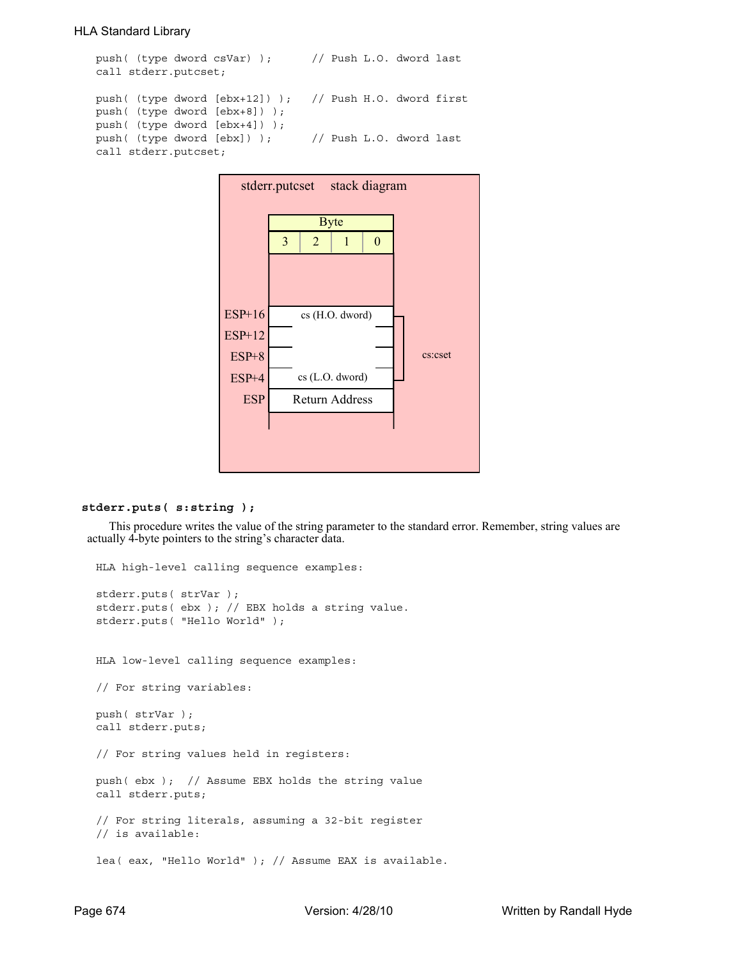```
push( (type dword csVar) ); // Push L.O. dword last
call stderr.putcset;
push( (type dword [ebx+12]) ); // Push H.O. dword first
push( (type dword [ebx+8]) );
push( (type dword [ebx+4]) );
push( (type dword [ebx]) ); // Push L.O. dword last
call stderr.putcset;
```


## **stderr.puts( s:string );**

This procedure writes the value of the string parameter to the standard error. Remember, string values are actually 4-byte pointers to the string's character data.

HLA high-level calling sequence examples: stderr.puts( strVar ); stderr.puts( ebx ); // EBX holds a string value. stderr.puts( "Hello World" ); HLA low-level calling sequence examples: // For string variables: push( strVar ); call stderr.puts; // For string values held in registers: push( ebx ); // Assume EBX holds the string value call stderr.puts; // For string literals, assuming a 32-bit register // is available: lea( eax, "Hello World" ); // Assume EAX is available.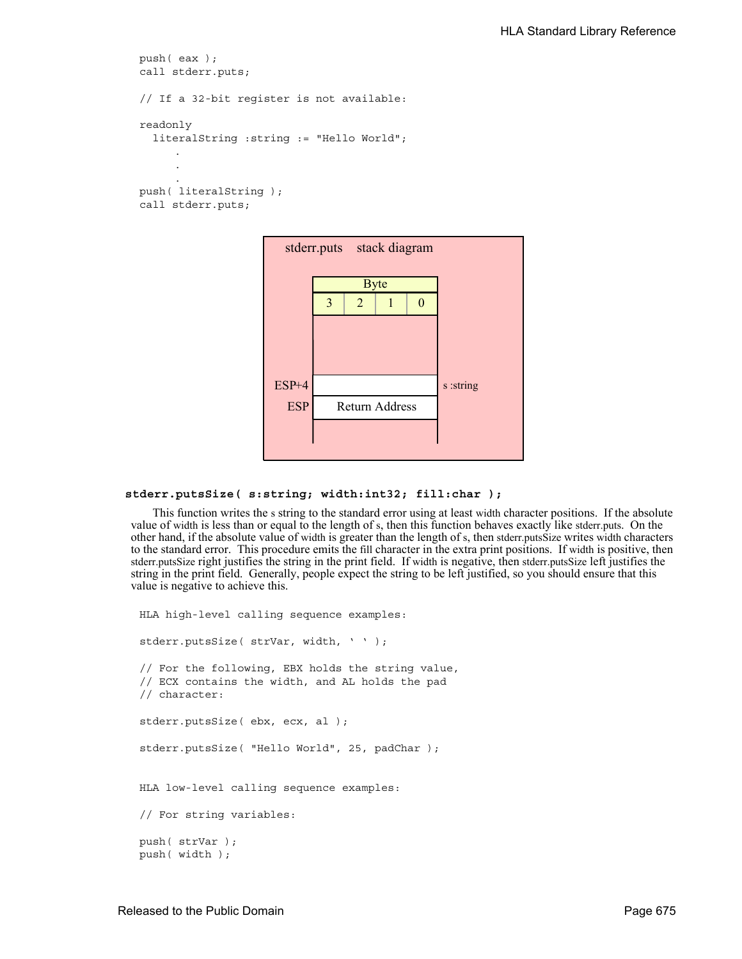```
push( eax );
call stderr.puts;
// If a 32-bit register is not available:
readonly
  literalString :string := "Hello World";
     .
     .
     .
push( literalString );
call stderr.puts;
```


### **stderr.putsSize( s:string; width:int32; fill:char );**

This function writes the s string to the standard error using at least width character positions. If the absolute value of width is less than or equal to the length of s, then this function behaves exactly like stderr.puts. On the other hand, if the absolute value of width is greater than the length of s, then stderr.putsSize writes width characters to the standard error. This procedure emits the fill character in the extra print positions. If width is positive, then stderr.putsSize right justifies the string in the print field. If width is negative, then stderr.putsSize left justifies the string in the print field. Generally, people expect the string to be left justified, so you should ensure that this value is negative to achieve this.

```
HLA high-level calling sequence examples:
stderr.putsSize( strVar, width, ' ' );
// For the following, EBX holds the string value,
// ECX contains the width, and AL holds the pad
// character:
stderr.putsSize( ebx, ecx, al );
stderr.putsSize( "Hello World", 25, padChar );
HLA low-level calling sequence examples:
// For string variables:
push( strVar );
push( width );
```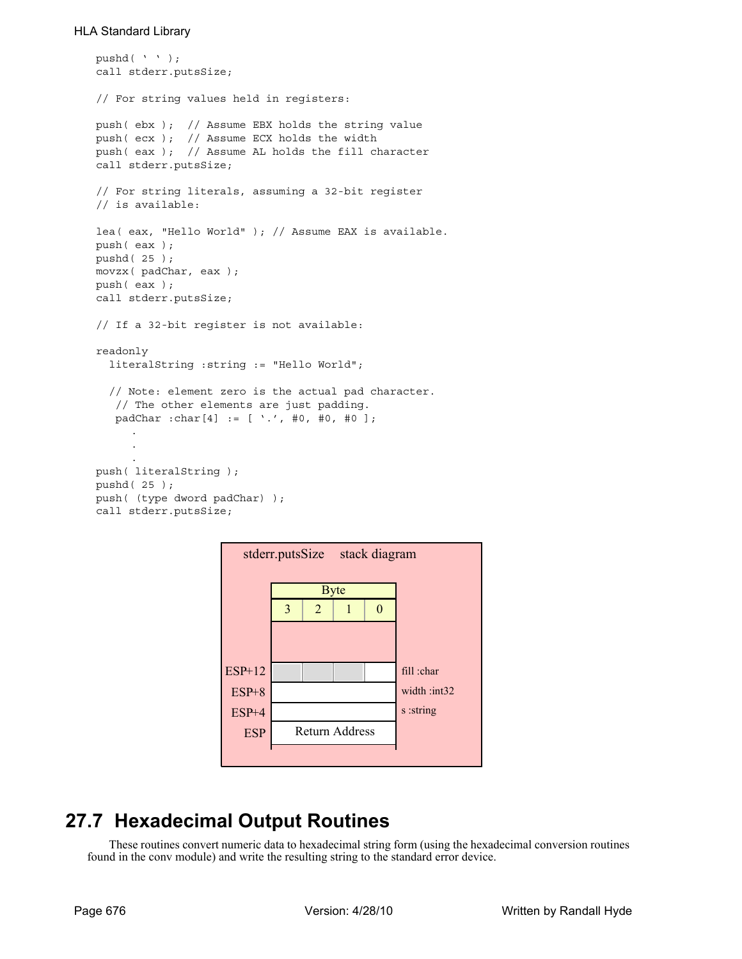```
pushd( ' ' );
call stderr.putsSize;
// For string values held in registers:
push( ebx ); // Assume EBX holds the string value
push( ecx ); // Assume ECX holds the width
push( eax ); // Assume AL holds the fill character
call stderr.putsSize;
// For string literals, assuming a 32-bit register
// is available:
lea( eax, "Hello World" ); // Assume EAX is available.
push( eax );
pushd( 25 );
movzx( padChar, eax );
push( eax );
call stderr.putsSize;
// If a 32-bit register is not available:
readonly
  literalString :string := "Hello World";
  // Note: element zero is the actual pad character.
    // The other elements are just padding.
    padChar :char[4] := [ '.', #0, #0, #0 ];
     .
     .
     .
push( literalString );
pushd( 25 );
push( (type dword padChar) );
call stderr.putsSize;
```

| stderr.putsSize stack diagram |   |             |                       |  |             |  |
|-------------------------------|---|-------------|-----------------------|--|-------------|--|
|                               |   | <b>Byte</b> |                       |  |             |  |
|                               | 3 | 2           |                       |  |             |  |
|                               |   |             |                       |  |             |  |
|                               |   |             |                       |  |             |  |
| ESP+12                        |   |             |                       |  | fill :char  |  |
| $ESP+8$                       |   |             |                       |  | width:int32 |  |
| $ESP+4$                       |   |             |                       |  | s :string   |  |
| <b>ESP</b>                    |   |             | <b>Return Address</b> |  |             |  |
|                               |   |             |                       |  |             |  |

# **27.7 Hexadecimal Output Routines**

These routines convert numeric data to hexadecimal string form (using the hexadecimal conversion routines found in the conv module) and write the resulting string to the standard error device.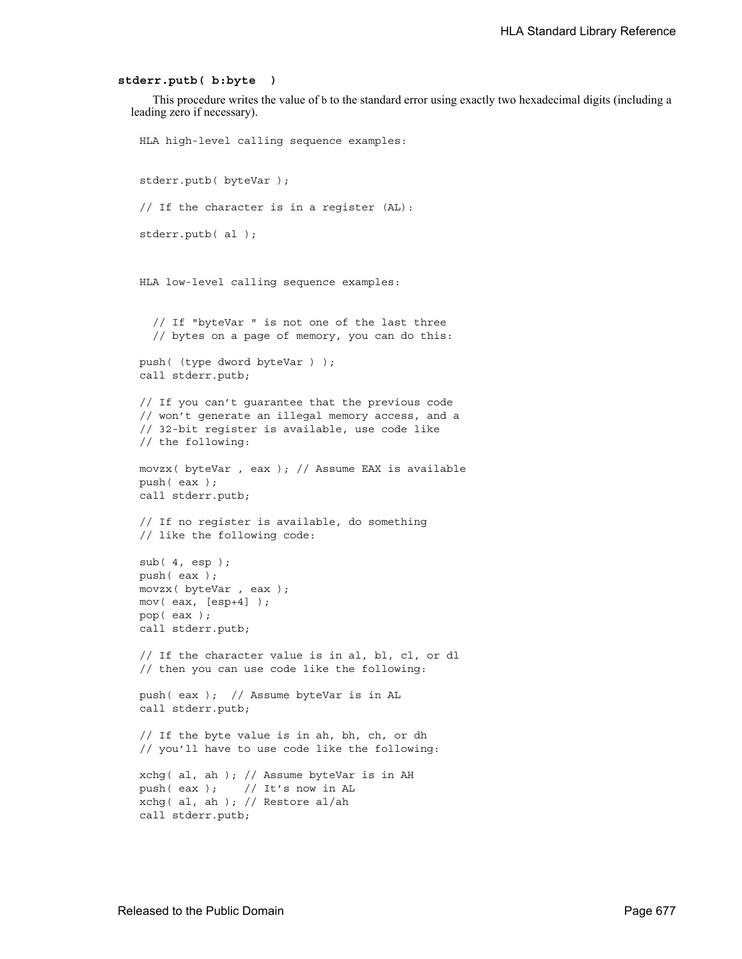#### **stderr.putb( b:byte )**

This procedure writes the value of b to the standard error using exactly two hexadecimal digits (including a leading zero if necessary).

```
HLA high-level calling sequence examples:
stderr.putb( byteVar );
// If the character is in a register (AL):
stderr.putb( al );
HLA low-level calling sequence examples:
  // If "byteVar " is not one of the last three
  // bytes on a page of memory, you can do this:
push( (type dword byteVar ) );
call stderr.putb;
// If you can't guarantee that the previous code
// won't generate an illegal memory access, and a
// 32-bit register is available, use code like
// the following:
movzx( byteVar , eax ); // Assume EAX is available
push( eax );
call stderr.putb;
// If no register is available, do something
// like the following code:
sub(4, esp);push( eax );
movzx( byteVar , eax );
mov( eax, [esp+4] );
pop( eax );
call stderr.putb;
// If the character value is in al, bl, cl, or dl
// then you can use code like the following:
push( eax ); // Assume byteVar is in AL
call stderr.putb;
// If the byte value is in ah, bh, ch, or dh
// you'll have to use code like the following:
xchg( al, ah ); // Assume byteVar is in AH
push( eax ); // It's now in AL
xchg( al, ah ); // Restore al/ah
call stderr.putb;
```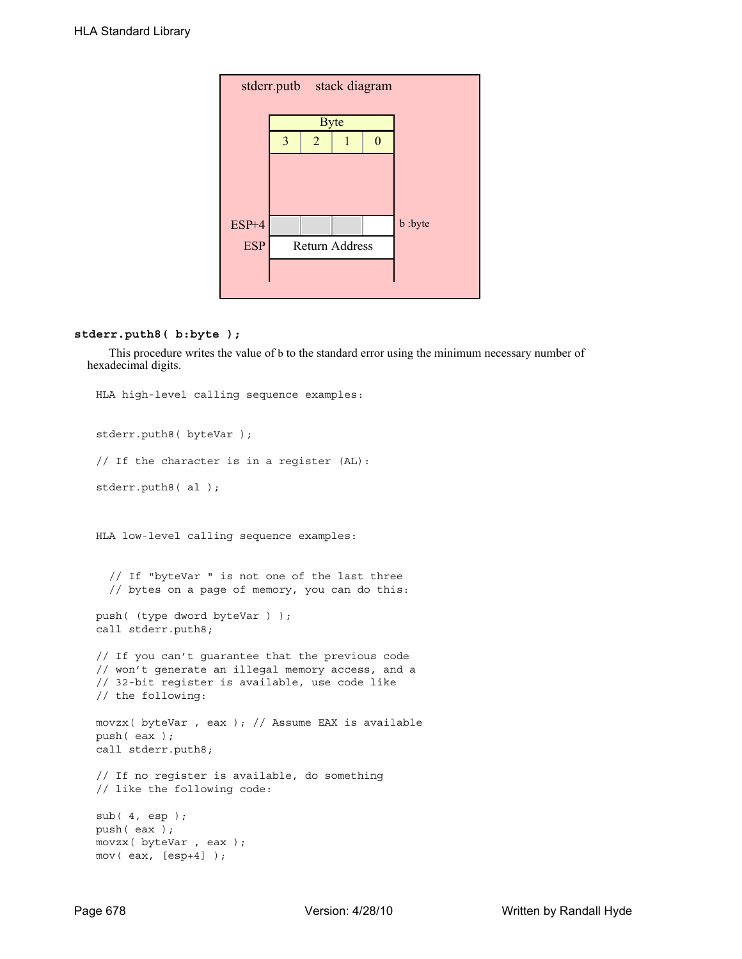| stderr.putb stack diagram |   |                |                       |  |         |  |  |
|---------------------------|---|----------------|-----------------------|--|---------|--|--|
|                           |   | <b>Byte</b>    |                       |  |         |  |  |
|                           | 3 | $\overline{2}$ |                       |  |         |  |  |
|                           |   |                |                       |  |         |  |  |
|                           |   |                |                       |  |         |  |  |
| $ESP+4$                   |   |                |                       |  | b :byte |  |  |
| <b>ESP</b>                |   |                | <b>Return Address</b> |  |         |  |  |
|                           |   |                |                       |  |         |  |  |
|                           |   |                |                       |  |         |  |  |

## **stderr.puth8( b:byte );**

This procedure writes the value of b to the standard error using the minimum necessary number of hexadecimal digits.

```
HLA high-level calling sequence examples:
stderr.puth8( byteVar );
// If the character is in a register (AL):
stderr.puth8( al );
HLA low-level calling sequence examples:
  // If "byteVar " is not one of the last three
  // bytes on a page of memory, you can do this:
push( (type dword byteVar ) );
call stderr.puth8;
// If you can't guarantee that the previous code
// won't generate an illegal memory access, and a
// 32-bit register is available, use code like
// the following:
movzx( byteVar , eax ); // Assume EAX is available
push( eax );
call stderr.puth8;
// If no register is available, do something
// like the following code:
sub( 4, esp );
push( eax );
movzx( byteVar , eax );
mov( eax, [esp+4] );
```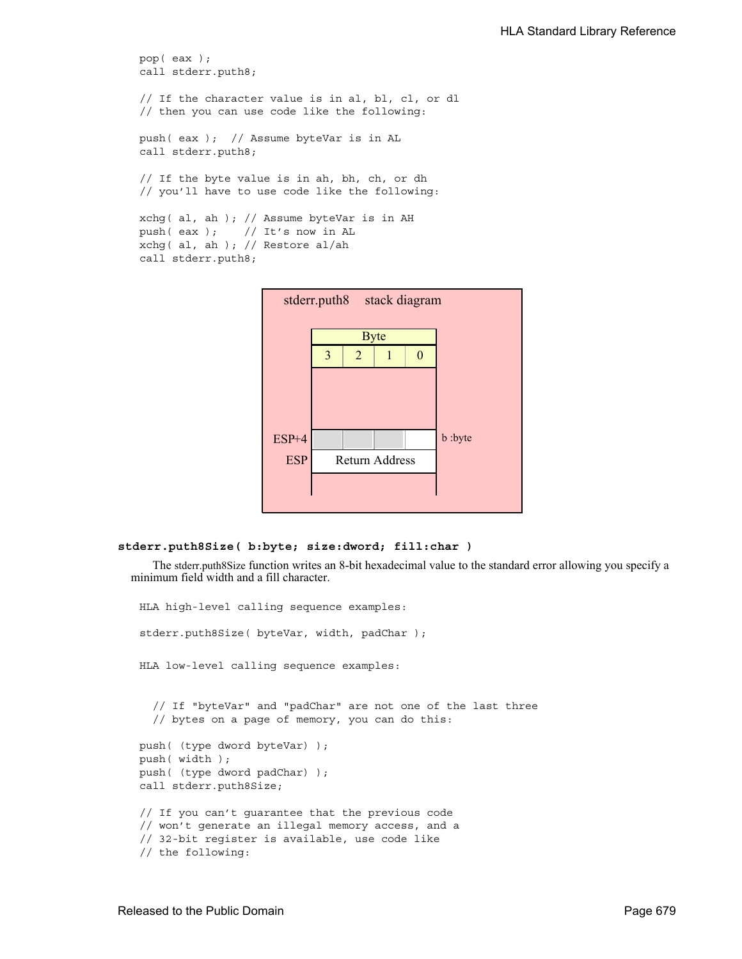```
pop( eax );
call stderr.puth8;
// If the character value is in al, bl, cl, or dl
// then you can use code like the following:
push( eax ); // Assume byteVar is in AL
call stderr.puth8;
// If the byte value is in ah, bh, ch, or dh
// you'll have to use code like the following:
xchg( al, ah ); // Assume byteVar is in AH
push( eax ); // It's now in AL
xchg( al, ah ); // Restore al/ah
call stderr.puth8;
```


```
stderr.puth8Size( b:byte; size:dword; fill:char )
```
The stderr.puth8Size function writes an 8-bit hexadecimal value to the standard error allowing you specify a minimum field width and a fill character.

```
HLA high-level calling sequence examples:
stderr.puth8Size( byteVar, width, padChar );
HLA low-level calling sequence examples:
  // If "byteVar" and "padChar" are not one of the last three
  // bytes on a page of memory, you can do this:
push( (type dword byteVar) );
push( width );
push( (type dword padChar) );
call stderr.puth8Size;
// If you can't guarantee that the previous code
// won't generate an illegal memory access, and a
// 32-bit register is available, use code like
// the following:
```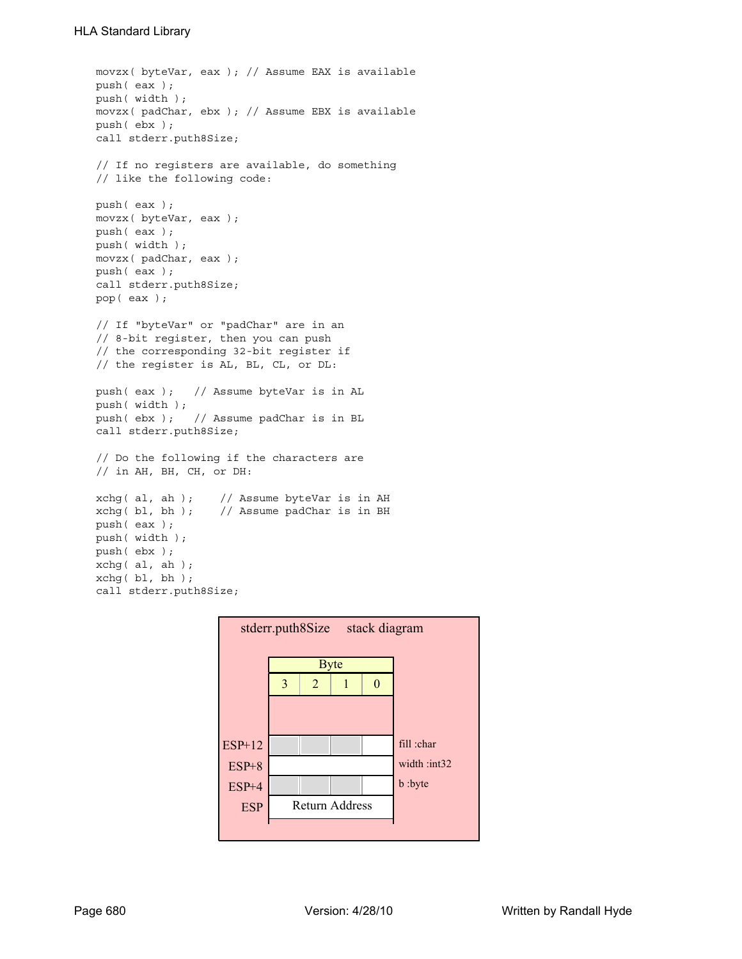```
movzx( byteVar, eax ); // Assume EAX is available
push( eax );
push( width );
movzx( padChar, ebx ); // Assume EBX is available
push( ebx );
call stderr.puth8Size;
// If no registers are available, do something
// like the following code:
push( eax );
movzx( byteVar, eax );
push( eax );
push( width );
movzx( padChar, eax );
push( eax );
call stderr.puth8Size;
pop( eax );
// If "byteVar" or "padChar" are in an
// 8-bit register, then you can push
// the corresponding 32-bit register if
// the register is AL, BL, CL, or DL:
push( eax ); // Assume byteVar is in AL
push( width );
push( ebx ); // Assume padChar is in BL
call stderr.puth8Size;
// Do the following if the characters are
// in AH, BH, CH, or DH:
xchg( al, ah ); // Assume byteVar is in AH
xchg( bl, bh ); // Assume padChar is in BH
push( eax ); 
push( width );
push( ebx );
xchg( al, ah );
xchg( bl, bh );
call stderr.puth8Size;
```
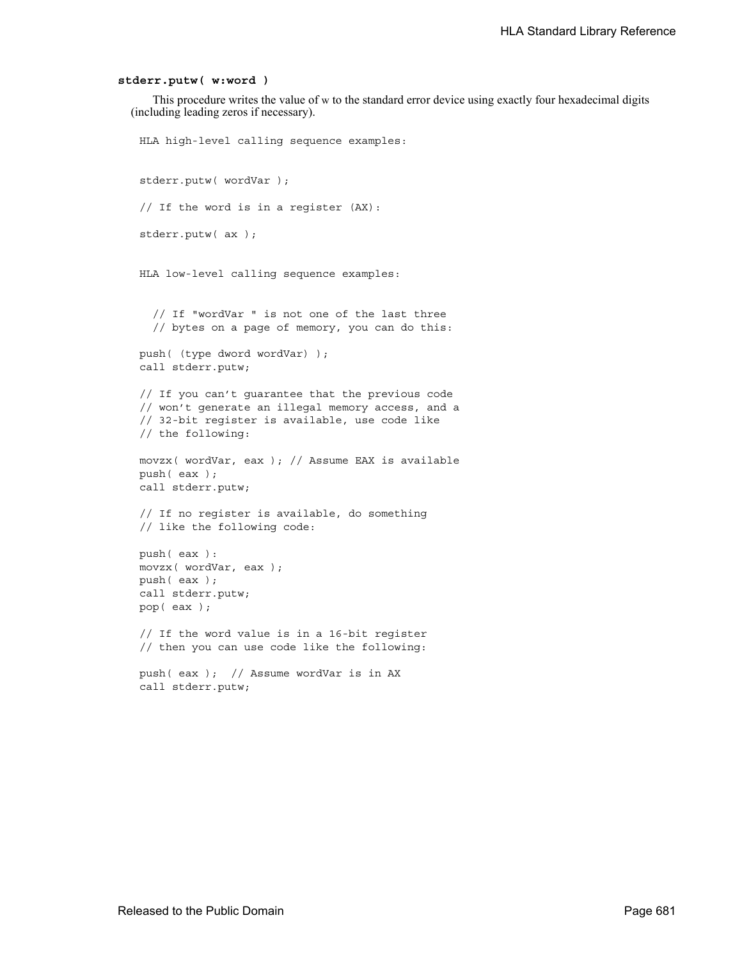#### **stderr.putw( w:word )**

This procedure writes the value of w to the standard error device using exactly four hexadecimal digits (including leading zeros if necessary).

```
HLA high-level calling sequence examples:
stderr.putw( wordVar );
// If the word is in a register (AX):
stderr.putw( ax );
HLA low-level calling sequence examples:
  // If "wordVar " is not one of the last three
  // bytes on a page of memory, you can do this:
push( (type dword wordVar) );
call stderr.putw;
// If you can't guarantee that the previous code
// won't generate an illegal memory access, and a
// 32-bit register is available, use code like
// the following:
movzx( wordVar, eax ); // Assume EAX is available
push( eax );
call stderr.putw;
// If no register is available, do something
// like the following code:
push( eax ):
movzx( wordVar, eax );
push( eax );
call stderr.putw;
pop( eax );
// If the word value is in a 16-bit register
// then you can use code like the following:
```
push( eax ); // Assume wordVar is in AX call stderr.putw;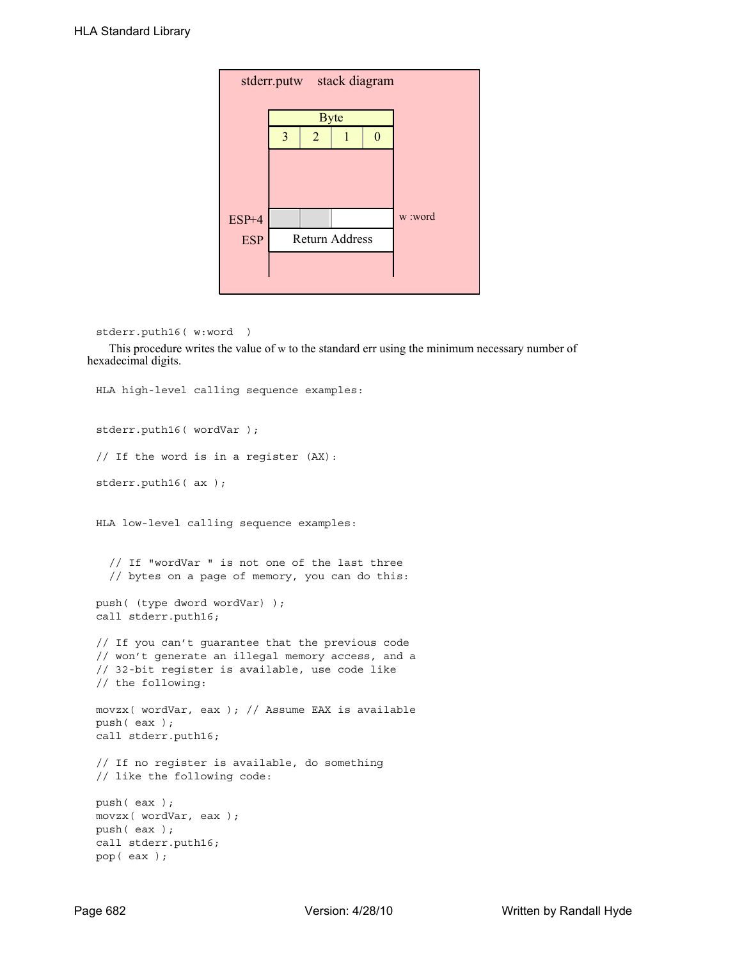| stderr.putw stack diagram |                |                |  |  |         |  |  |
|---------------------------|----------------|----------------|--|--|---------|--|--|
|                           |                |                |  |  |         |  |  |
|                           |                | <b>Byte</b>    |  |  |         |  |  |
|                           | $\overline{3}$ | $\overline{2}$ |  |  |         |  |  |
|                           |                |                |  |  |         |  |  |
| $ESP+4$                   |                |                |  |  | w :word |  |  |
| <b>ESP</b>                |                | Return Address |  |  |         |  |  |
|                           |                |                |  |  |         |  |  |

```
stderr.puth16( w:word )
```
This procedure writes the value of w to the standard err using the minimum necessary number of hexadecimal digits.

```
HLA high-level calling sequence examples:
stderr.puth16( wordVar );
// If the word is in a register (AX):
stderr.puth16( ax );
HLA low-level calling sequence examples:
  // If "wordVar " is not one of the last three
  // bytes on a page of memory, you can do this:
push( (type dword wordVar) );
call stderr.puth16;
// If you can't guarantee that the previous code
// won't generate an illegal memory access, and a
// 32-bit register is available, use code like
// the following:
movzx( wordVar, eax ); // Assume EAX is available
push( eax );
call stderr.puth16;
// If no register is available, do something
// like the following code:
push( eax );
movzx( wordVar, eax );
push( eax );
call stderr.puth16;
pop( eax );
```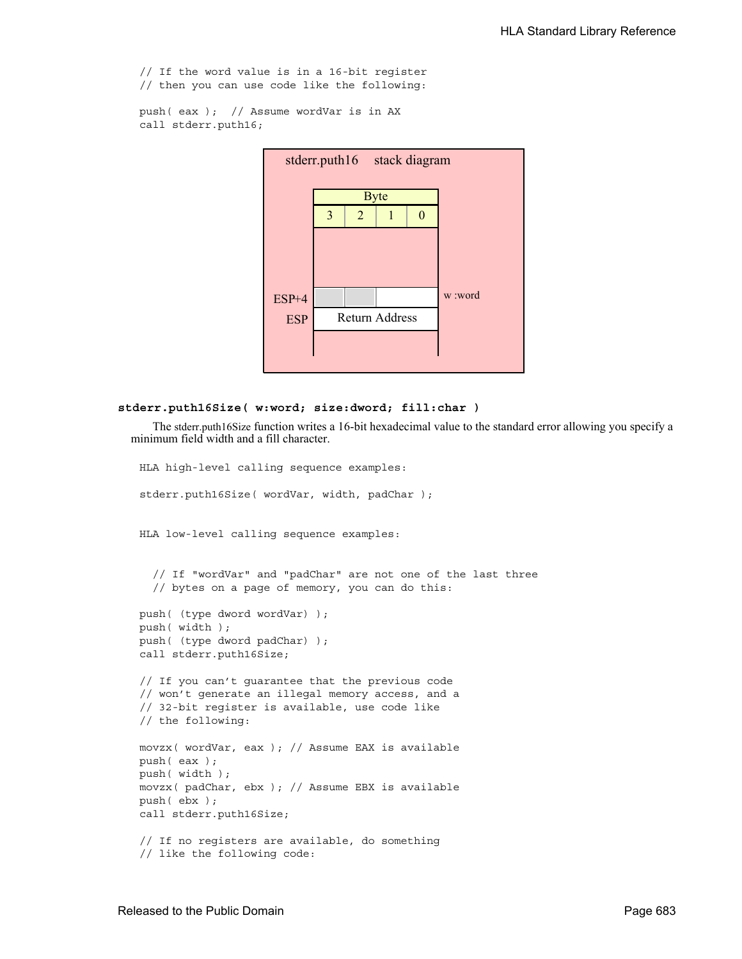// If the word value is in a 16-bit register // then you can use code like the following:

push( eax ); // Assume wordVar is in AX call stderr.puth16;



#### **stderr.puth16Size( w:word; size:dword; fill:char )**

The stderr.puth16Size function writes a 16-bit hexadecimal value to the standard error allowing you specify a minimum field width and a fill character.

```
HLA high-level calling sequence examples:
stderr.puth16Size( wordVar, width, padChar );
HLA low-level calling sequence examples:
  // If "wordVar" and "padChar" are not one of the last three
  // bytes on a page of memory, you can do this:
push( (type dword wordVar) );
push( width );
push( (type dword padChar) );
call stderr.puth16Size;
// If you can't guarantee that the previous code
// won't generate an illegal memory access, and a
// 32-bit register is available, use code like
// the following:
movzx( wordVar, eax ); // Assume EAX is available
push( eax );
push( width );
movzx( padChar, ebx ); // Assume EBX is available
push( ebx );
call stderr.puth16Size;
// If no registers are available, do something
// like the following code:
```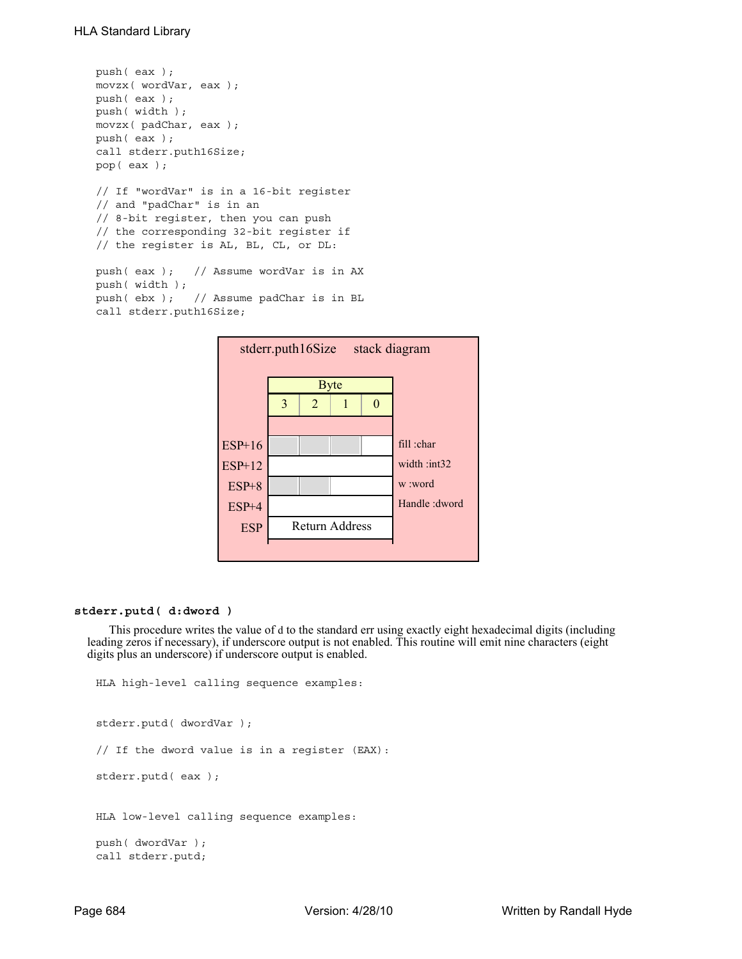```
push( eax );
movzx( wordVar, eax );
push( eax );
push( width );
movzx( padChar, eax );
push( eax );
call stderr.puth16Size;
pop( eax );
// If "wordVar" is in a 16-bit register
// and "padChar" is in an
// 8-bit register, then you can push
// the corresponding 32-bit register if
// the register is AL, BL, CL, or DL:
push( eax ); // Assume wordVar is in AX
push( width );
```

```
push( ebx ); // Assume padChar is in BL
call stderr.puth16Size;
```


### **stderr.putd( d:dword )**

This procedure writes the value of d to the standard err using exactly eight hexadecimal digits (including leading zeros if necessary), if underscore output is not enabled. This routine will emit nine characters (eight digits plus an underscore) if underscore output is enabled.

```
HLA high-level calling sequence examples:
stderr.putd( dwordVar );
// If the dword value is in a register (EAX):
stderr.putd( eax );
HLA low-level calling sequence examples:
push( dwordVar );
call stderr.putd;
```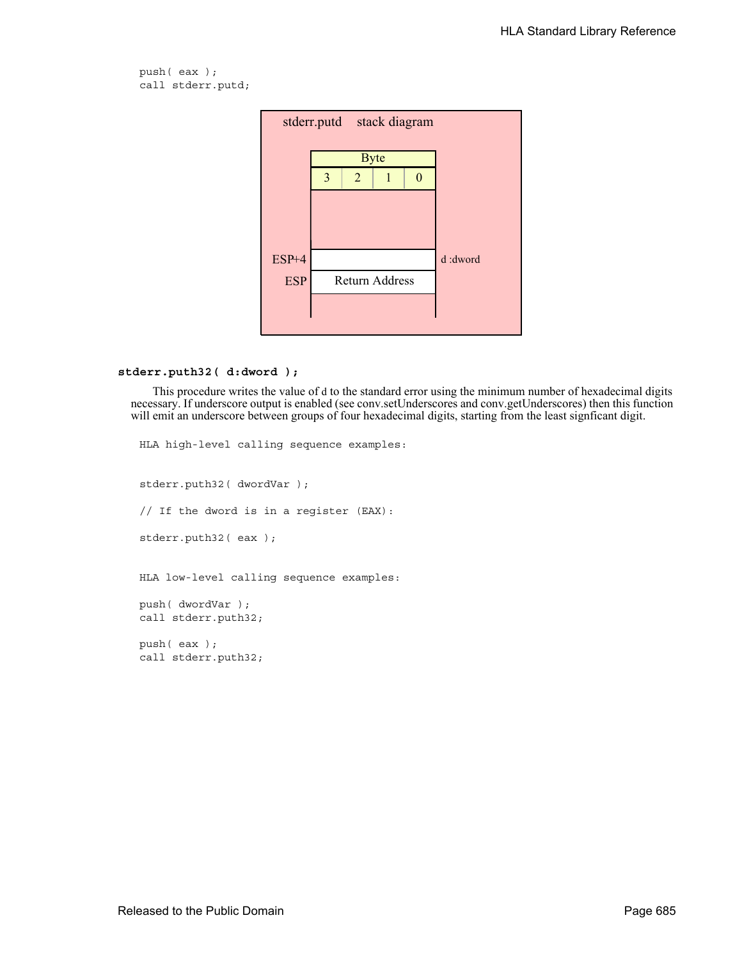push( eax ); call stderr.putd;



```
stderr.puth32( d:dword );
```
This procedure writes the value of d to the standard error using the minimum number of hexadecimal digits necessary. If underscore output is enabled (see conv.setUnderscores and conv.getUnderscores) then this function will emit an underscore between groups of four hexadecimal digits, starting from the least signficant digit.

HLA high-level calling sequence examples: stderr.puth32( dwordVar ); // If the dword is in a register (EAX): stderr.puth32( eax ); HLA low-level calling sequence examples: push( dwordVar ); call stderr.puth32; push( eax ); call stderr.puth32;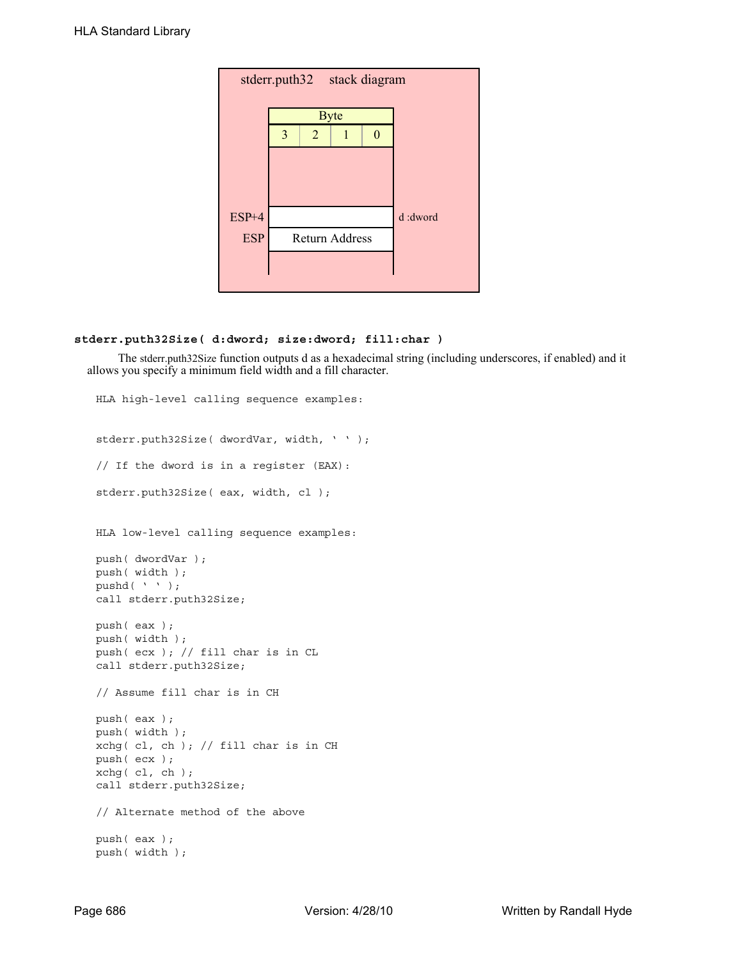| stderr.puth32 stack diagram |   |                |                       |  |          |  |  |  |  |
|-----------------------------|---|----------------|-----------------------|--|----------|--|--|--|--|
|                             |   |                |                       |  |          |  |  |  |  |
|                             |   |                | <b>Byte</b>           |  |          |  |  |  |  |
|                             | 3 | $\overline{2}$ | 1                     |  |          |  |  |  |  |
|                             |   |                |                       |  |          |  |  |  |  |
|                             |   |                |                       |  |          |  |  |  |  |
| ESP+4                       |   |                |                       |  | d :dword |  |  |  |  |
| <b>ESP</b>                  |   |                | <b>Return Address</b> |  |          |  |  |  |  |
|                             |   |                |                       |  |          |  |  |  |  |
|                             |   |                |                       |  |          |  |  |  |  |

# **stderr.puth32Size( d:dword; size:dword; fill:char )**

 The stderr.puth32Size function outputs d as a hexadecimal string (including underscores, if enabled) and it allows you specify a minimum field width and a fill character.

```
HLA high-level calling sequence examples:
stderr.puth32Size( dwordVar, width, ' ' );
// If the dword is in a register (EAX):
stderr.puth32Size( eax, width, cl );
HLA low-level calling sequence examples:
push( dwordVar );
push( width );
pushd( ' ' );
call stderr.puth32Size;
push( eax );
push( width );
push( ecx ); // fill char is in CL
call stderr.puth32Size;
// Assume fill char is in CH
push( eax );
push( width );
xchg( cl, ch ); // fill char is in CH
push( ecx ); 
xchg( cl, ch );
call stderr.puth32Size;
// Alternate method of the above
push( eax );
push( width );
```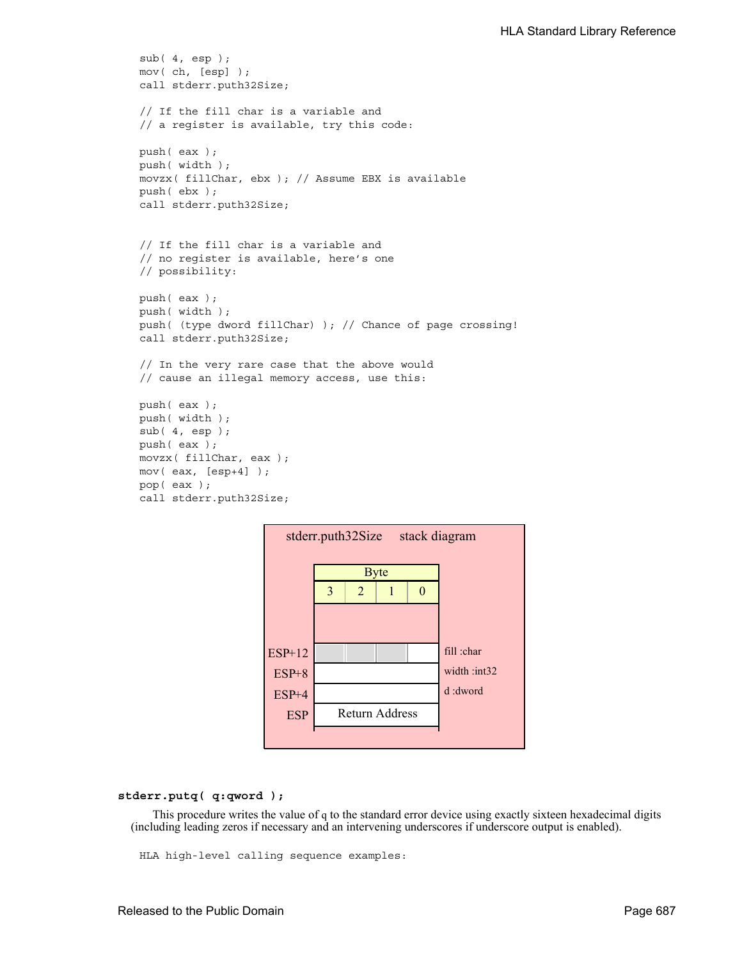```
sub( 4, esp );
mov( ch, [esp] );
call stderr.puth32Size;
// If the fill char is a variable and
// a register is available, try this code:
push( eax );
push( width );
movzx( fillChar, ebx ); // Assume EBX is available
push( ebx );
call stderr.puth32Size;
// If the fill char is a variable and
// no register is available, here's one
// possibility:
push( eax );
push( width );
push( (type dword fillChar) ); // Chance of page crossing!
call stderr.puth32Size;
// In the very rare case that the above would
// cause an illegal memory access, use this:
push( eax );
push( width );
sub(4, esp);push( eax );
movzx( fillChar, eax );
mov( eax, [esp+4] );
pop( eax );
call stderr.puth32Size;
```


**stderr.putq( q:qword );**

This procedure writes the value of q to the standard error device using exactly sixteen hexadecimal digits (including leading zeros if necessary and an intervening underscores if underscore output is enabled).

HLA high-level calling sequence examples: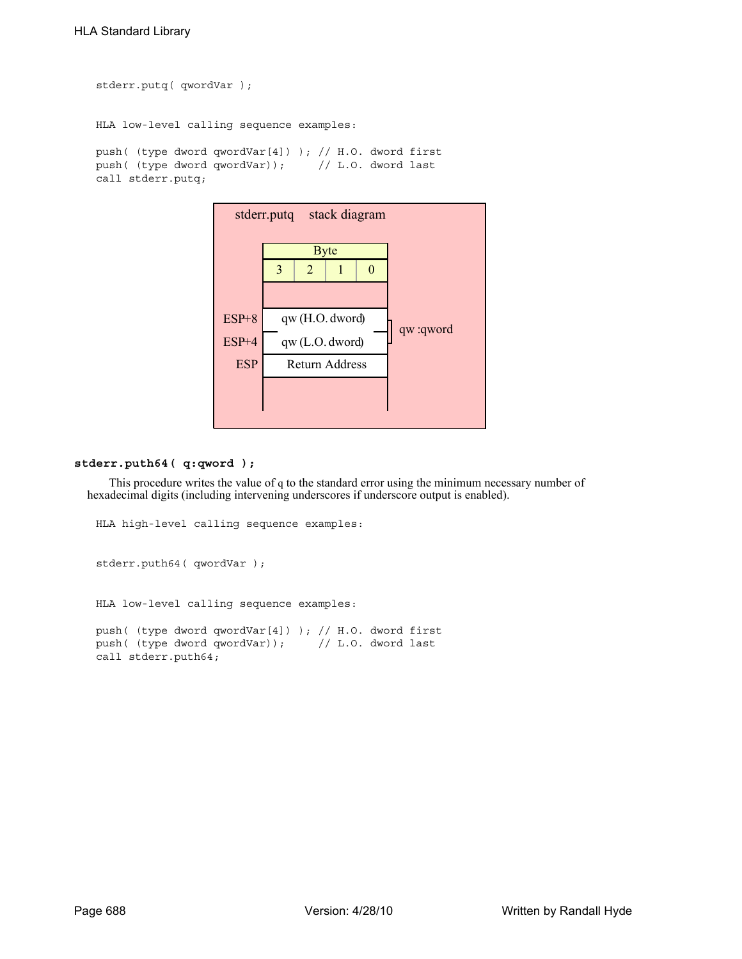```
stderr.putq( qwordVar );
HLA low-level calling sequence examples:
push( (type dword qwordVar[4]) ); // H.O. dword first
push( (type dword qwordVar)); // L.O. dword last
call stderr.putq;
```


## **stderr.puth64( q:qword );**

This procedure writes the value of q to the standard error using the minimum necessary number of hexadecimal digits (including intervening underscores if underscore output is enabled).

```
HLA high-level calling sequence examples:
stderr.puth64( qwordVar );
HLA low-level calling sequence examples:
push( (type dword qwordVar[4]) ); // H.O. dword first
push( (type dword qwordVar)); // L.O. dword last
call stderr.puth64;
```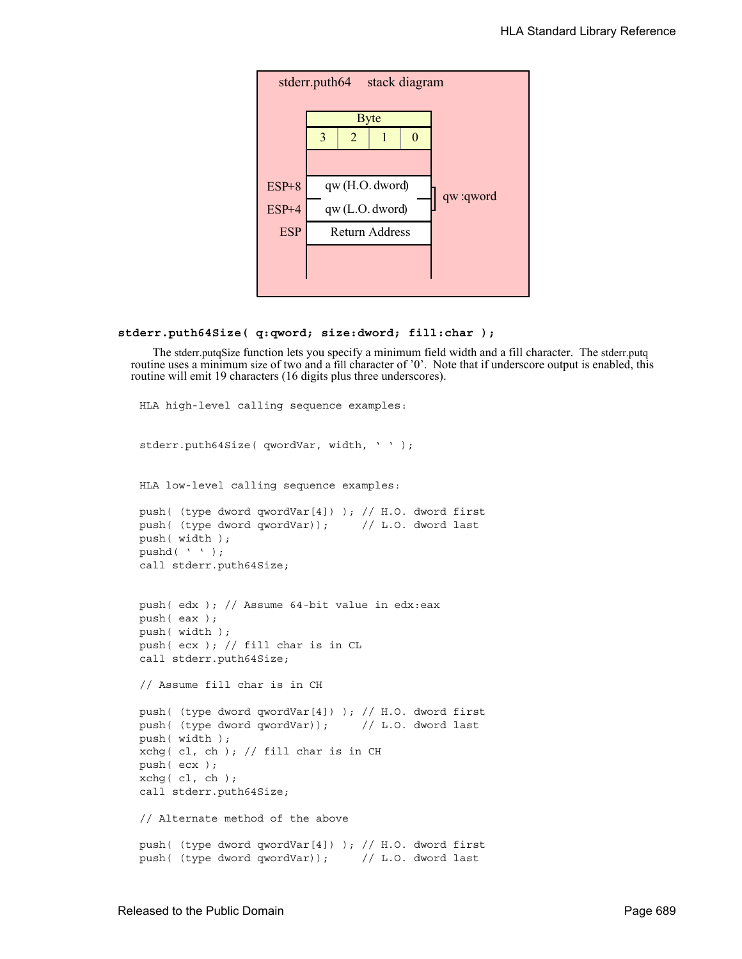

### **stderr.puth64Size( q:qword; size:dword; fill:char );**

The stderr.putqSize function lets you specify a minimum field width and a fill character. The stderr.putq routine uses a minimum size of two and a fill character of '0'. Note that if underscore output is enabled, this routine will emit 19 characters (16 digits plus three underscores).

```
HLA high-level calling sequence examples:
stderr.puth64Size( qwordVar, width, ' ' );
HLA low-level calling sequence examples:
push( (type dword qwordVar[4]) ); // H.O. dword first
push( (type dword qwordVar)); // L.O. dword last
push( width );
pushd( ' ' );
call stderr.puth64Size;
push( edx ); // Assume 64-bit value in edx:eax
push( eax );
push( width );
push( ecx ); // fill char is in CL
call stderr.puth64Size;
// Assume fill char is in CH
push( (type dword qwordVar[4]) ); // H.O. dword first
push( (type dword qwordVar)); // L.O. dword last
push( width );
xchg( cl, ch); // fill char is in CH
push( ecx ); 
xchg( cl, ch );
call stderr.puth64Size;
// Alternate method of the above
push( (type dword qwordVar[4]) ); // H.O. dword first
push( (type dword qwordVar)); // L.O. dword last
```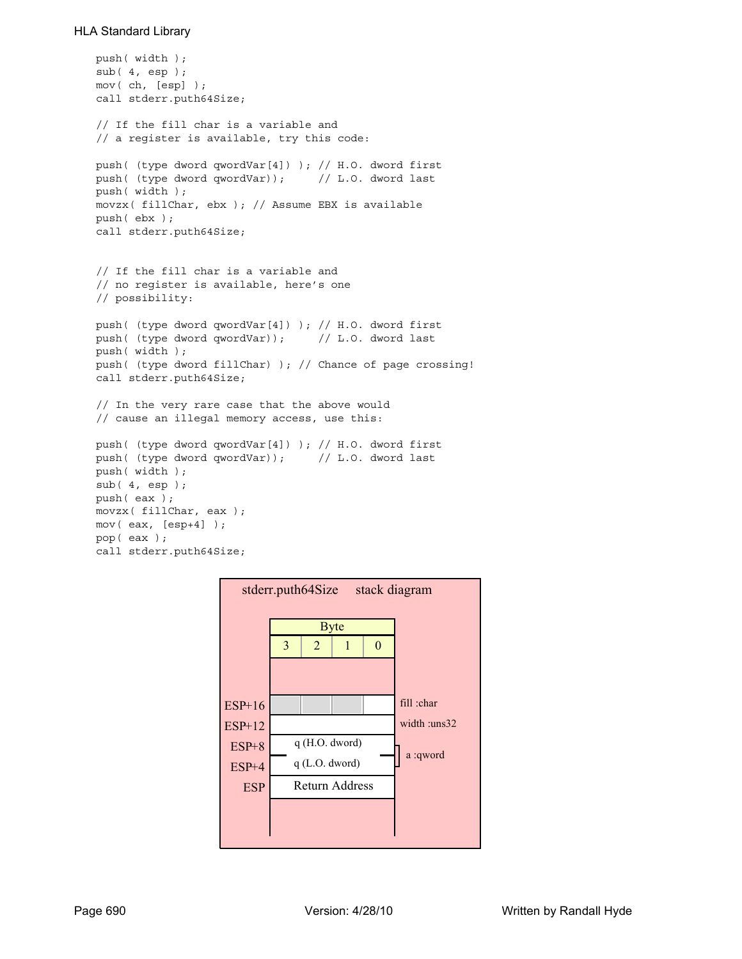```
push( width );
sub( 4, esp );
mov( ch, [esp] );
call stderr.puth64Size;
// If the fill char is a variable and
// a register is available, try this code:
push( (type dword qwordVar[4]) ); // H.O. dword first
push( (type dword qwordVar)); // L.O. dword last
push( width );
movzx( fillChar, ebx ); // Assume EBX is available
push( ebx );
call stderr.puth64Size;
// If the fill char is a variable and
// no register is available, here's one
// possibility:
push( (type dword qwordVar[4]) ); // H.O. dword first
push( (type dword qwordVar)); // L.O. dword last
push( width );
push( (type dword fillChar) ); // Chance of page crossing!
call stderr.puth64Size;
// In the very rare case that the above would
// cause an illegal memory access, use this:
push( (type dword qwordVar[4]) ); // H.O. dword first
push( (type dword qwordVar)); // L.O. dword last
push( width );
sub(4, esp);push( eax );
movzx( fillChar, eax );
mov( eax, [esp+4] );
pop( eax );
call stderr.puth64Size;
```
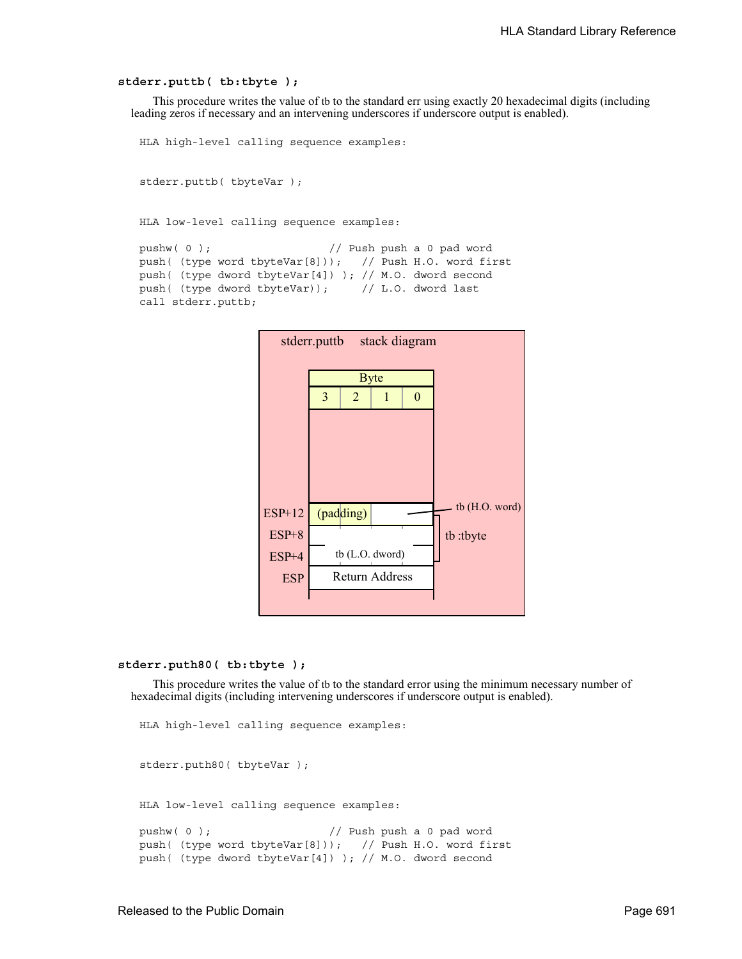#### **stderr.puttb( tb:tbyte );**

This procedure writes the value of tb to the standard err using exactly 20 hexadecimal digits (including leading zeros if necessary and an intervening underscores if underscore output is enabled).

```
HLA high-level calling sequence examples:
```
stderr.puttb( tbyteVar );

HLA low-level calling sequence examples:

```
pushw( 0 ); // Push push a 0 pad word
push( (type word tbyteVar[8])); // Push H.O. word first
push( (type dword tbyteVar[4]) ); // M.O. dword second
push( (type dword tbyteVar)); // L.O. dword last
call stderr.puttb;
```


### **stderr.puth80( tb:tbyte );**

This procedure writes the value of tb to the standard error using the minimum necessary number of hexadecimal digits (including intervening underscores if underscore output is enabled).

```
HLA high-level calling sequence examples:
stderr.puth80( tbyteVar );
HLA low-level calling sequence examples:
pushw( 0 ); \frac{1}{2} // Push push a 0 pad word
push( (type word tbyteVar[8])); // Push H.O. word first
push( (type dword tbyteVar[4]) ); // M.O. dword second
```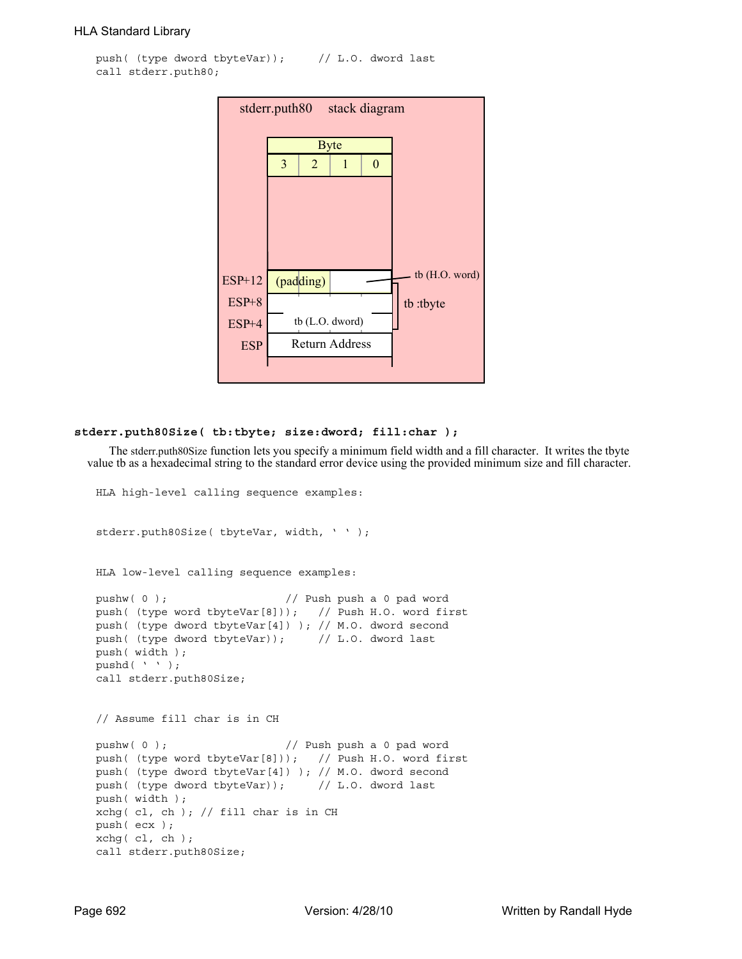```
push( (type dword tbyteVar)); // L.O. dword last
call stderr.puth80;
```

| stack diagram<br>stderr.puth80 |   |                       |   |          |                |  |  |  |
|--------------------------------|---|-----------------------|---|----------|----------------|--|--|--|
|                                |   | <b>Byte</b>           |   |          |                |  |  |  |
|                                | 3 | 2                     | 1 | $\theta$ |                |  |  |  |
|                                |   |                       |   |          |                |  |  |  |
|                                |   |                       |   |          |                |  |  |  |
|                                |   |                       |   |          |                |  |  |  |
|                                |   |                       |   |          |                |  |  |  |
|                                |   |                       |   |          | tb (H.O. word) |  |  |  |
| $ESP+12$                       |   | (padding)             |   |          |                |  |  |  |
| $ESP+8$                        |   |                       |   |          | tb:tbyte       |  |  |  |
| $ESP+4$                        |   | tb (L.O. dword)       |   |          |                |  |  |  |
| <b>ESP</b>                     |   | <b>Return Address</b> |   |          |                |  |  |  |
|                                |   |                       |   |          |                |  |  |  |

#### **stderr.puth80Size( tb:tbyte; size:dword; fill:char );**

The stderr.puth80Size function lets you specify a minimum field width and a fill character. It writes the tbyte value tb as a hexadecimal string to the standard error device using the provided minimum size and fill character.

```
HLA high-level calling sequence examples:
stderr.puth80Size( tbyteVar, width, ' ' );
HLA low-level calling sequence examples:
pushw(0); \frac{1}{2} // Push push a 0 pad word
push( (type word tbyteVar[8])); // Push H.O. word first
push( (type dword tbyteVar[4]) ); // M.O. dword second
push( (type dword tbyteVar)); // L.O. dword last
push( width );
pushd( ' ' );
call stderr.puth80Size;
// Assume fill char is in CH
pushw( 0 ); // Push push a 0 pad word
push( (type word tbyteVar[8])); // Push H.O. word first
push( (type dword tbyteVar[4]) ); // M.O. dword second
push( (type dword tbyteVar)); // L.O. dword last
push( width );
xchg( cl, ch ); // fill char is in CH
push( ecx ); 
xchg( cl, ch );
call stderr.puth80Size;
```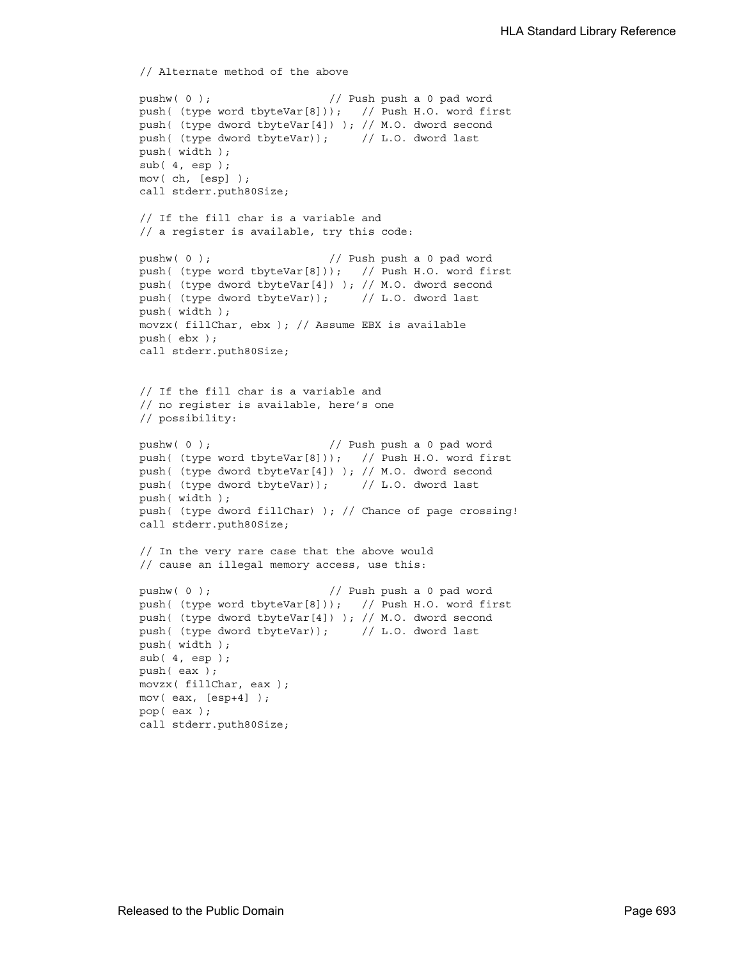```
// Alternate method of the above
pushw( 0 ); // Push push a 0 pad word
push( (type word tbyteVar[8])); // Push H.O. word first
push( (type dword tbyteVar[4]) ); // M.O. dword second
push( (type dword tbyteVar)); // L.O. dword last
push( width );
sub(4, esp);mov( ch, [esp] );
call stderr.puth80Size;
// If the fill char is a variable and
// a register is available, try this code:
pushw( 0 ); // Push push a 0 pad word
push( (type word tbyteVar[8])); // Push H.O. word first
push( (type dword tbyteVar[4]) ); // M.O. dword second
push( (type dword tbyteVar)); // L.O. dword last
push( width );
movzx( fillChar, ebx ); // Assume EBX is available
push( ebx );
call stderr.puth80Size;
// If the fill char is a variable and
// no register is available, here's one
// possibility:
pushw( 0 ); // Push push a 0 pad word
push( (type word tbyteVar[8])); // Push H.O. word first
push( (type dword tbyteVar[4]) ); // M.O. dword second
push( (type dword tbyteVar)); // L.O. dword last
push( width );
push( (type dword fillChar) ); // Chance of page crossing!
call stderr.puth80Size;
// In the very rare case that the above would
// cause an illegal memory access, use this:
pushw( 0 ); // Push push a 0 pad word
push( (type word tbyteVar[8])); // Push H.O. word first
push( (type dword tbyteVar[4]) ); // M.O. dword second
push( (type dword tbyteVar)); // L.O. dword last
push( width );
sub( 4, esp );
push( eax );
movzx( fillChar, eax );
mov( eax, [esp+4] );
pop( eax );
call stderr.puth80Size;
```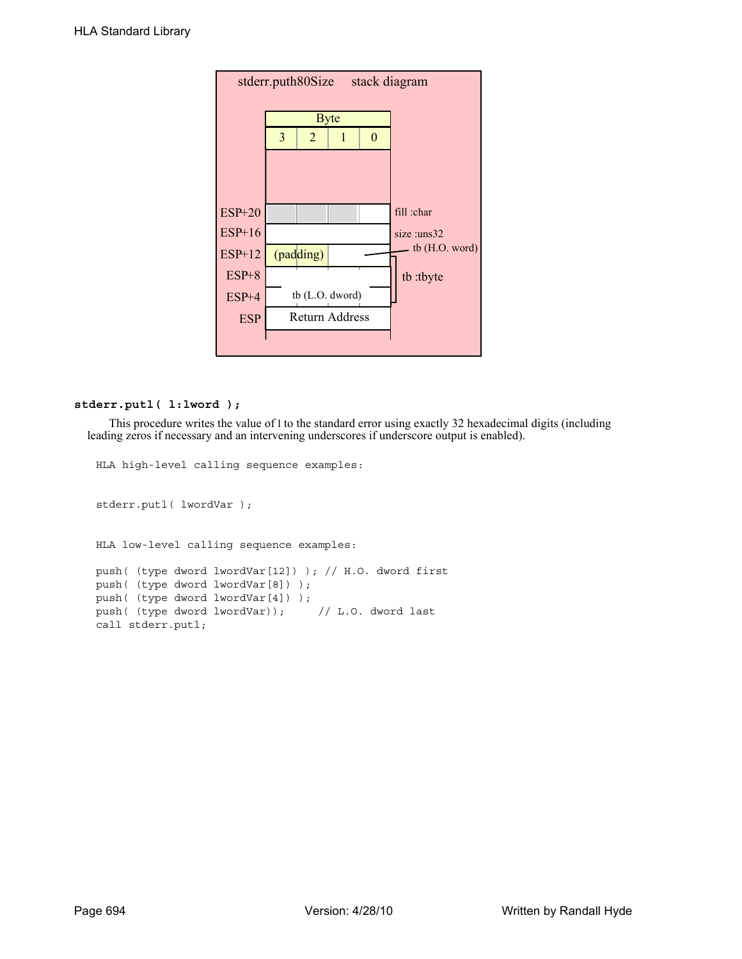| stderr.puth80Size | stack diagram |                |                 |          |                  |
|-------------------|---------------|----------------|-----------------|----------|------------------|
|                   |               |                | <b>Byte</b>     |          |                  |
|                   | 3             | $\overline{2}$ | 1               | $\theta$ |                  |
|                   |               |                |                 |          |                  |
|                   |               |                |                 |          |                  |
| <b>ESP+20</b>     |               |                |                 |          | fill :char       |
| $ESP+16$          |               |                |                 |          | size :uns32      |
| $ESP+12$          |               | (padding)      |                 |          | $tb$ (H.O. word) |
| $ESP+8$           |               |                |                 |          | tb:tbyte         |
| $ESP+4$           |               |                | tb (L.O. dword) |          |                  |
| <b>ESP</b>        |               |                | Return Address  |          |                  |
|                   |               |                |                 |          |                  |

### **stderr.putl( l:lword );**

This procedure writes the value of l to the standard error using exactly 32 hexadecimal digits (including leading zeros if necessary and an intervening underscores if underscore output is enabled).

```
HLA high-level calling sequence examples:
stderr.putl( lwordVar );
HLA low-level calling sequence examples:
push( (type dword lwordVar[12]) ); // H.O. dword first
push( (type dword lwordVar[8]) ); 
push( (type dword lwordVar[4]) );
push( (type dword lwordVar)); // L.O. dword last
call stderr.putl;
```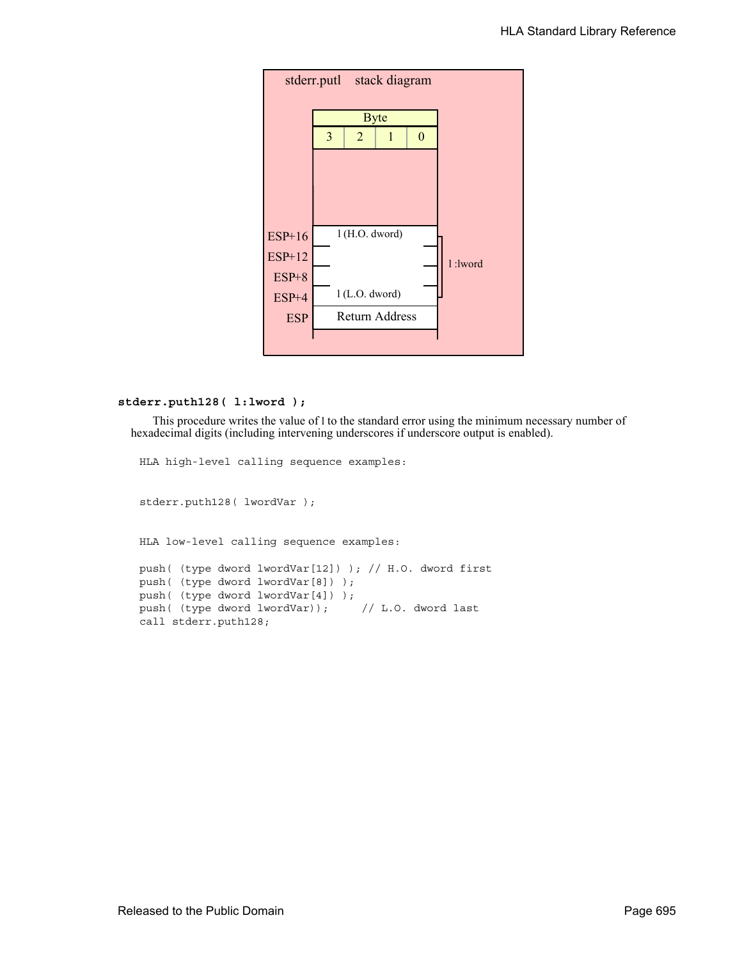

#### **stderr.puth128( l:lword );**

This procedure writes the value of l to the standard error using the minimum necessary number of hexadecimal digits (including intervening underscores if underscore output is enabled).

HLA high-level calling sequence examples:

stderr.puth128( lwordVar );

HLA low-level calling sequence examples:

```
push( (type dword lwordVar[12]) ); // H.O. dword first
push( (type dword lwordVar[8]) ); 
push( (type dword lwordVar[4]) );
push( (type dword lwordVar)); // L.O. dword last
call stderr.puth128;
```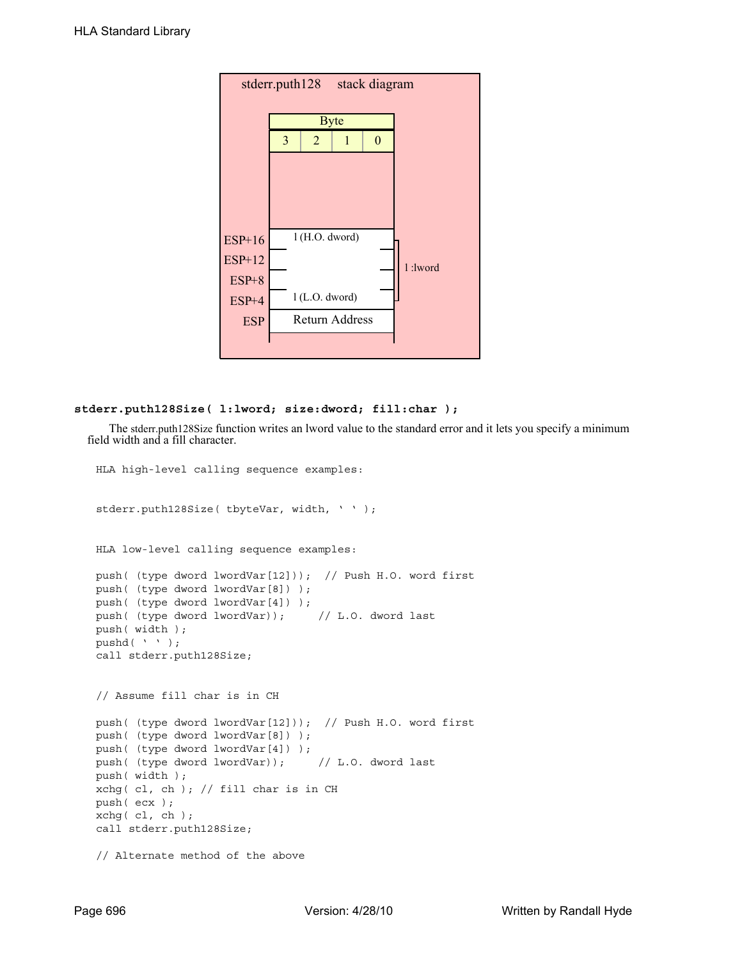

# **stderr.puth128Size( l:lword; size:dword; fill:char );**

The stderr.puth128Size function writes an lword value to the standard error and it lets you specify a minimum field width and a fill character.

```
HLA high-level calling sequence examples:
stderr.puth128Size( tbyteVar, width, ' ' );
HLA low-level calling sequence examples:
push( (type dword lwordVar[12])); // Push H.O. word first
push( (type dword lwordVar[8]) );
push( (type dword lwordVar[4]) );
push( (type dword lwordVar)); // L.O. dword last
push( width );
pushd(' ' );
call stderr.puth128Size;
// Assume fill char is in CH
push( (type dword lwordVar[12])); // Push H.O. word first
push( (type dword lwordVar[8]) );
push( (type dword lwordVar[4]) );
push( (type dword lwordVar)); // L.O. dword last
push( width );
xchg( cl, ch ); // fill char is in CH
push( ecx ); 
xchq( cl, ch );
call stderr.puth128Size;
// Alternate method of the above
```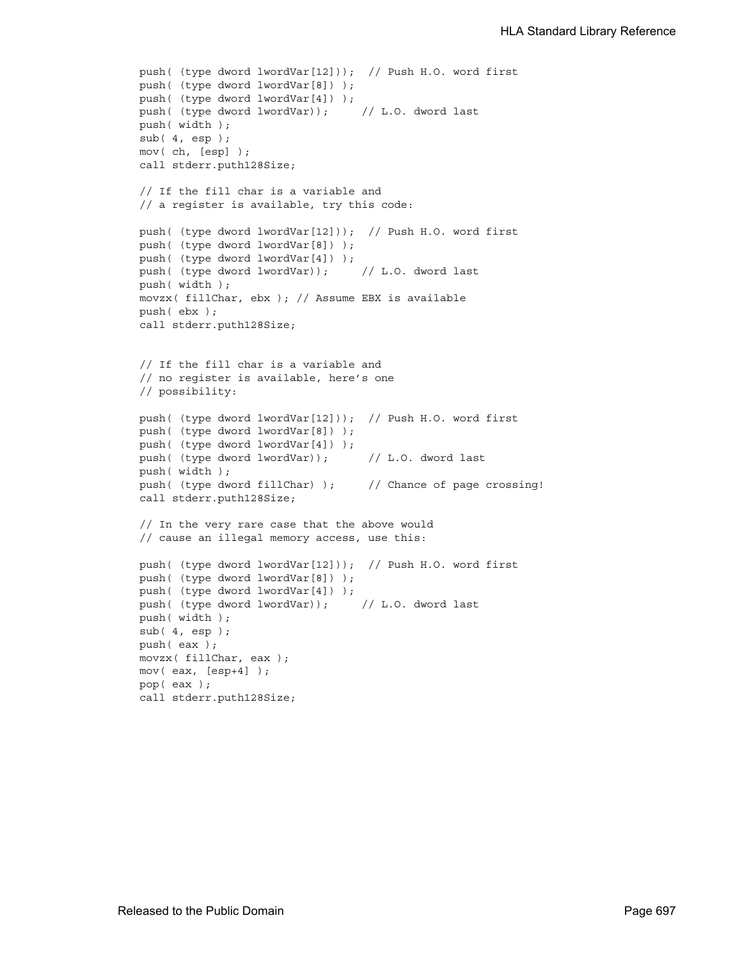```
push( (type dword lwordVar[12])); // Push H.O. word first
push( (type dword lwordVar[8]) );
push( (type dword lwordVar[4]) );
push( (type dword lwordVar)); // L.O. dword last
push( width );
sub( 4, esp );
mov( ch, [esp] );
call stderr.puth128Size;
// If the fill char is a variable and
// a register is available, try this code:
push( (type dword lwordVar[12])); // Push H.O. word first
push( (type dword lwordVar[8]) );
push( (type dword lwordVar[4]) );
push( (type dword lwordVar)); // L.O. dword last
push( width );
movzx( fillChar, ebx ); // Assume EBX is available
push( ebx );
call stderr.puth128Size;
// If the fill char is a variable and
// no register is available, here's one
// possibility:
push( (type dword lwordVar[12])); // Push H.O. word first
push( (type dword lwordVar[8]) );
push( (type dword lwordVar[4]) );
push( (type dword lwordVar)); // L.O. dword last
push( width );
push( (type dword fillChar) ); \qquad // Chance of page crossing!
call stderr.puth128Size;
// In the very rare case that the above would
// cause an illegal memory access, use this:
push( (type dword lwordVar[12])); // Push H.O. word first
push( (type dword lwordVar[8]) );
push( (type dword lwordVar[4]) );
push( (type dword lwordVar)); // L.O. dword last
push( width );
sub( 4, esp );
push( eax );
movzx( fillChar, eax );
mov( eax, [esp+4] );
pop( eax );
call stderr.puth128Size;
```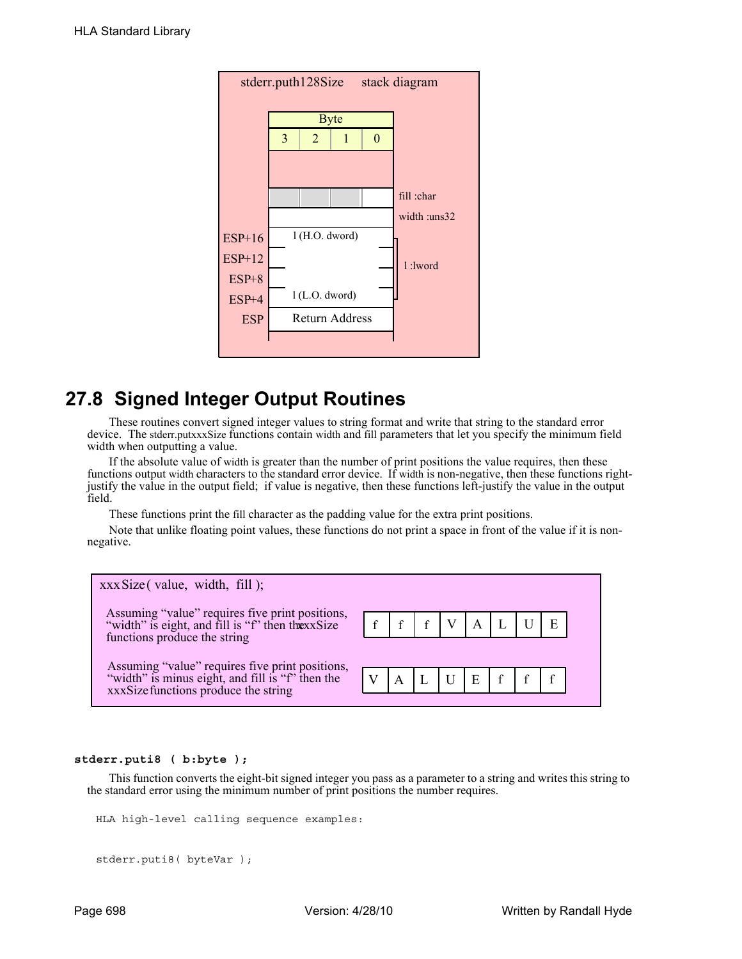

# **27.8 Signed Integer Output Routines**

These routines convert signed integer values to string format and write that string to the standard error device. The stderr.putxxxSize functions contain width and fill parameters that let you specify the minimum field width when outputting a value.

If the absolute value of width is greater than the number of print positions the value requires, then these functions output width characters to the standard error device. If width is non-negative, then these functions rightjustify the value in the output field; if value is negative, then these functions left-justify the value in the output field.

These functions print the fill character as the padding value for the extra print positions.

Note that unlike floating point values, these functions do not print a space in front of the value if it is nonnegative.



# **stderr.puti8 ( b:byte );**

This function converts the eight-bit signed integer you pass as a parameter to a string and writes this string to the standard error using the minimum number of print positions the number requires.

```
HLA high-level calling sequence examples:
```

```
stderr.puti8( byteVar );
```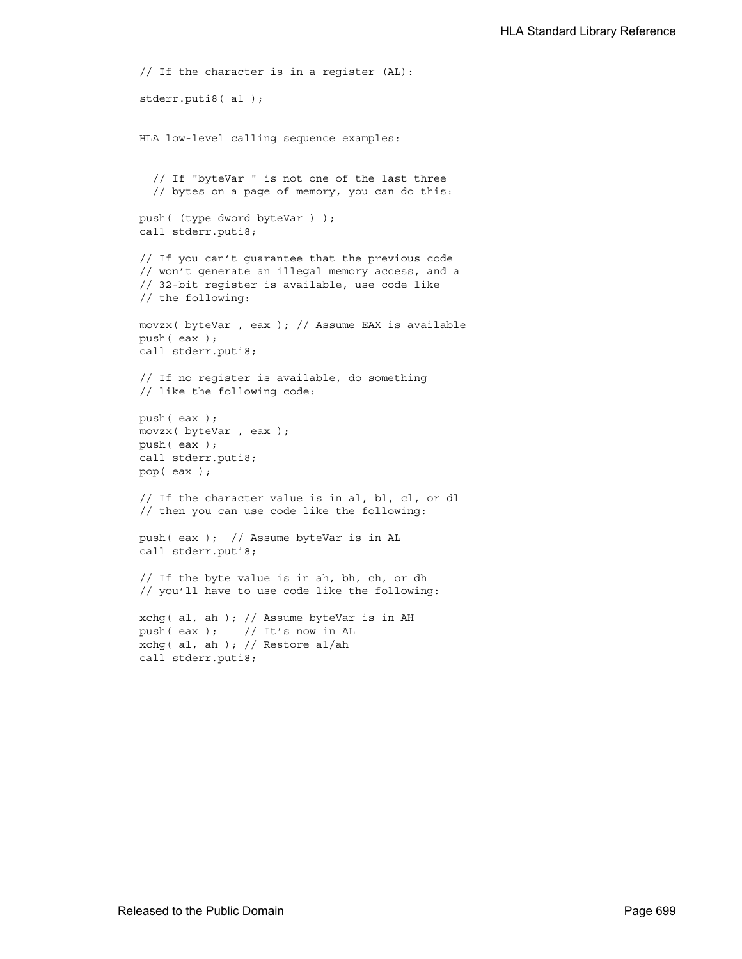```
// If the character is in a register (AL):
stderr.puti8( al );
HLA low-level calling sequence examples:
  // If "byteVar " is not one of the last three
  // bytes on a page of memory, you can do this:
push( (type dword byteVar ) );
call stderr.puti8;
// If you can't guarantee that the previous code
// won't generate an illegal memory access, and a
// 32-bit register is available, use code like
// the following:
movzx( byteVar , eax ); // Assume EAX is available
push( eax );
call stderr.puti8;
// If no register is available, do something
// like the following code:
push( eax );
movzx( byteVar , eax );
push( eax );
call stderr.puti8;
pop( eax );
// If the character value is in al, bl, cl, or dl
// then you can use code like the following:
push( eax ); // Assume byteVar is in AL
call stderr.puti8;
// If the byte value is in ah, bh, ch, or dh
// you'll have to use code like the following:
xchg( al, ah ); // Assume byteVar is in AH
push( eax ); // It's now in AL
xchg( al, ah ); // Restore al/ah
call stderr.puti8;
```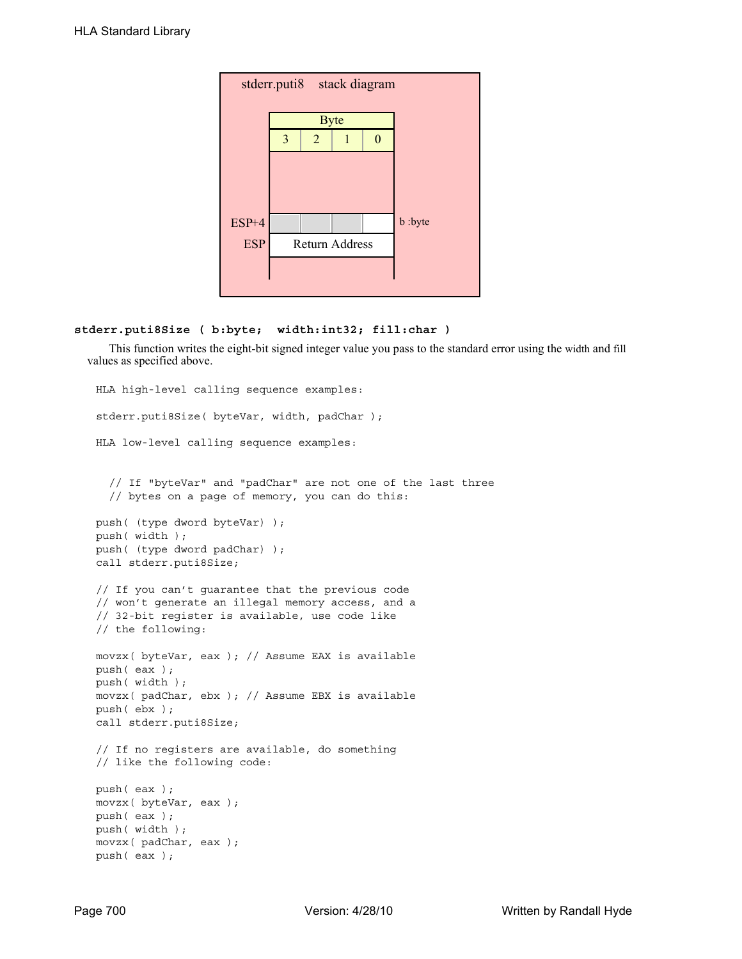| stderr.puti8 stack diagram |                |                |                       |   |         |  |  |
|----------------------------|----------------|----------------|-----------------------|---|---------|--|--|
|                            |                |                | <b>Byte</b>           |   |         |  |  |
|                            | $\overline{3}$ | $\overline{2}$ |                       | 0 |         |  |  |
|                            |                |                |                       |   |         |  |  |
|                            |                |                |                       |   |         |  |  |
|                            |                |                |                       |   |         |  |  |
| ESP+4                      |                |                |                       |   | b :byte |  |  |
| <b>ESP</b>                 |                |                | <b>Return Address</b> |   |         |  |  |
|                            |                |                |                       |   |         |  |  |
|                            |                |                |                       |   |         |  |  |

# **stderr.puti8Size ( b:byte; width:int32; fill:char )**

This function writes the eight-bit signed integer value you pass to the standard error using the width and fill values as specified above.

```
HLA high-level calling sequence examples:
stderr.puti8Size( byteVar, width, padChar );
HLA low-level calling sequence examples:
  // If "byteVar" and "padChar" are not one of the last three
  // bytes on a page of memory, you can do this:
push( (type dword byteVar) );
push( width );
push( (type dword padChar) );
call stderr.puti8Size;
// If you can't guarantee that the previous code
// won't generate an illegal memory access, and a
// 32-bit register is available, use code like
// the following:
movzx( byteVar, eax ); // Assume EAX is available
push( eax );
push( width );
movzx( padChar, ebx ); // Assume EBX is available
push( ebx );
call stderr.puti8Size;
// If no registers are available, do something
// like the following code:
push( eax );
movzx( byteVar, eax );
push( eax );
push( width );
movzx( padChar, eax );
push( eax );
```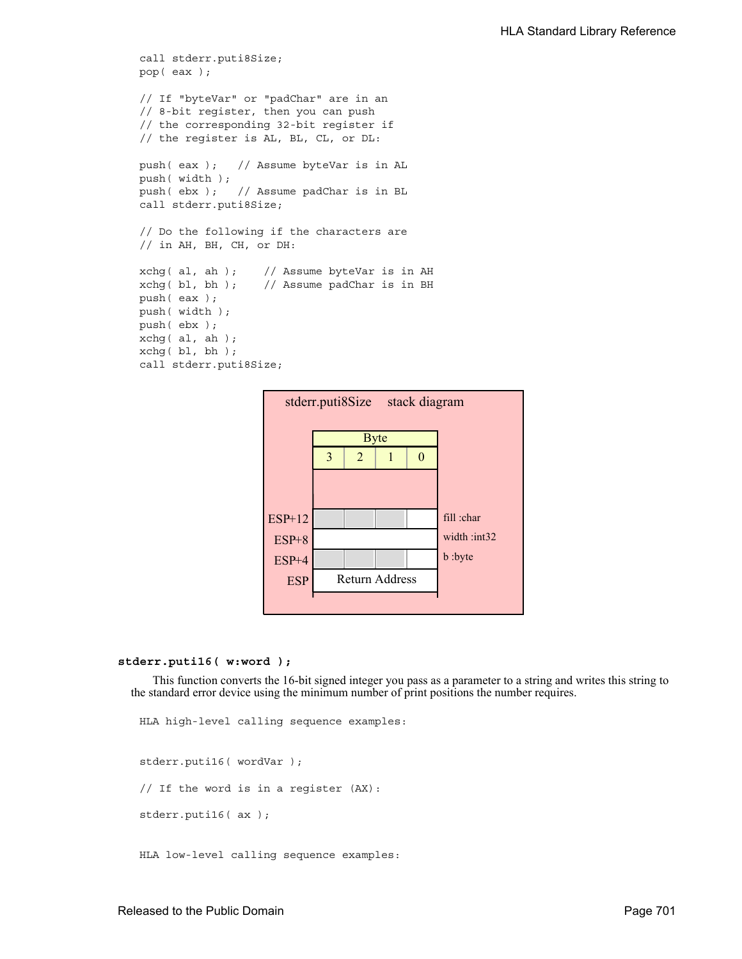```
call stderr.puti8Size;
pop( eax );
// If "byteVar" or "padChar" are in an
// 8-bit register, then you can push
// the corresponding 32-bit register if
// the register is AL, BL, CL, or DL:
push( eax ); // Assume byteVar is in AL
push( width );
push( ebx ); // Assume padChar is in BL
call stderr.puti8Size;
// Do the following if the characters are
// in AH, BH, CH, or DH:
xchg( al, ah ); // Assume byteVar is in AH
xchg( bl, bh); // Assume padChar is in BHpush( eax ); 
push( width );
push( ebx );
xchg( al, ah );
xchg( bl, bh );
call stderr.puti8Size;
```


### **stderr.puti16( w:word );**

This function converts the 16-bit signed integer you pass as a parameter to a string and writes this string to the standard error device using the minimum number of print positions the number requires.

```
HLA high-level calling sequence examples:
stderr.puti16( wordVar );
// If the word is in a register (AX):
stderr.puti16( ax );
HLA low-level calling sequence examples:
```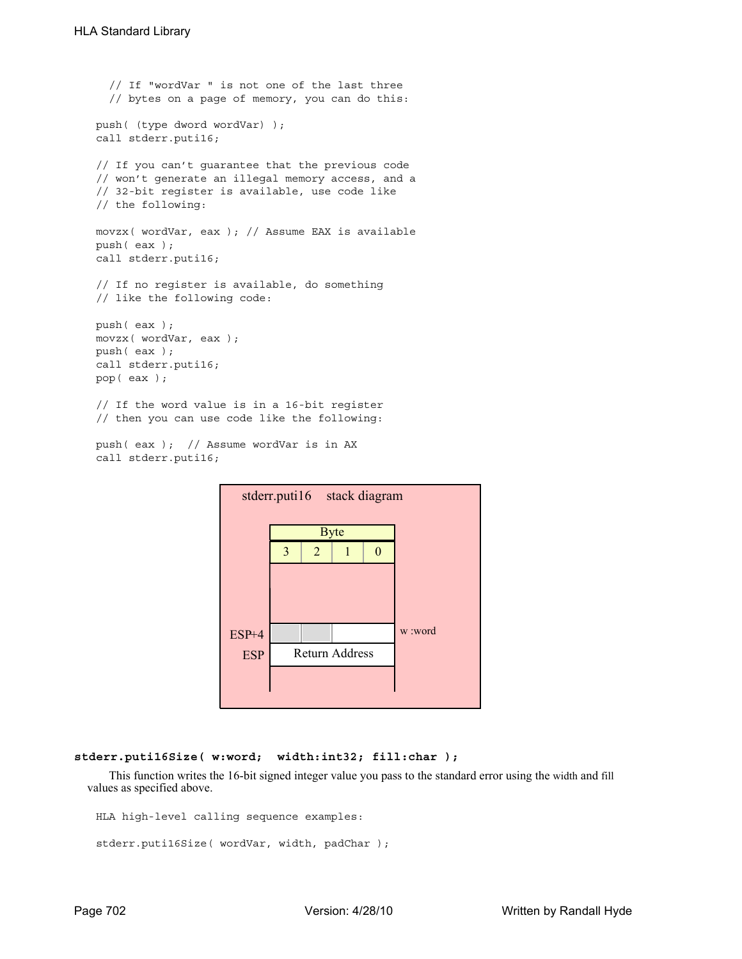```
// If "wordVar " is not one of the last three
  // bytes on a page of memory, you can do this:
push( (type dword wordVar) );
call stderr.puti16;
// If you can't guarantee that the previous code
// won't generate an illegal memory access, and a
// 32-bit register is available, use code like
// the following:
movzx( wordVar, eax ); // Assume EAX is available
push( eax );
call stderr.puti16;
// If no register is available, do something
// like the following code:
push( eax );
movzx( wordVar, eax );
push( eax );
call stderr.puti16;
pop( eax );
// If the word value is in a 16-bit register
// then you can use code like the following:
```

```
push( eax ); // Assume wordVar is in AX
call stderr.puti16;
```


#### **stderr.puti16Size( w:word; width:int32; fill:char );**

This function writes the 16-bit signed integer value you pass to the standard error using the width and fill values as specified above.

```
HLA high-level calling sequence examples:
```

```
stderr.puti16Size( wordVar, width, padChar );
```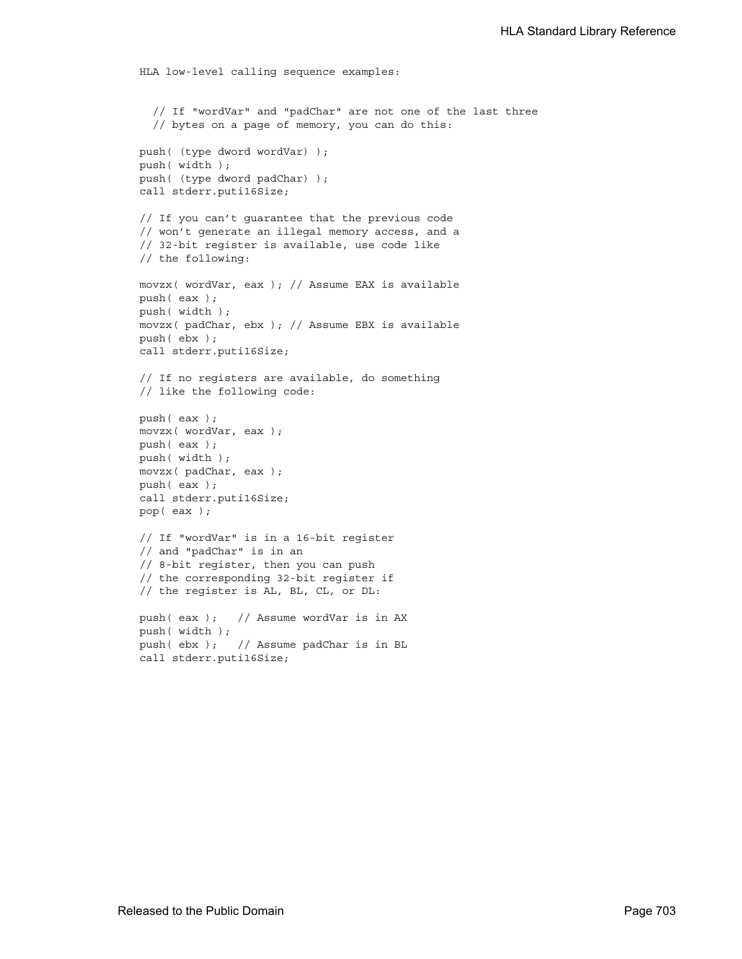```
HLA low-level calling sequence examples:
  // If "wordVar" and "padChar" are not one of the last three
  // bytes on a page of memory, you can do this:
push( (type dword wordVar) );
push( width );
push( (type dword padChar) );
call stderr.puti16Size;
// If you can't guarantee that the previous code
// won't generate an illegal memory access, and a
// 32-bit register is available, use code like
// the following:
movzx( wordVar, eax ); // Assume EAX is available
push( eax );
push( width );
movzx( padChar, ebx ); // Assume EBX is available
push( ebx );
call stderr.puti16Size;
// If no registers are available, do something
// like the following code:
push( eax );
movzx( wordVar, eax );
push( eax );
push( width );
movzx( padChar, eax );
push( eax );
call stderr.puti16Size;
pop( eax );
// If "wordVar" is in a 16-bit register
// and "padChar" is in an
// 8-bit register, then you can push
// the corresponding 32-bit register if
// the register is AL, BL, CL, or DL:
push( eax ); // Assume wordVar is in AX
push( width );
push( ebx ); // Assume padChar is in BL
call stderr.puti16Size;
```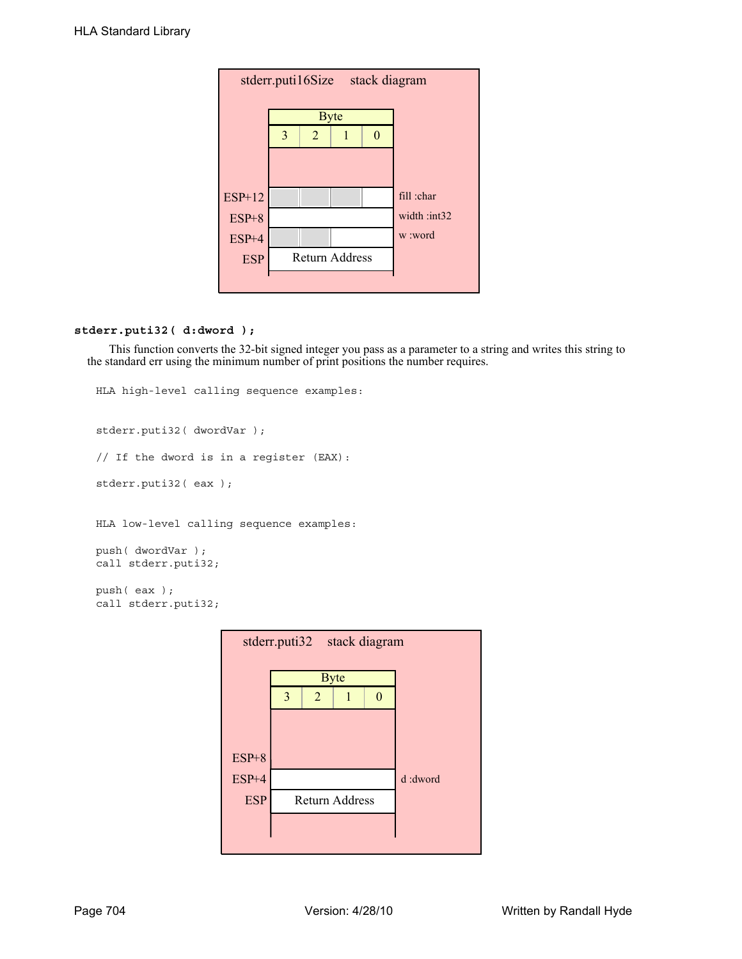| stderr.puti16Size<br>stack diagram |   |                       |  |         |              |  |  |
|------------------------------------|---|-----------------------|--|---------|--------------|--|--|
|                                    |   | <b>Byte</b>           |  |         |              |  |  |
|                                    | 3 | $\overline{2}$        |  |         |              |  |  |
|                                    |   |                       |  |         |              |  |  |
|                                    |   |                       |  |         |              |  |  |
| $ESP+12$                           |   |                       |  |         | fill :char   |  |  |
| $ESP+8$                            |   |                       |  |         | width :int32 |  |  |
| ESP+4                              |   |                       |  | w :word |              |  |  |
| <b>ESP</b>                         |   | <b>Return Address</b> |  |         |              |  |  |
|                                    |   |                       |  |         |              |  |  |

# **stderr.puti32( d:dword );**

This function converts the 32-bit signed integer you pass as a parameter to a string and writes this string to the standard err using the minimum number of print positions the number requires.

```
HLA high-level calling sequence examples:
stderr.puti32( dwordVar );
// If the dword is in a register (EAX):
stderr.puti32( eax );
HLA low-level calling sequence examples:
push( dwordVar );
call stderr.puti32;
push( eax );
call stderr.puti32;
```
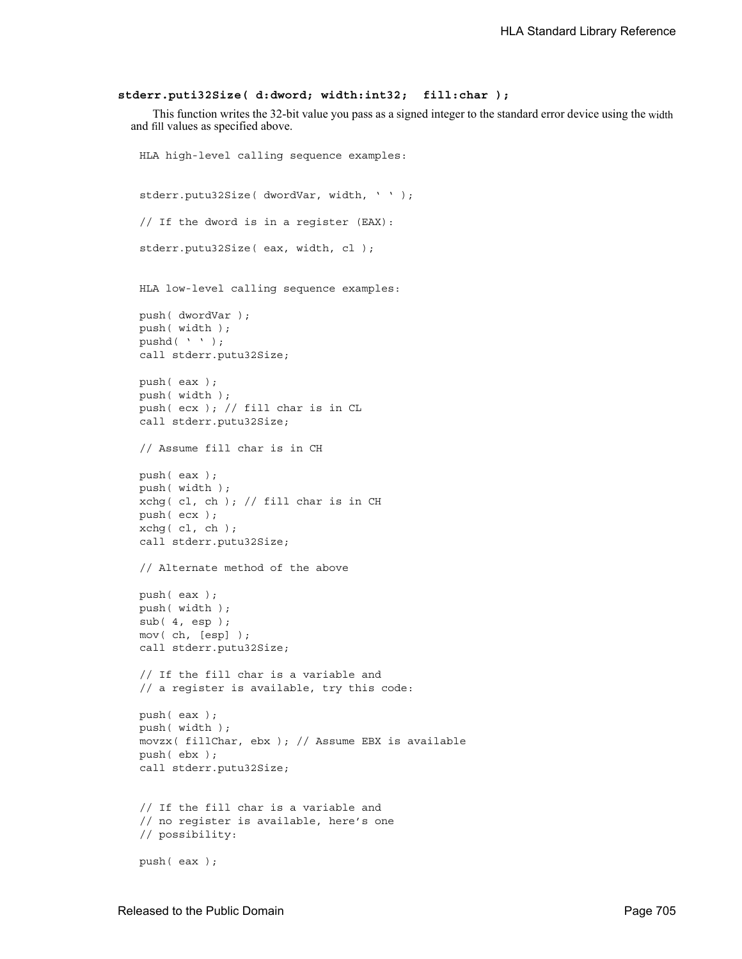#### **stderr.puti32Size( d:dword; width:int32; fill:char );**

This function writes the 32-bit value you pass as a signed integer to the standard error device using the width and fill values as specified above.

```
HLA high-level calling sequence examples:
stderr.putu32Size( dwordVar, width, ' ' );
// If the dword is in a register (EAX):
stderr.putu32Size( eax, width, cl );
HLA low-level calling sequence examples:
push( dwordVar );
push( width );
pushd(' ' );
call stderr.putu32Size;
push( eax );
push( width );
push( ecx ); // fill char is in CL
call stderr.putu32Size;
// Assume fill char is in CH
push( eax );
push( width );
xchg( cl, ch ); // fill char is in CH
push( ecx ); 
xchg( cl, ch );
call stderr.putu32Size;
// Alternate method of the above
push( eax );
push( width );
sub( 4, esp );
mov( ch, [esp] );
call stderr.putu32Size;
// If the fill char is a variable and
// a register is available, try this code:
push( eax );
push( width );
movzx( fillChar, ebx ); // Assume EBX is available
push( ebx );
call stderr.putu32Size;
// If the fill char is a variable and
// no register is available, here's one
// possibility:
push( eax );
```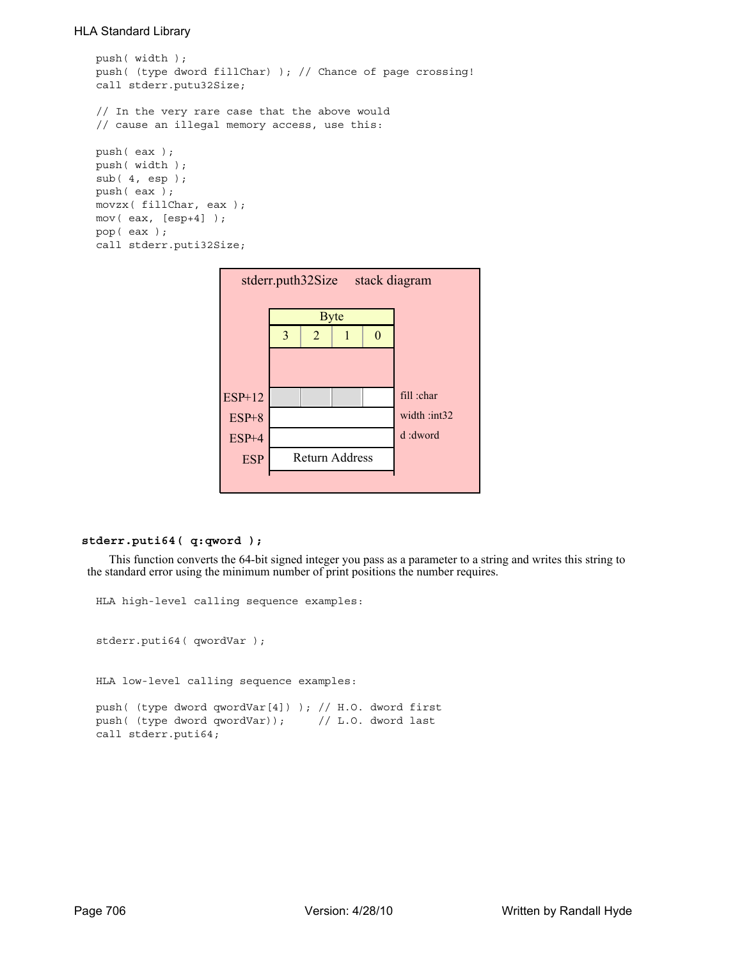```
push( width );
push( (type dword fillChar) ); // Chance of page crossing!
call stderr.putu32Size;
// In the very rare case that the above would
// cause an illegal memory access, use this:
push( eax );
push( width );
sub( 4, esp );
push( eax );
movzx( fillChar, eax );
mov( eax, [esp+4] );
pop( eax );
call stderr.puti32Size;
```


### **stderr.puti64( q:qword );**

This function converts the 64-bit signed integer you pass as a parameter to a string and writes this string to the standard error using the minimum number of print positions the number requires.

```
stderr.puti64( qwordVar );
HLA low-level calling sequence examples:
push( (type dword qwordVar[4]) ); // H.O. dword first
push( (type dword qwordVar)); // L.O. dword last
call stderr.puti64;
```
HLA high-level calling sequence examples: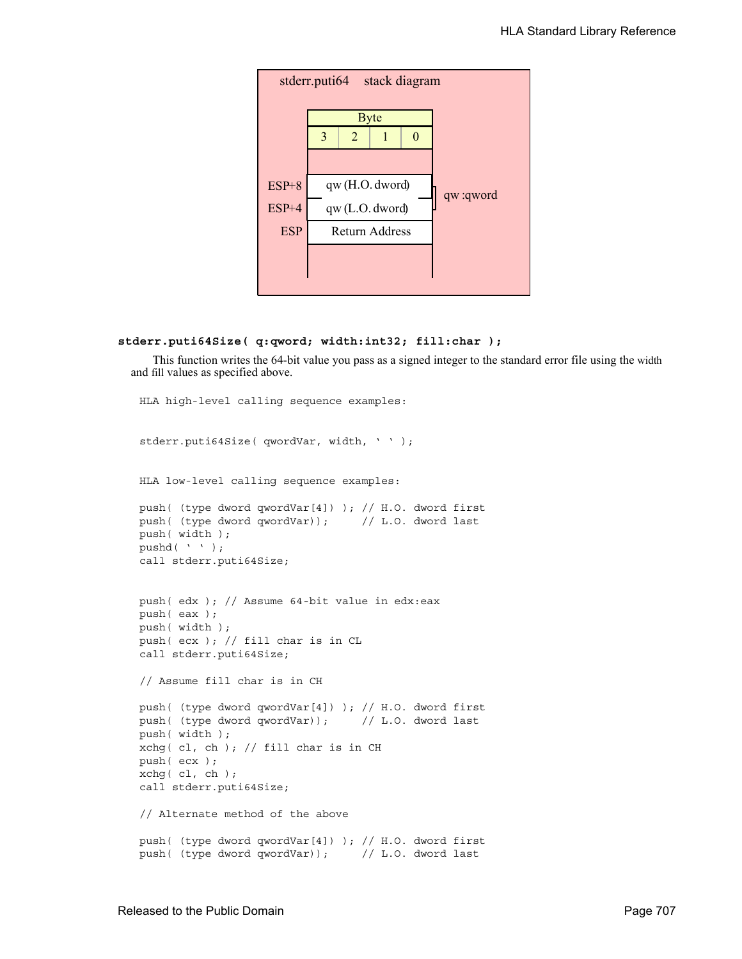

```
stderr.puti64Size( q:qword; width:int32; fill:char );
```
This function writes the 64-bit value you pass as a signed integer to the standard error file using the width and fill values as specified above.

```
HLA high-level calling sequence examples:
stderr.puti64Size( qwordVar, width, ' ' );
HLA low-level calling sequence examples:
push( (type dword qwordVar[4]) ); // H.O. dword first
push( (type dword qwordVar)); // L.O. dword last
push( width );
pushd( ' ' );
call stderr.puti64Size;
push( edx ); // Assume 64-bit value in edx:eax
push( eax );
push( width );
push( ecx ); // fill char is in CL
call stderr.puti64Size;
// Assume fill char is in CH
push( (type dword qwordVar[4]) ); // H.O. dword first
push( (type dword qwordVar)); // L.O. dword last
push( width );
xchg(|c1, ch|); // fill char is in CHpush( ecx ); 
xchg( cl, ch );
call stderr.puti64Size;
// Alternate method of the above
push( (type dword qwordVar[4]) ); // H.O. dword first
push( (type dword qwordVar)); // L.O. dword last
```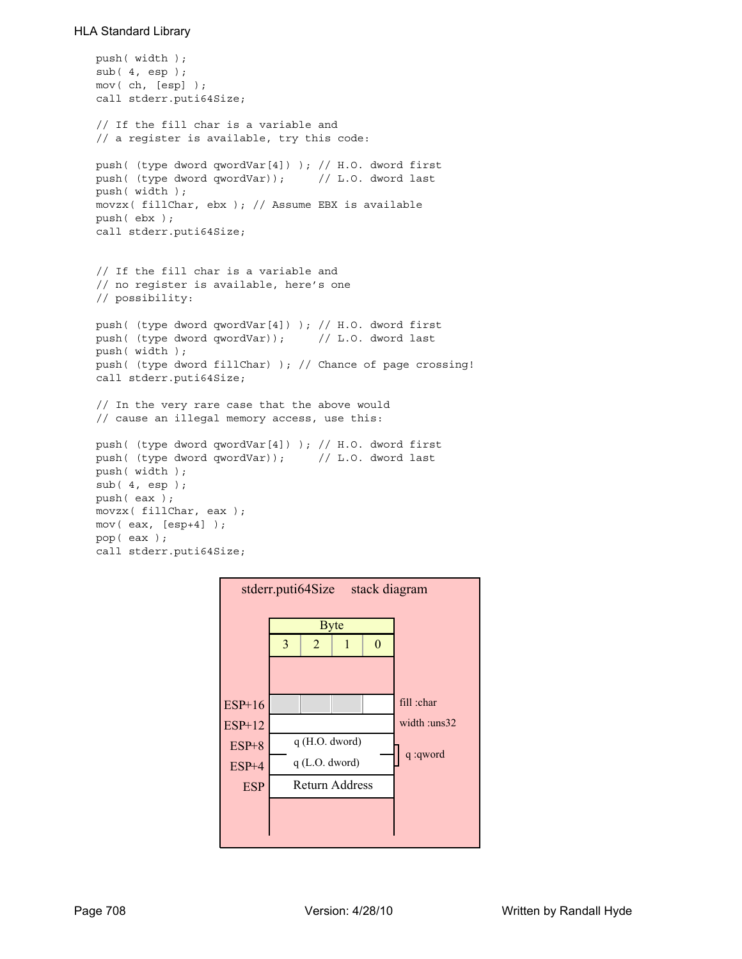```
push( width );
sub( 4, esp );
mov( ch, [esp] );
call stderr.puti64Size;
// If the fill char is a variable and
// a register is available, try this code:
push( (type dword qwordVar[4]) ); // H.O. dword first
push( (type dword qwordVar)); // L.O. dword last
push( width );
movzx( fillChar, ebx ); // Assume EBX is available
push( ebx );
call stderr.puti64Size;
// If the fill char is a variable and
// no register is available, here's one
// possibility:
push( (type dword qwordVar[4]) ); // H.O. dword first
push( (type dword qwordVar)); // L.O. dword last
push( width );
push( (type dword fillChar) ); // Chance of page crossing!
call stderr.puti64Size;
// In the very rare case that the above would
// cause an illegal memory access, use this:
push( (type dword qwordVar[4]) ); // H.O. dword first
push( (type dword qwordVar)); // L.O. dword last
push( width );
sub(4, esp);push( eax );
movzx( fillChar, eax );
mov( eax, [esp+4] );
pop( eax );
call stderr.puti64Size;
```
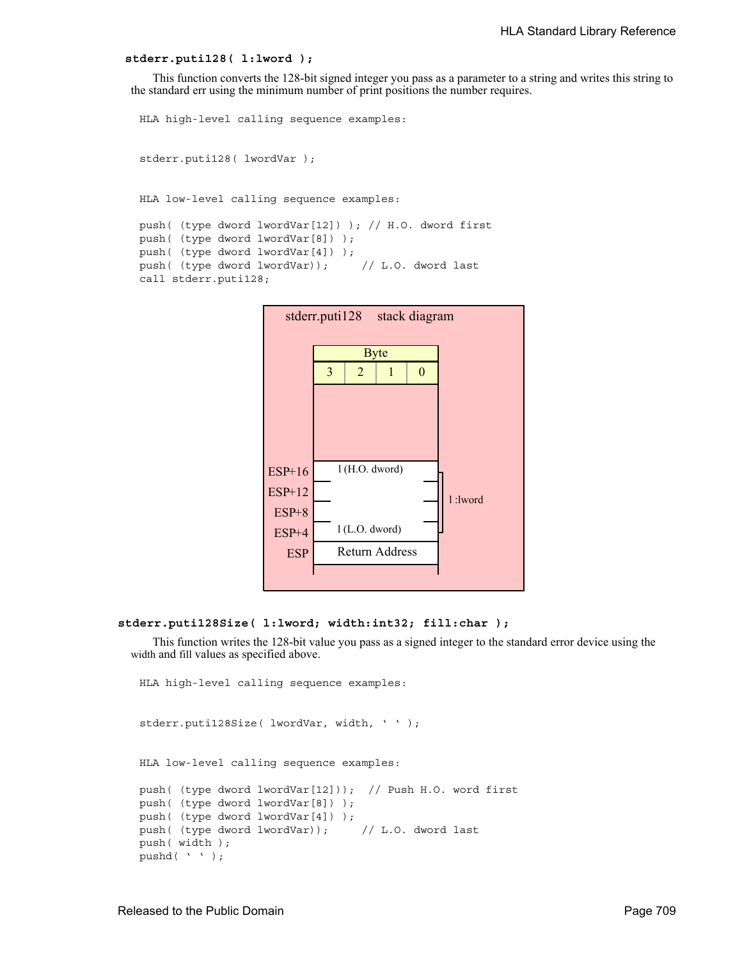#### **stderr.puti128( l:lword );**

This function converts the 128-bit signed integer you pass as a parameter to a string and writes this string to the standard err using the minimum number of print positions the number requires.

```
HLA high-level calling sequence examples:
stderr.puti128( lwordVar );
HLA low-level calling sequence examples:
push( (type dword lwordVar[12]) ); // H.O. dword first
push( (type dword lwordVar[8]) ); 
push( (type dword lwordVar[4]) );
push( (type dword lwordVar)); // L.O. dword last
call stderr.puti128;
```


#### **stderr.puti128Size( l:lword; width:int32; fill:char );**

This function writes the 128-bit value you pass as a signed integer to the standard error device using the width and fill values as specified above.

```
HLA high-level calling sequence examples:
stderr.puti128Size( lwordVar, width, ' ' );
HLA low-level calling sequence examples:
push( (type dword lwordVar[12])); // Push H.O. word first
push( (type dword lwordVar[8]) );
push( (type dword lwordVar[4]) );
push( (type dword lwordVar)); // L.O. dword last
push( width );
pushd( ' ' );
```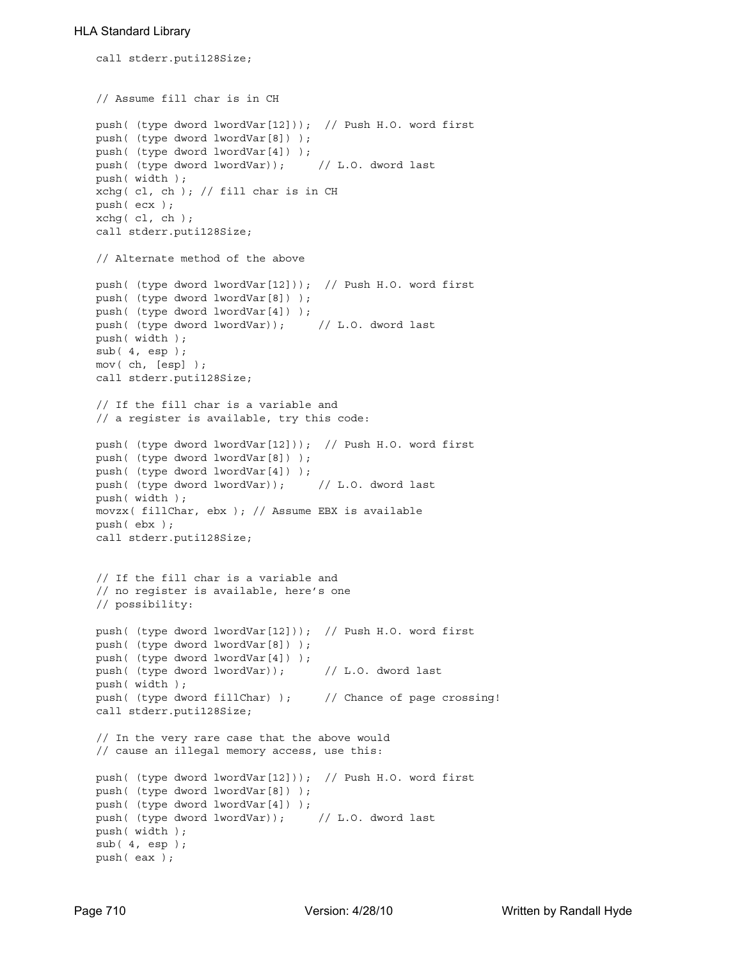```
call stderr.puti128Size;
// Assume fill char is in CH
push( (type dword lwordVar[12])); // Push H.O. word first
push( (type dword lwordVar[8]) );
push( (type dword lwordVar[4]) );
push( (type dword lwordVar)); // L.O. dword last
push( width );
xchg( cl, ch ); // fill char is in CH
push( ecx ); 
xchg( cl, ch );
call stderr.puti128Size;
// Alternate method of the above
push( (type dword lwordVar[12])); // Push H.O. word first
push( (type dword lwordVar[8]) );
push( (type dword lwordVar[4]) );
push( (type dword lwordVar)); // L.O. dword last
push( width );
sub( 4, esp );
mov( ch, [esp] );
call stderr.puti128Size;
// If the fill char is a variable and
// a register is available, try this code:
push( (type dword lwordVar[12])); // Push H.O. word first
push( (type dword lwordVar[8]) );
push( (type dword lwordVar[4]) );
push( (type dword lwordVar)); // L.O. dword last
push( width );
movzx( fillChar, ebx ); // Assume EBX is available
push( ebx );
call stderr.puti128Size;
// If the fill char is a variable and
// no register is available, here's one
// possibility:
push( (type dword lwordVar[12])); // Push H.O. word first
push( (type dword lwordVar[8]) );
push( (type dword lwordVar[4]) );
push( (type dword lwordVar)); // L.O. dword last
push( width );
push( (type dword fillChar) ); // Chance of page crossing!
call stderr.puti128Size;
// In the very rare case that the above would
// cause an illegal memory access, use this:
push( (type dword lwordVar[12])); // Push H.O. word first
push( (type dword lwordVar[8]) );
push( (type dword lwordVar[4]) );
push( (type dword lwordVar)); // L.O. dword last
push( width );
sub(4, esp);push( eax );
```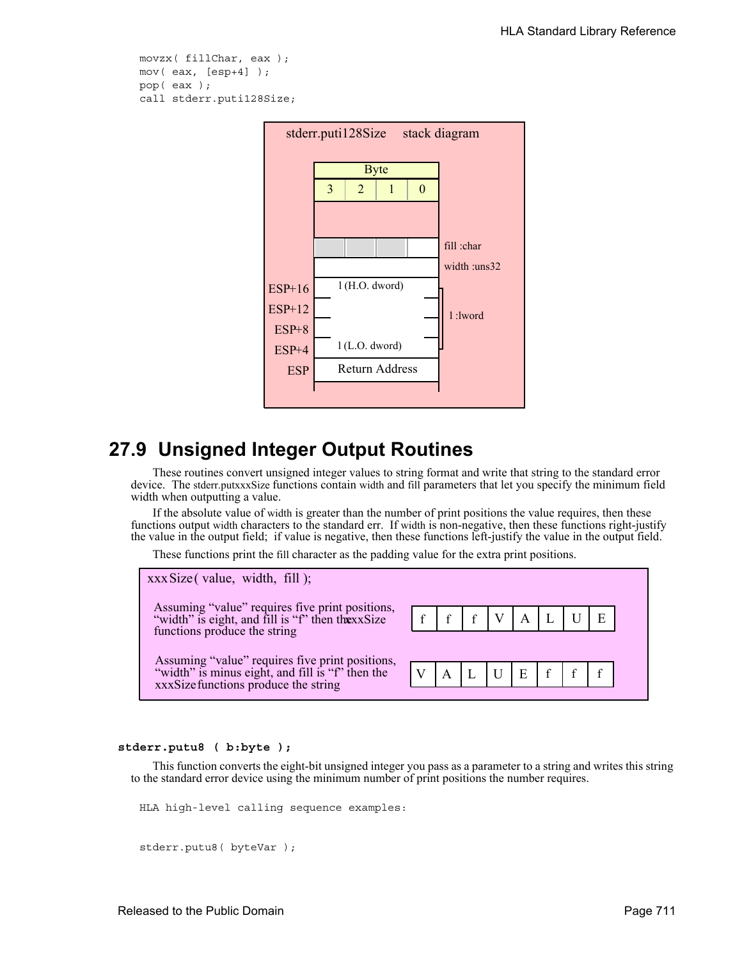```
movzx( fillChar, eax );
mov( eax, [esp+4] );
pop( eax );
call stderr.puti128Size;
```


# **27.9 Unsigned Integer Output Routines**

These routines convert unsigned integer values to string format and write that string to the standard error device. The stderr.putxxxSize functions contain width and fill parameters that let you specify the minimum field width when outputting a value.

If the absolute value of width is greater than the number of print positions the value requires, then these functions output width characters to the standard err. If width is non-negative, then these functions right-justify the value in the output field; if value is negative, then these functions left-justify the value in the output field.

These functions print the fill character as the padding value for the extra print positions.



### **stderr.putu8 ( b:byte );**

This function converts the eight-bit unsigned integer you pass as a parameter to a string and writes this string to the standard error device using the minimum number of print positions the number requires.

```
HLA high-level calling sequence examples:
```

```
stderr.putu8( byteVar );
```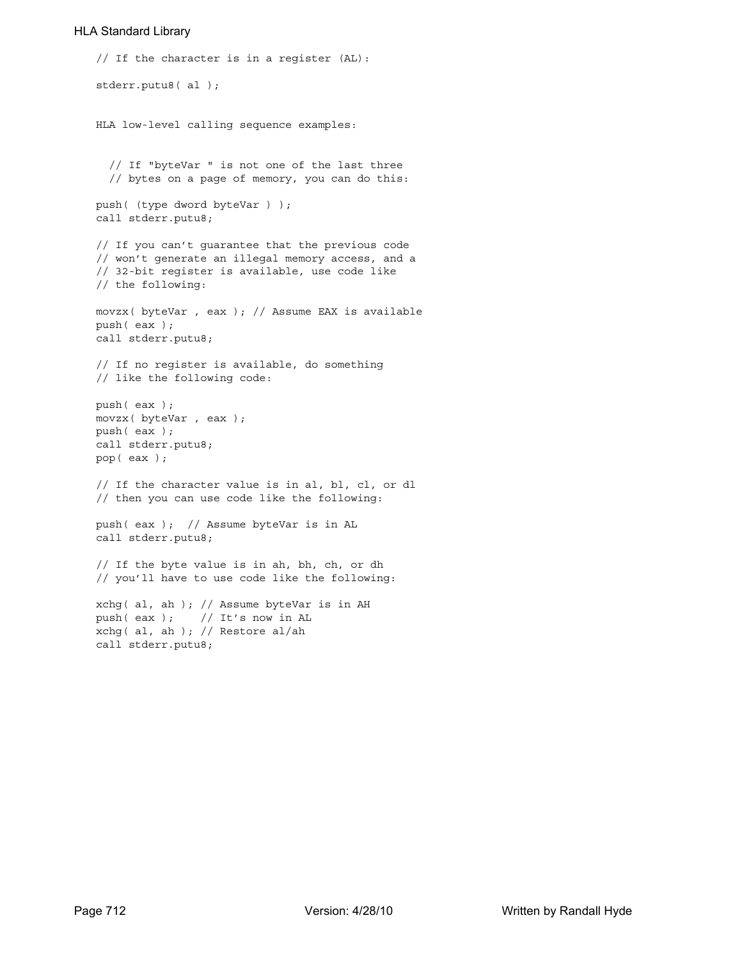```
// If the character is in a register (AL):
stderr.putu8( al );
HLA low-level calling sequence examples:
  // If "byteVar " is not one of the last three
  // bytes on a page of memory, you can do this:
push( (type dword byteVar ) );
call stderr.putu8;
// If you can't guarantee that the previous code
// won't generate an illegal memory access, and a
// 32-bit register is available, use code like
// the following:
movzx( byteVar , eax ); // Assume EAX is available
push( eax );
call stderr.putu8;
// If no register is available, do something
// like the following code:
push( eax );
movzx( byteVar , eax );
push( eax );
call stderr.putu8;
pop( eax );
// If the character value is in al, bl, cl, or dl
// then you can use code like the following:
push( eax ); // Assume byteVar is in AL
call stderr.putu8;
// If the byte value is in ah, bh, ch, or dh
// you'll have to use code like the following:
xchg( al, ah ); // Assume byteVar is in AH
push( eax ); // It's now in AL
xchg( al, ah ); // Restore al/ah
call stderr.putu8;
```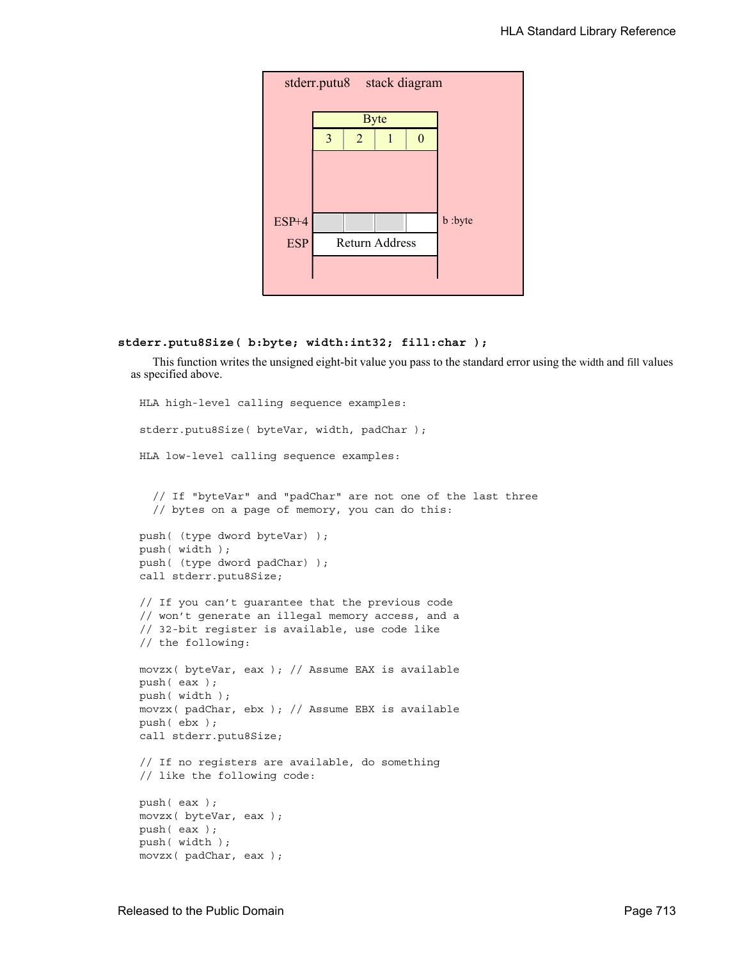

## **stderr.putu8Size( b:byte; width:int32; fill:char );**

This function writes the unsigned eight-bit value you pass to the standard error using the width and fill values as specified above.

```
HLA high-level calling sequence examples:
stderr.putu8Size( byteVar, width, padChar );
HLA low-level calling sequence examples:
  // If "byteVar" and "padChar" are not one of the last three
  // bytes on a page of memory, you can do this:
push( (type dword byteVar) );
push( width );
push( (type dword padChar) );
call stderr.putu8Size;
// If you can't guarantee that the previous code
// won't generate an illegal memory access, and a
// 32-bit register is available, use code like
// the following:
movzx( byteVar, eax ); // Assume EAX is available
push( eax );
push( width );
movzx( padChar, ebx ); // Assume EBX is available
push( ebx );
call stderr.putu8Size;
// If no registers are available, do something
// like the following code:
push( eax );
movzx( byteVar, eax );
push( eax );
push( width );
movzx( padChar, eax );
```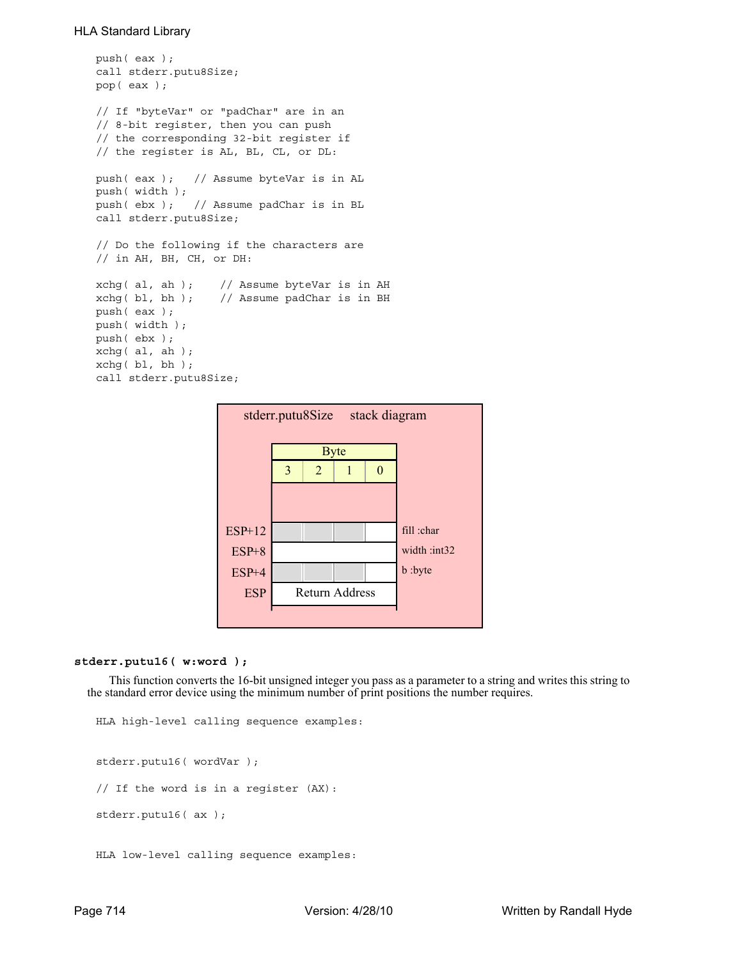```
push( eax );
call stderr.putu8Size;
pop( eax );
// If "byteVar" or "padChar" are in an
// 8-bit register, then you can push
// the corresponding 32-bit register if
// the register is AL, BL, CL, or DL:
push( eax ); // Assume byteVar is in AL
push( width );
push( ebx ); // Assume padChar is in BL
call stderr.putu8Size;
// Do the following if the characters are
// in AH, BH, CH, or DH:
xchg( al, ah ); // Assume byteVar is in AH
xchg( bl, bh ); // Assume padChar is in BH
push( eax ); 
push( width );
push( ebx );
xchg( al, ah );
xchq( bl, bh);call stderr.putu8Size;
```


#### **stderr.putu16( w:word );**

This function converts the 16-bit unsigned integer you pass as a parameter to a string and writes this string to the standard error device using the minimum number of print positions the number requires.

```
HLA high-level calling sequence examples:
stderr.putu16( wordVar );
// If the word is in a register (AX):
stderr.putu16( ax );
HLA low-level calling sequence examples:
```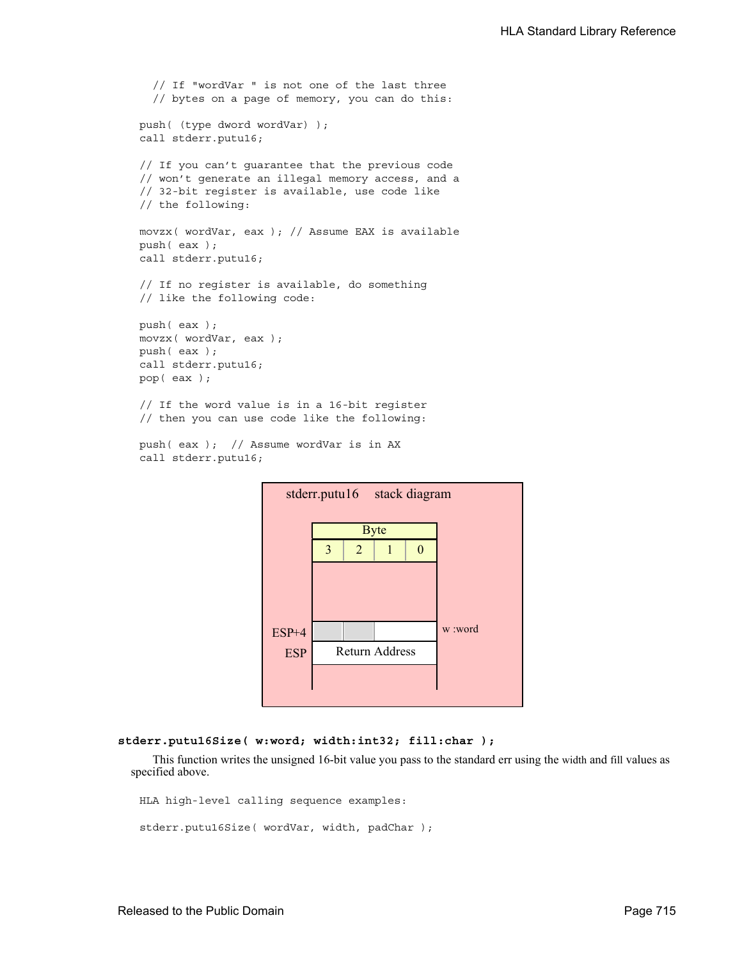```
// If "wordVar " is not one of the last three
  // bytes on a page of memory, you can do this:
push( (type dword wordVar) );
call stderr.putu16;
// If you can't guarantee that the previous code
// won't generate an illegal memory access, and a
// 32-bit register is available, use code like
// the following:
movzx( wordVar, eax ); // Assume EAX is available
push( eax );
call stderr.putu16;
// If no register is available, do something
// like the following code:
push( eax );
movzx( wordVar, eax );
push( eax );
call stderr.putu16;
pop( eax );
// If the word value is in a 16-bit register
// then you can use code like the following:
```

```
push( eax ); // Assume wordVar is in AX
call stderr.putu16;
```


### **stderr.putu16Size( w:word; width:int32; fill:char );**

This function writes the unsigned 16-bit value you pass to the standard err using the width and fill values as specified above.

HLA high-level calling sequence examples:

```
stderr.putu16Size( wordVar, width, padChar );
```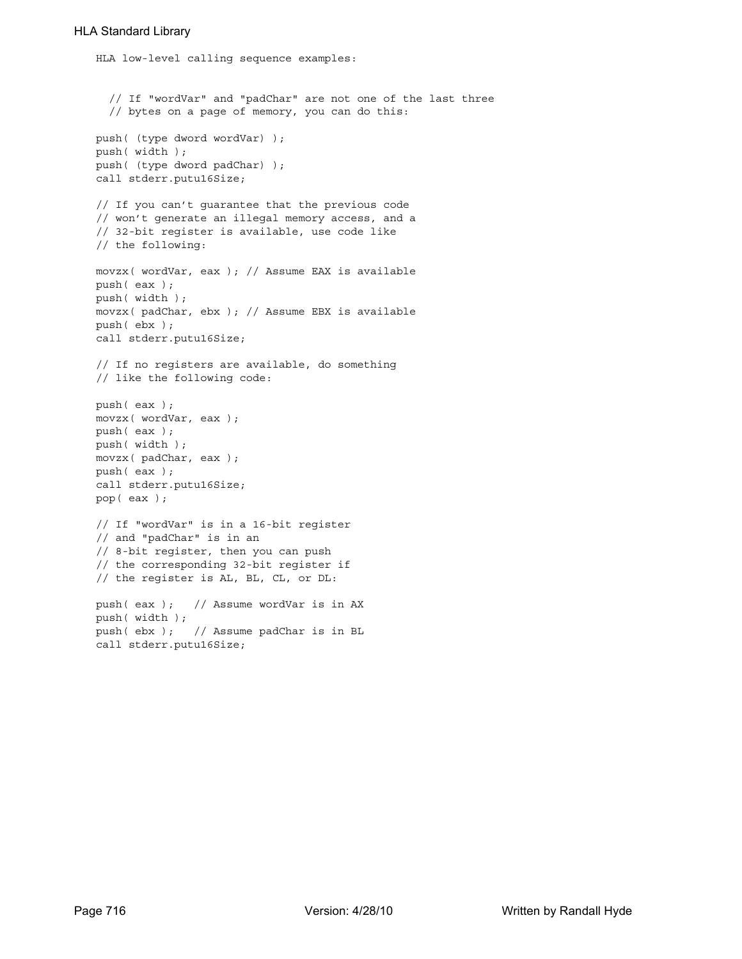```
HLA low-level calling sequence examples:
  // If "wordVar" and "padChar" are not one of the last three
  // bytes on a page of memory, you can do this:
push( (type dword wordVar) );
push( width );
push( (type dword padChar) );
call stderr.putu16Size;
// If you can't guarantee that the previous code
// won't generate an illegal memory access, and a
// 32-bit register is available, use code like
// the following:
movzx( wordVar, eax ); // Assume EAX is available
push( eax );
push( width );
movzx( padChar, ebx ); // Assume EBX is available
push( ebx );
call stderr.putu16Size;
// If no registers are available, do something
// like the following code:
push( eax );
movzx( wordVar, eax );
push( eax );
push( width );
movzx( padChar, eax );
push( eax );
call stderr.putu16Size;
pop( eax );
// If "wordVar" is in a 16-bit register
// and "padChar" is in an
// 8-bit register, then you can push
// the corresponding 32-bit register if
// the register is AL, BL, CL, or DL:
push( eax ); // Assume wordVar is in AX
push( width );
push( ebx ); // Assume padChar is in BL
call stderr.putu16Size;
```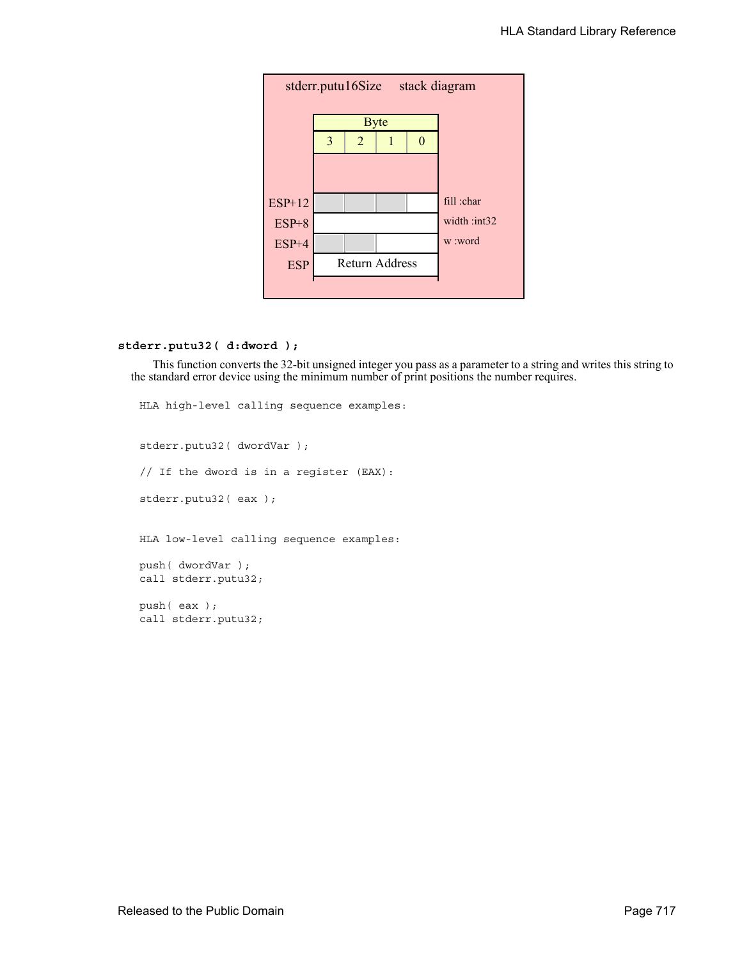

# **stderr.putu32( d:dword );**

This function converts the 32-bit unsigned integer you pass as a parameter to a string and writes this string to the standard error device using the minimum number of print positions the number requires.

HLA high-level calling sequence examples: stderr.putu32( dwordVar ); // If the dword is in a register (EAX): stderr.putu32( eax ); HLA low-level calling sequence examples: push( dwordVar ); call stderr.putu32; push( eax ); call stderr.putu32;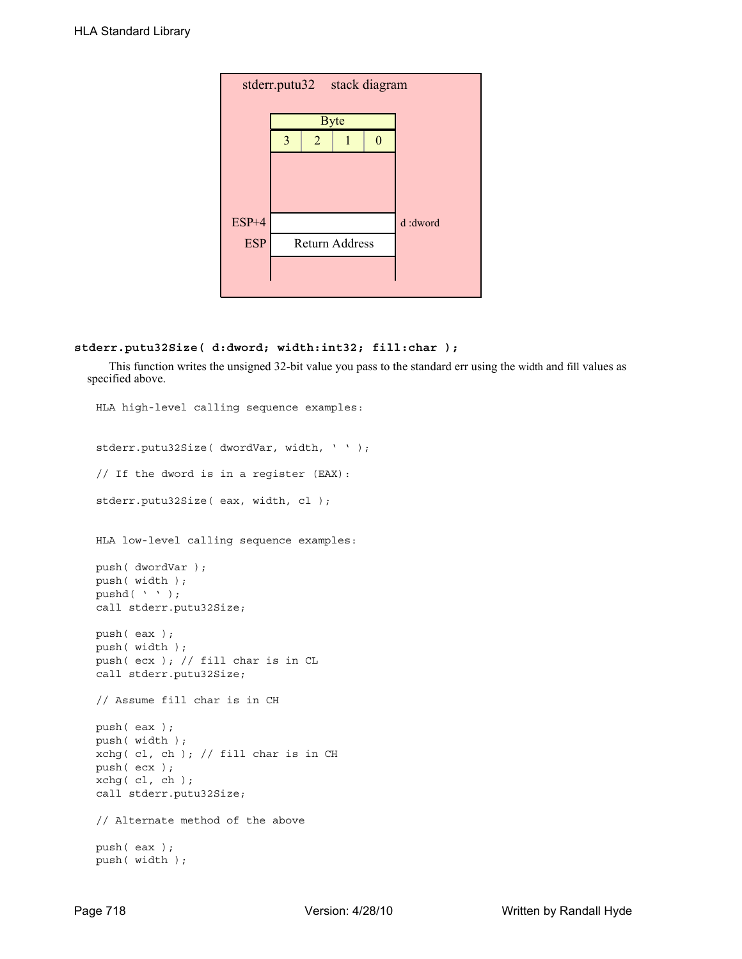| stderr.putu32 stack diagram |   |                |                       |   |         |  |  |
|-----------------------------|---|----------------|-----------------------|---|---------|--|--|
|                             |   |                | <b>Byte</b>           |   |         |  |  |
|                             | 3 | $\overline{2}$ |                       | 0 |         |  |  |
|                             |   |                |                       |   |         |  |  |
|                             |   |                |                       |   |         |  |  |
|                             |   |                |                       |   |         |  |  |
| ESP+4                       |   |                |                       |   | d:dword |  |  |
| <b>ESP</b>                  |   |                | <b>Return Address</b> |   |         |  |  |
|                             |   |                |                       |   |         |  |  |
|                             |   |                |                       |   |         |  |  |

# **stderr.putu32Size( d:dword; width:int32; fill:char );**

This function writes the unsigned 32-bit value you pass to the standard err using the width and fill values as specified above.

```
HLA high-level calling sequence examples:
stderr.putu32Size( dwordVar, width, ' ' );
// If the dword is in a register (EAX):
stderr.putu32Size( eax, width, cl );
HLA low-level calling sequence examples:
push( dwordVar );
push( width );
pushd( ' ' );
call stderr.putu32Size;
push( eax );
push( width );
push( ecx ); // fill char is in CL
call stderr.putu32Size;
// Assume fill char is in CH
push( eax );
push( width );
xchg( cl, ch ); // fill char is in CH
push( ecx ); 
xchg( cl, ch );
call stderr.putu32Size;
// Alternate method of the above
push( eax );
push( width );
```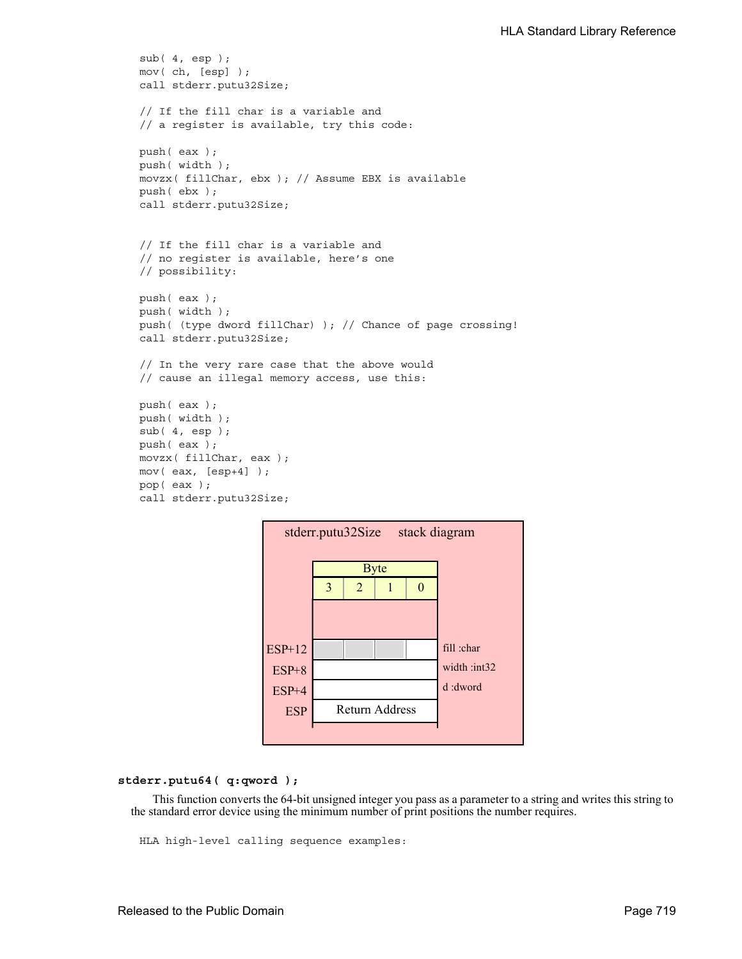```
sub( 4, esp );
mov( ch, [esp] );
call stderr.putu32Size;
// If the fill char is a variable and
// a register is available, try this code:
push( eax );
push( width );
movzx( fillChar, ebx ); // Assume EBX is available
push( ebx );
call stderr.putu32Size;
// If the fill char is a variable and
// no register is available, here's one
// possibility:
push( eax );
push( width );
push( (type dword fillChar) ); // Chance of page crossing!
call stderr.putu32Size;
// In the very rare case that the above would
// cause an illegal memory access, use this:
push( eax );
push( width );
sub(4, esp);push( eax );
movzx( fillChar, eax );
mov( eax, [esp+4] );
pop( eax );
call stderr.putu32Size;
```


## **stderr.putu64( q:qword );**

This function converts the 64-bit unsigned integer you pass as a parameter to a string and writes this string to the standard error device using the minimum number of print positions the number requires.

HLA high-level calling sequence examples: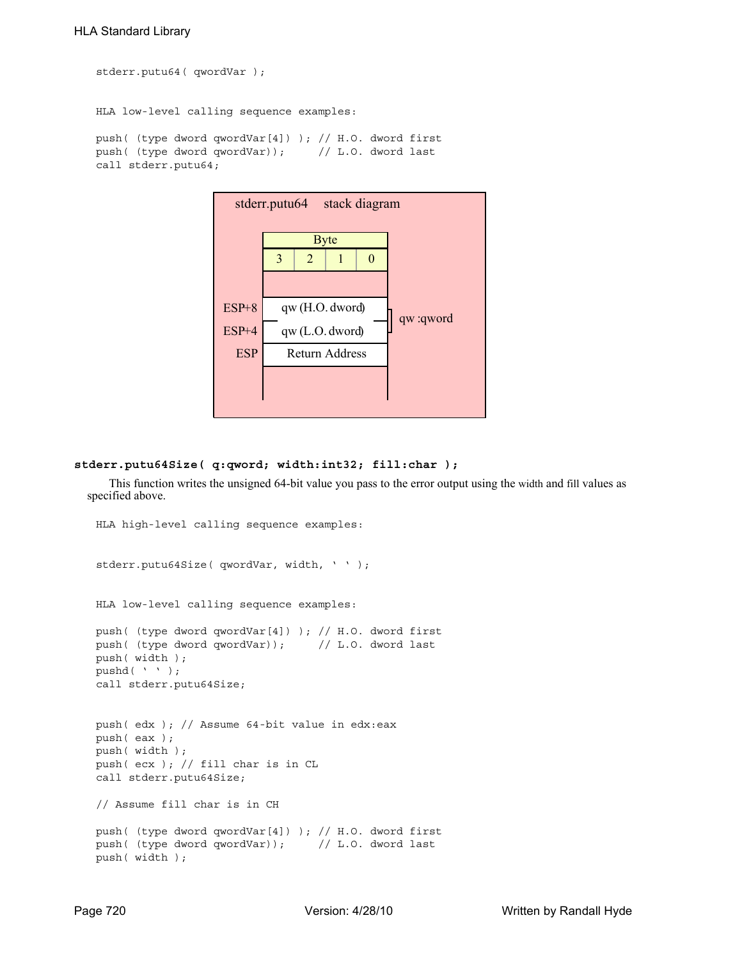stderr.putu64( qwordVar ); HLA low-level calling sequence examples: push( (type dword qwordVar[4]) ); // H.O. dword first push( (type dword qwordVar)); // L.O. dword last call stderr.putu64;



### **stderr.putu64Size( q:qword; width:int32; fill:char );**

This function writes the unsigned 64-bit value you pass to the error output using the width and fill values as specified above.

```
HLA high-level calling sequence examples:
stderr.putu64Size( qwordVar, width, ' ' );
HLA low-level calling sequence examples:
push( (type dword qwordVar[4]) ); // H.O. dword first
push( (type dword qwordVar)); // L.O. dword last
push( width );
pushd( ' ' );
call stderr.putu64Size;
push( edx ); // Assume 64-bit value in edx:eax
push( eax );
push( width );
push( ecx ); // fill char is in CL
call stderr.putu64Size;
// Assume fill char is in CH
push( (type dword qwordVar[4]) ); // H.O. dword first
push( (type dword qwordVar)); // L.O. dword last
push( width );
```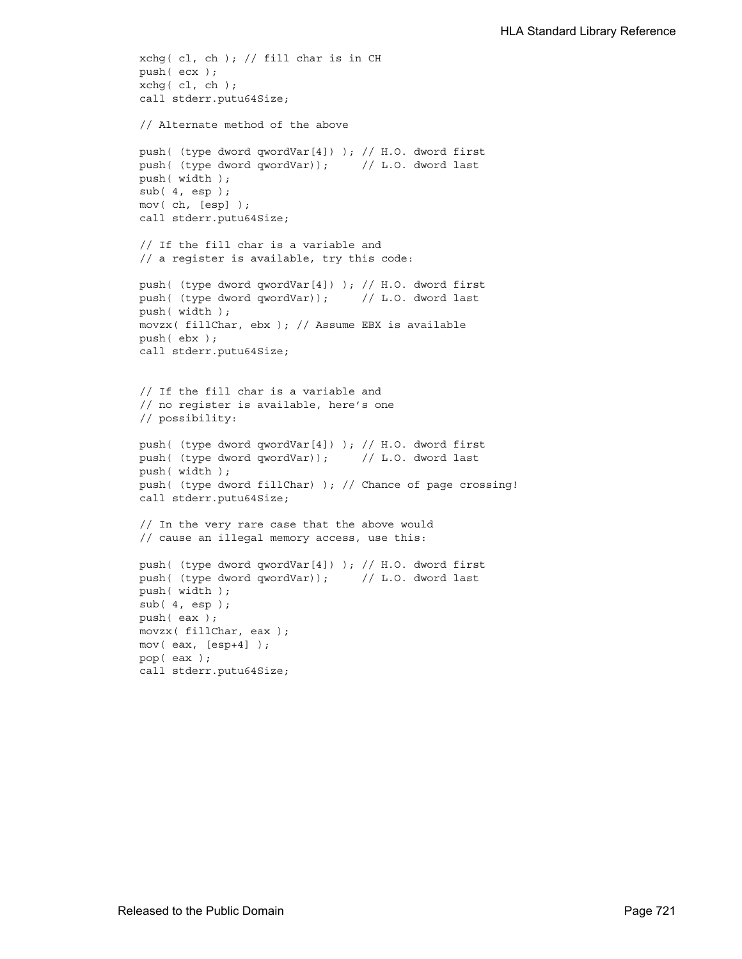```
xchg( cl, ch ); // fill char is in CH
push( ecx ); 
xchg( cl, ch );
call stderr.putu64Size;
// Alternate method of the above
push( (type dword qwordVar[4]) ); // H.O. dword first
push( (type dword qwordVar)); // L.O. dword last
push( width );
sub(4, esp);mov( ch, [esp] );
call stderr.putu64Size;
// If the fill char is a variable and
// a register is available, try this code:
push( (type dword qwordVar[4]) ); // H.O. dword first
push( (type dword qwordVar)); // L.O. dword last
push( width );
movzx( fillChar, ebx ); // Assume EBX is available
push( ebx );
call stderr.putu64Size;
// If the fill char is a variable and
// no register is available, here's one
// possibility:
push( (type dword qwordVar[4]) ); // H.O. dword first
push( (type dword qwordVar)); // L.O. dword last
push( width );
push( (type dword fillChar) ); // Chance of page crossing!
call stderr.putu64Size;
// In the very rare case that the above would
// cause an illegal memory access, use this:
push( (type dword qwordVar[4]) ); // H.O. dword first
push( (type dword qwordVar)); // L.O. dword last
push( width );
sub(4, esp);push( eax );
movzx( fillChar, eax );
mov( eax, [esp+4] );
pop( eax );
call stderr.putu64Size;
```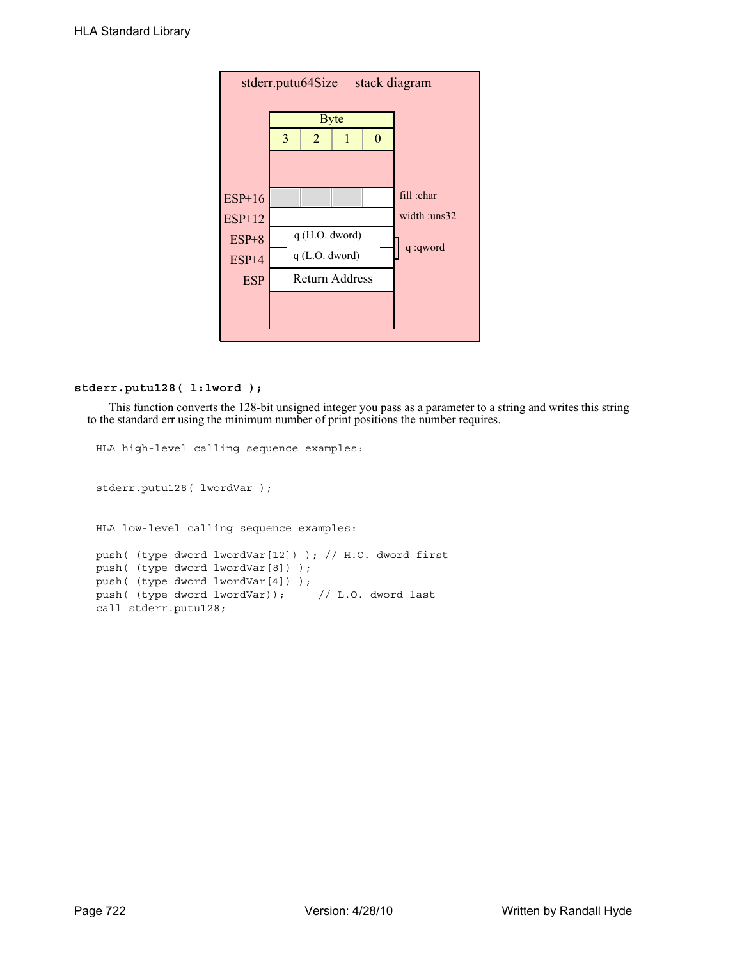| stack diagram<br>stderr.putu64Size |   |                       |               |  |              |  |  |  |
|------------------------------------|---|-----------------------|---------------|--|--------------|--|--|--|
|                                    |   | <b>Byte</b>           |               |  |              |  |  |  |
|                                    | 3 | $\overline{2}$        |               |  |              |  |  |  |
|                                    |   |                       |               |  |              |  |  |  |
| $ESP+16$                           |   |                       |               |  | fill :char   |  |  |  |
| <b>ESP+12</b>                      |   |                       |               |  | width :uns32 |  |  |  |
| $ESP+8$                            |   |                       | q(H.O. dword) |  | q :qword     |  |  |  |
| $ESP+4$                            |   | $q$ (L.O. dword)      |               |  |              |  |  |  |
| <b>ESP</b>                         |   | <b>Return Address</b> |               |  |              |  |  |  |
|                                    |   |                       |               |  |              |  |  |  |
|                                    |   |                       |               |  |              |  |  |  |

# **stderr.putu128( l:lword );**

This function converts the 128-bit unsigned integer you pass as a parameter to a string and writes this string to the standard err using the minimum number of print positions the number requires.

```
HLA high-level calling sequence examples:
stderr.putu128( lwordVar );
HLA low-level calling sequence examples:
push( (type dword lwordVar[12]) ); // H.O. dword first
push( (type dword lwordVar[8]) ); 
push( (type dword lwordVar[4]) );
push( (type dword lwordVar)); // L.O. dword last
call stderr.putu128;
```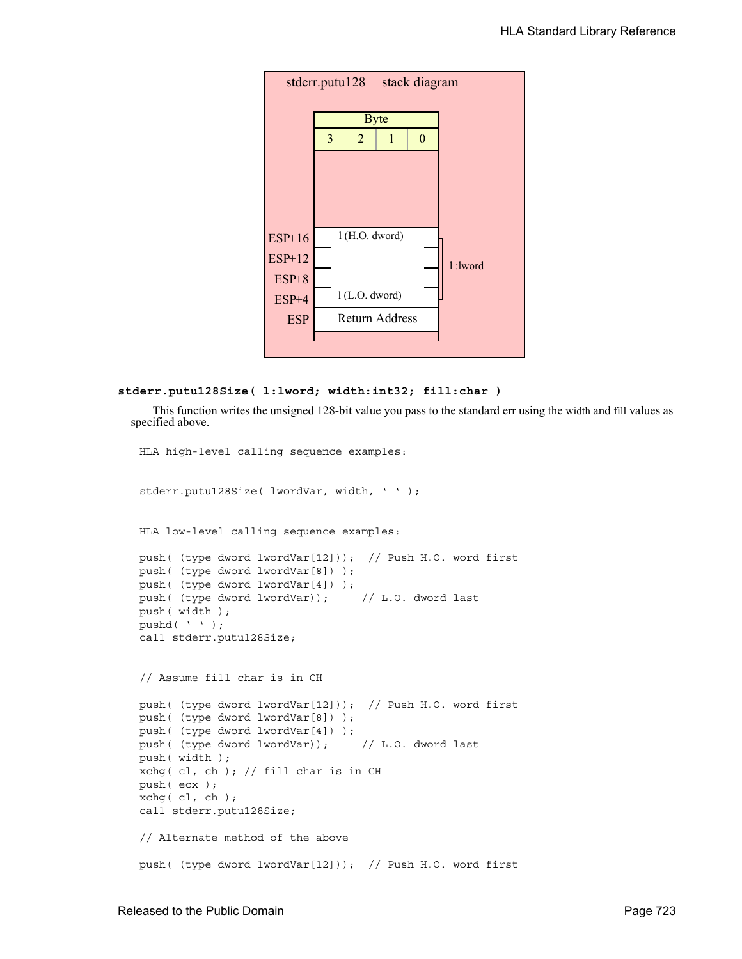

```
stderr.putu128Size( l:lword; width:int32; fill:char )
```
This function writes the unsigned 128-bit value you pass to the standard err using the width and fill values as specified above.

```
HLA high-level calling sequence examples:
stderr.putu128Size( lwordVar, width, ' ' );
HLA low-level calling sequence examples:
push( (type dword lwordVar[12])); // Push H.O. word first
push( (type dword lwordVar[8]) );
push( (type dword lwordVar[4]) );
push( (type dword lwordVar)); // L.O. dword last
push( width );
pushd( ' ' );
call stderr.putu128Size;
// Assume fill char is in CH
push( (type dword lwordVar[12])); // Push H.O. word first
push( (type dword lwordVar[8]) );
push( (type dword lwordVar[4]) );
push( (type dword lwordVar)); // L.O. dword last
push( width );
xchg( cl, ch ); // fill char is in CH
push( ecx ); 
xchg( cl, ch );
call stderr.putu128Size;
// Alternate method of the above
push( (type dword lwordVar[12])); // Push H.O. word first
```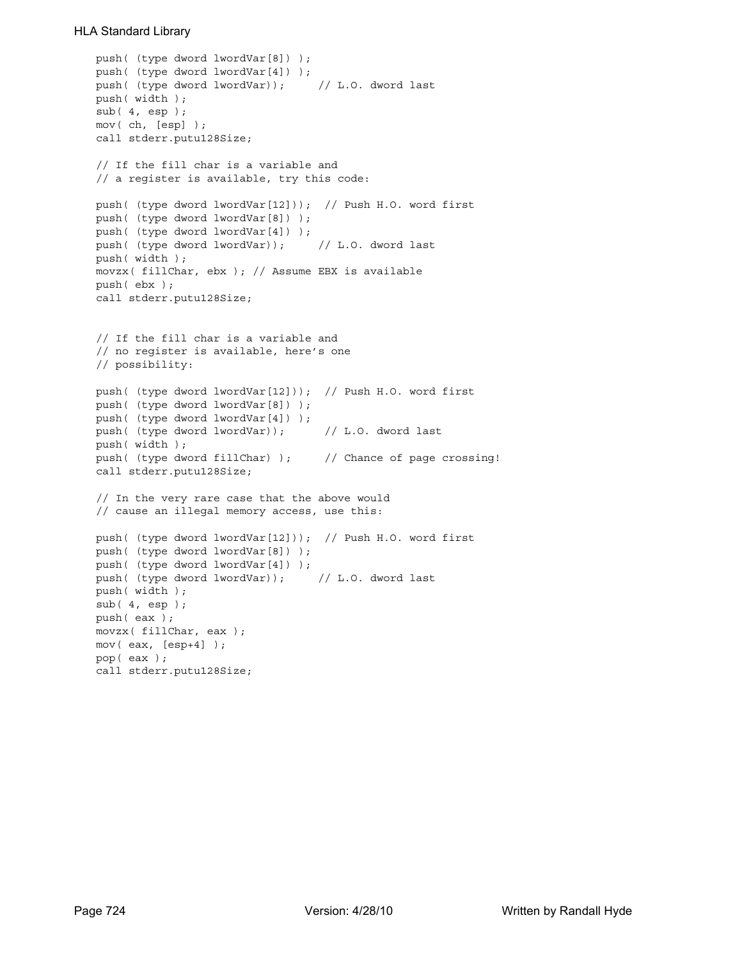```
push( (type dword lwordVar[8]) );
push( (type dword lwordVar[4]) );
push( (type dword lwordVar)); // L.O. dword last
push( width );
sub(4, esp);mov( ch, [esp] );
call stderr.putu128Size;
// If the fill char is a variable and
// a register is available, try this code:
push( (type dword lwordVar[12])); // Push H.O. word first
push( (type dword lwordVar[8]) );
push( (type dword lwordVar[4]) );
push( (type dword lwordVar)); // L.O. dword last
push( width );
movzx( fillChar, ebx ); // Assume EBX is available
push( ebx );
call stderr.putu128Size;
// If the fill char is a variable and
// no register is available, here's one
// possibility:
push( (type dword lwordVar[12])); // Push H.O. word first
push( (type dword lwordVar[8]) );
push( (type dword lwordVar[4]) );
push( (type dword lwordVar)); // L.O. dword last
push( width );
push( (type dword fillChar) ); // Chance of page crossing!
call stderr.putu128Size;
// In the very rare case that the above would
// cause an illegal memory access, use this:
push( (type dword lwordVar[12])); // Push H.O. word first
push( (type dword lwordVar[8]) );
push( (type dword lwordVar[4]) );
push( (type dword lwordVar)); // L.O. dword last
push( width );
sub(4, esp);push( eax );
movzx( fillChar, eax );
mov( eax, [esp+4] );
pop( eax );
call stderr.putu128Size;
```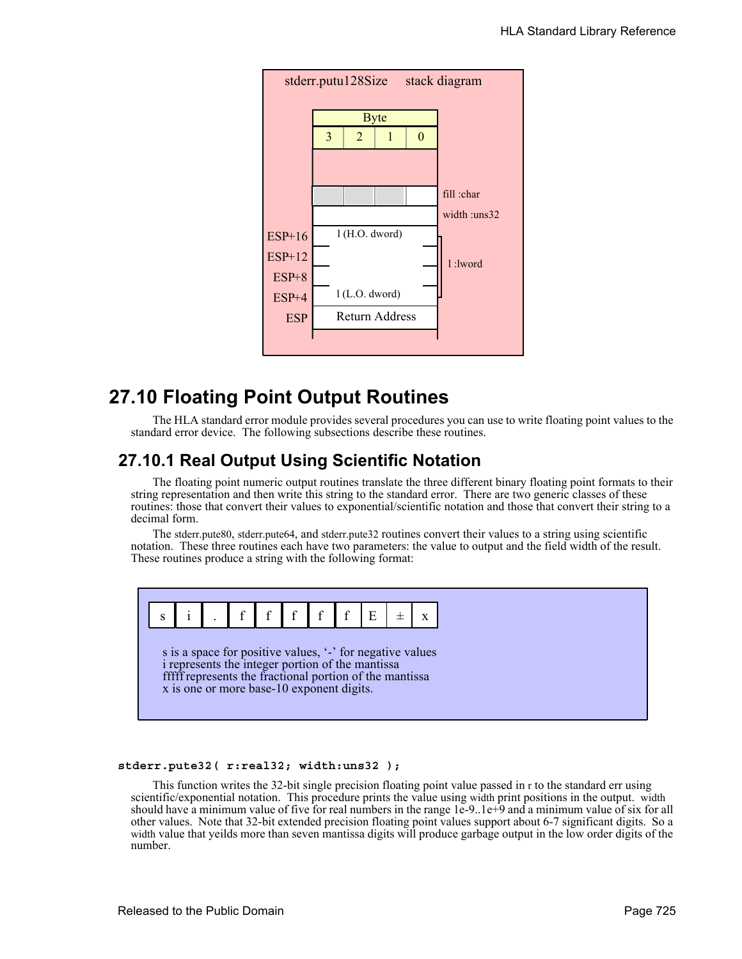

# **27.10 Floating Point Output Routines**

The HLA standard error module provides several procedures you can use to write floating point values to the standard error device. The following subsections describe these routines.

# **27.10.1 Real Output Using Scientific Notation**

The floating point numeric output routines translate the three different binary floating point formats to their string representation and then write this string to the standard error. There are two generic classes of these routines: those that convert their values to exponential/scientific notation and those that convert their string to a decimal form.

The stderr.pute80, stderr.pute64, and stderr.pute32 routines convert their values to a string using scientific notation. These three routines each have two parameters: the value to output and the field width of the result. These routines produce a string with the following format:



### **stderr.pute32( r:real32; width:uns32 );**

This function writes the 32-bit single precision floating point value passed in r to the standard err using scientific/exponential notation. This procedure prints the value using width print positions in the output. width should have a minimum value of five for real numbers in the range 1e-9..1e+9 and a minimum value of six for all other values. Note that 32-bit extended precision floating point values support about 6-7 significant digits. So a width value that yeilds more than seven mantissa digits will produce garbage output in the low order digits of the number.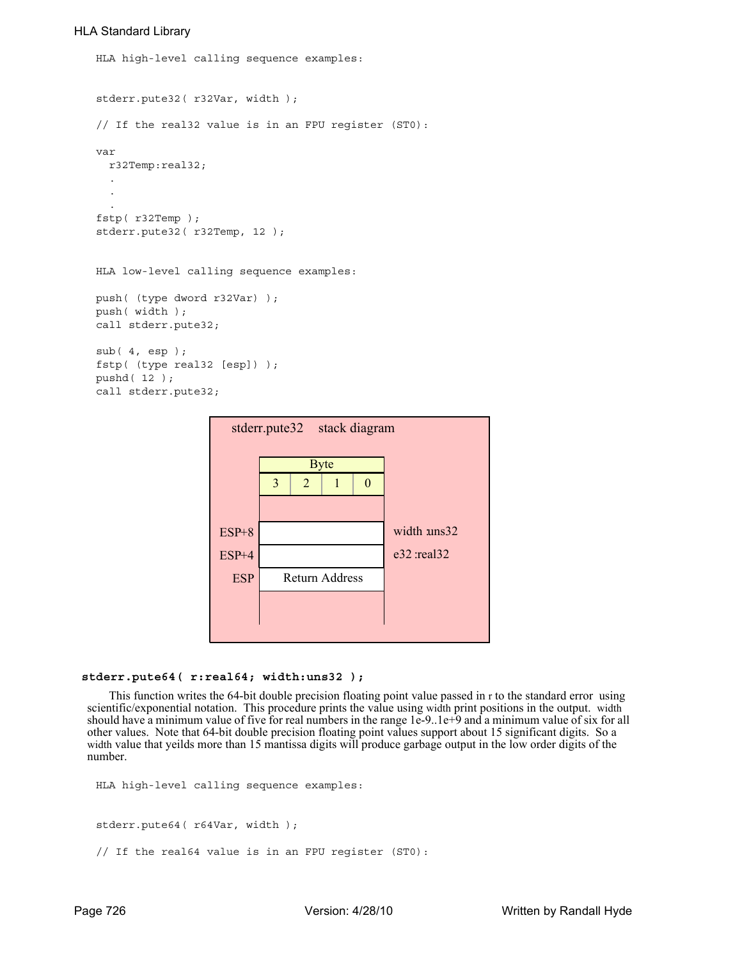```
HLA high-level calling sequence examples:
stderr.pute32( r32Var, width );
// If the real32 value is in an FPU register (ST0):
var
  r32Temp:real32;
  .
  .
  .
fstp( r32Temp );
stderr.pute32( r32Temp, 12 );
HLA low-level calling sequence examples:
push( (type dword r32Var) );
push( width );
call stderr.pute32;
sub( 4, esp );
fstp( (type real32 [esp]) );
pushd( 12 );
call stderr.pute32;
```

| stderr.pute32<br>stack diagram |   |                |                       |   |               |  |  |  |
|--------------------------------|---|----------------|-----------------------|---|---------------|--|--|--|
|                                |   |                | <b>Byte</b>           |   |               |  |  |  |
|                                | 3 | $\overline{2}$ | 1                     | 0 |               |  |  |  |
|                                |   |                |                       |   |               |  |  |  |
| $ESP+8$                        |   |                |                       |   | width uns32   |  |  |  |
| $ESP+4$                        |   |                |                       |   | e32 : real 32 |  |  |  |
| <b>ESP</b>                     |   |                | <b>Return Address</b> |   |               |  |  |  |
|                                |   |                |                       |   |               |  |  |  |
|                                |   |                |                       |   |               |  |  |  |

#### **stderr.pute64( r:real64; width:uns32 );**

This function writes the 64-bit double precision floating point value passed in r to the standard error using scientific/exponential notation. This procedure prints the value using width print positions in the output. width should have a minimum value of five for real numbers in the range 1e-9..1e+9 and a minimum value of six for all other values. Note that 64-bit double precision floating point values support about 15 significant digits. So a width value that yeilds more than 15 mantissa digits will produce garbage output in the low order digits of the number.

```
HLA high-level calling sequence examples:
stderr.pute64( r64Var, width );
// If the real64 value is in an FPU register (ST0):
```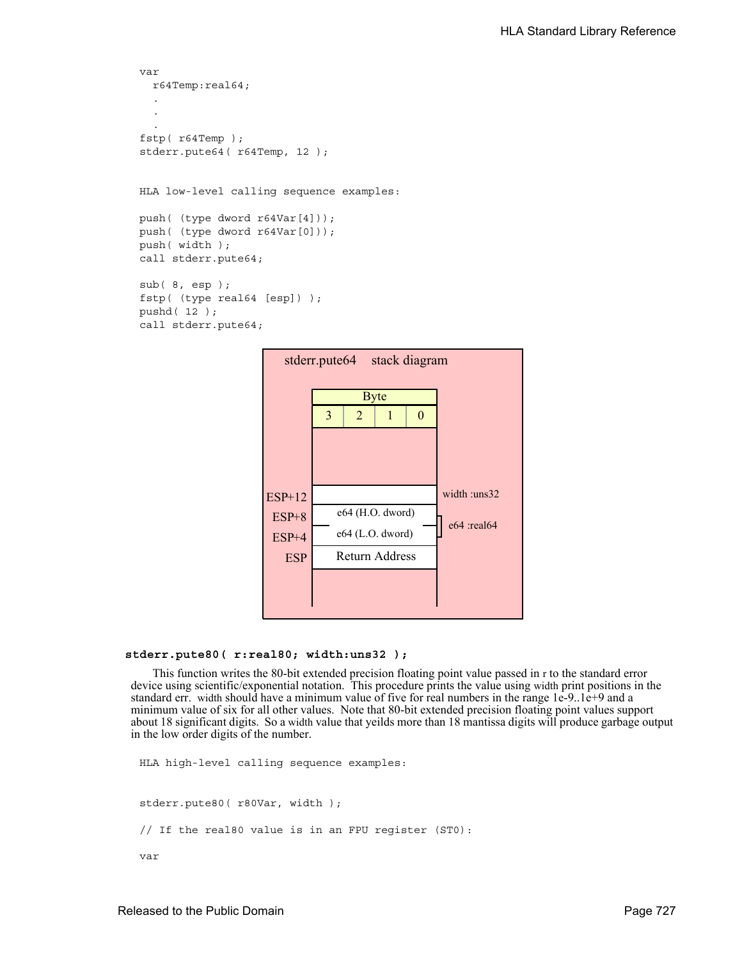```
var
  r64Temp:real64;
  .
  .
  .
fstp( r64Temp );
stderr.pute64( r64Temp, 12 );
HLA low-level calling sequence examples:
push( (type dword r64Var[4]));
push( (type dword r64Var[0]));
push( width );
call stderr.pute64;
sub( 8, esp );
fstp( (type real64 [esp]) );
pushd( 12 );
call stderr.pute64;
```


#### **stderr.pute80( r:real80; width:uns32 );**

This function writes the 80-bit extended precision floating point value passed in r to the standard error device using scientific/exponential notation. This procedure prints the value using width print positions in the standard err. width should have a minimum value of five for real numbers in the range 1e-9..1e+9 and a minimum value of six for all other values. Note that 80-bit extended precision floating point values support about 18 significant digits. So a width value that yeilds more than 18 mantissa digits will produce garbage output in the low order digits of the number.

```
HLA high-level calling sequence examples:
stderr.pute80( r80Var, width );
// If the real80 value is in an FPU register (ST0):
var
```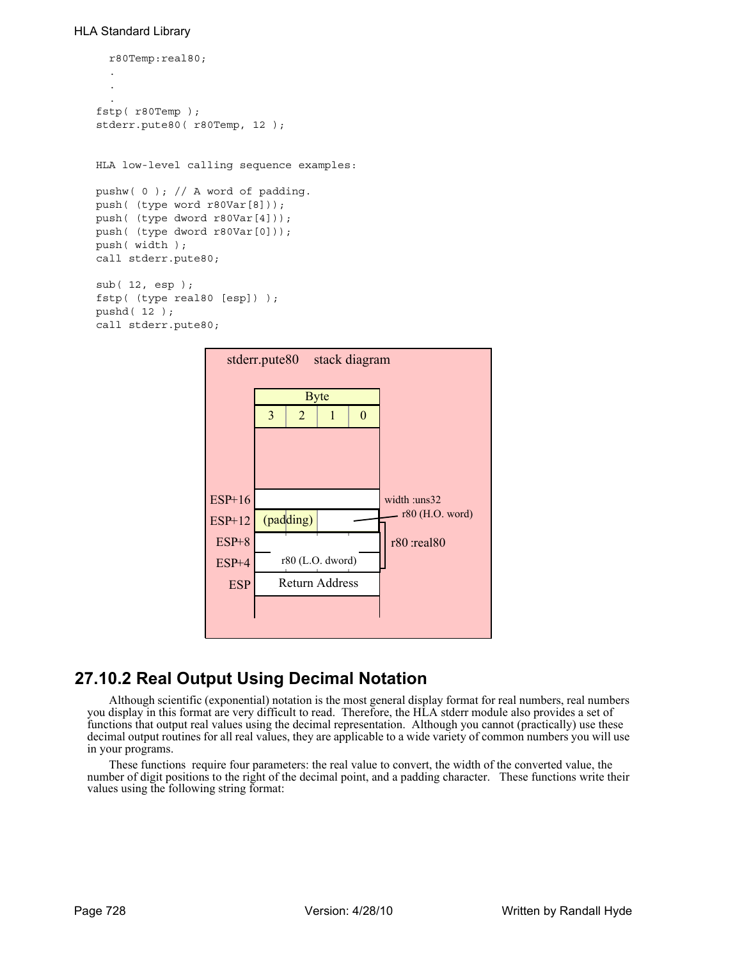```
r80Temp:real80;
  .
  .
  .
fstp( r80Temp );
stderr.pute80( r80Temp, 12 );
HLA low-level calling sequence examples:
pushw( 0 ); // A word of padding.
push( (type word r80Var[8]));
push( (type dword r80Var[4]));
push( (type dword r80Var[0]));
push( width );
call stderr.pute80;
sub( 12, esp );
fstp( (type real80 [esp]) );
pushd( 12 );
call stderr.pute80;
```


# **27.10.2 Real Output Using Decimal Notation**

Although scientific (exponential) notation is the most general display format for real numbers, real numbers you display in this format are very difficult to read. Therefore, the HLA stderr module also provides a set of functions that output real values using the decimal representation. Although you cannot (practically) use these decimal output routines for all real values, they are applicable to a wide variety of common numbers you will use in your programs.

These functions require four parameters: the real value to convert, the width of the converted value, the number of digit positions to the right of the decimal point, and a padding character. These functions write their values using the following string format: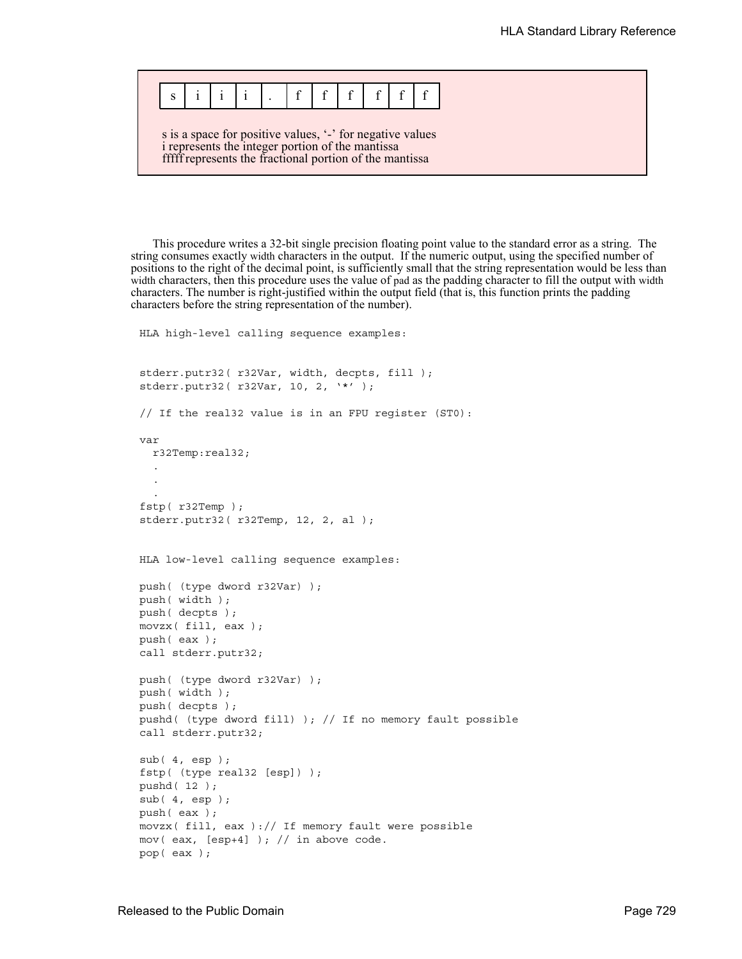| $s \mid i \mid i \mid i$ |  |  |  |  |  |
|--------------------------|--|--|--|--|--|

s is a space for positive values, '-' for negative values i represents the integer portion of the mantissa fffff represents the fractional portion of the mantissa

This procedure writes a 32-bit single precision floating point value to the standard error as a string. The string consumes exactly width characters in the output. If the numeric output, using the specified number of positions to the right of the decimal point, is sufficiently small that the string representation would be less than width characters, then this procedure uses the value of pad as the padding character to fill the output with width characters. The number is right-justified within the output field (that is, this function prints the padding characters before the string representation of the number).

```
HLA high-level calling sequence examples:
stderr.putr32( r32Var, width, decpts, fill );
stderr.putr32( r32Var, 10, 2, '*' );
// If the real32 value is in an FPU register (ST0):
var
  r32Temp:real32;
  .
  .
  .
fstp( r32Temp );
stderr.putr32( r32Temp, 12, 2, al );
HLA low-level calling sequence examples:
push( (type dword r32Var) );
push( width );
push( decpts );
movzx( fill, eax );
push( eax );
call stderr.putr32;
push( (type dword r32Var) );
push( width );
push( decpts );
pushd( (type dword fill) ); // If no memory fault possible
call stderr.putr32;
sub( 4, esp );
fstp( (type real32 [esp]) );
pushd( 12 );
sub( 4, esp );
push( eax );
movzx( fill, eax ):// If memory fault were possible
mov( eax, [esp+4] ); // in above code.
pop( eax );
```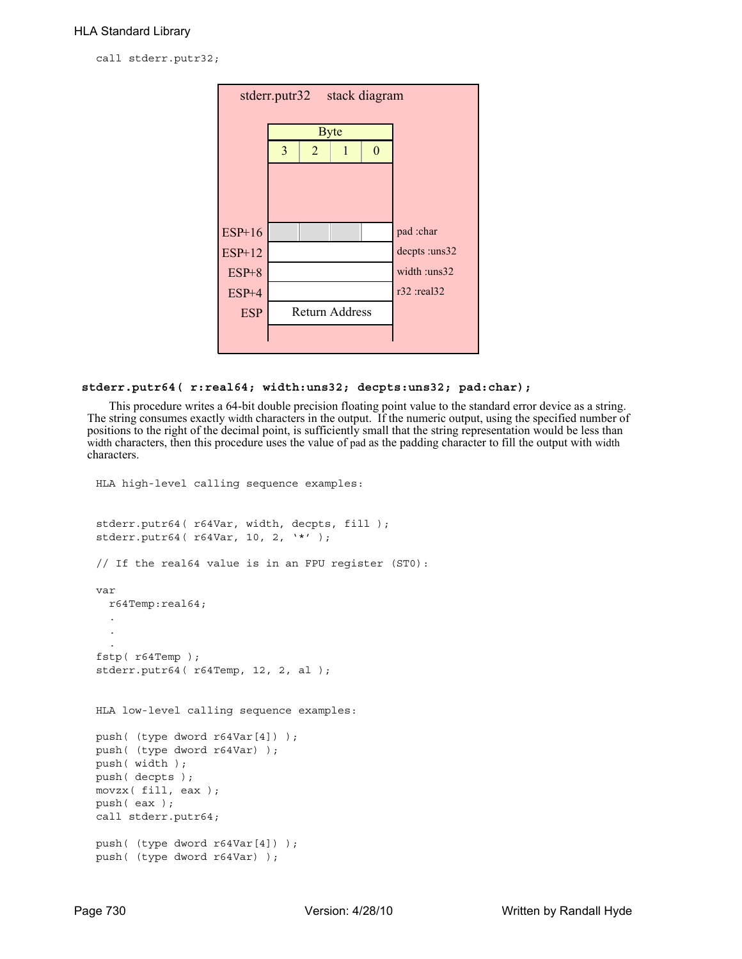call stderr.putr32;

| stack diagram<br>stderr.putr32 |   |                |                |   |                   |  |  |
|--------------------------------|---|----------------|----------------|---|-------------------|--|--|
|                                |   | <b>Byte</b>    |                |   |                   |  |  |
|                                | 3 | $\overline{2}$ | 1              | 0 |                   |  |  |
|                                |   |                |                |   |                   |  |  |
|                                |   |                |                |   |                   |  |  |
|                                |   |                |                |   |                   |  |  |
| $ESP+16$                       |   |                |                |   | pad :char         |  |  |
| ESP+12                         |   |                |                |   | decpts :uns32     |  |  |
| $ESP+8$                        |   |                |                |   | width :uns32      |  |  |
| $ESP+4$                        |   |                |                |   | $r32$ : real $32$ |  |  |
| <b>ESP</b>                     |   |                | Return Address |   |                   |  |  |
|                                |   |                |                |   |                   |  |  |
|                                |   |                |                |   |                   |  |  |

# **stderr.putr64( r:real64; width:uns32; decpts:uns32; pad:char);**

This procedure writes a 64-bit double precision floating point value to the standard error device as a string. The string consumes exactly width characters in the output. If the numeric output, using the specified number of positions to the right of the decimal point, is sufficiently small that the string representation would be less than width characters, then this procedure uses the value of pad as the padding character to fill the output with width characters.

```
HLA high-level calling sequence examples:
stderr.putr64( r64Var, width, decpts, fill );
stderr.putr64( r64Var, 10, 2, '*' );
// If the real64 value is in an FPU register (ST0):
var
 r64Temp:real64;
  .
  .
  .
fstp( r64Temp );
stderr.putr64( r64Temp, 12, 2, al );
HLA low-level calling sequence examples:
push( (type dword r64Var[4]) );
push( (type dword r64Var) );
push( width );
push( decpts );
movzx( fill, eax );
push( eax );
call stderr.putr64;
push( (type dword r64Var[4]) );
push( (type dword r64Var) );
```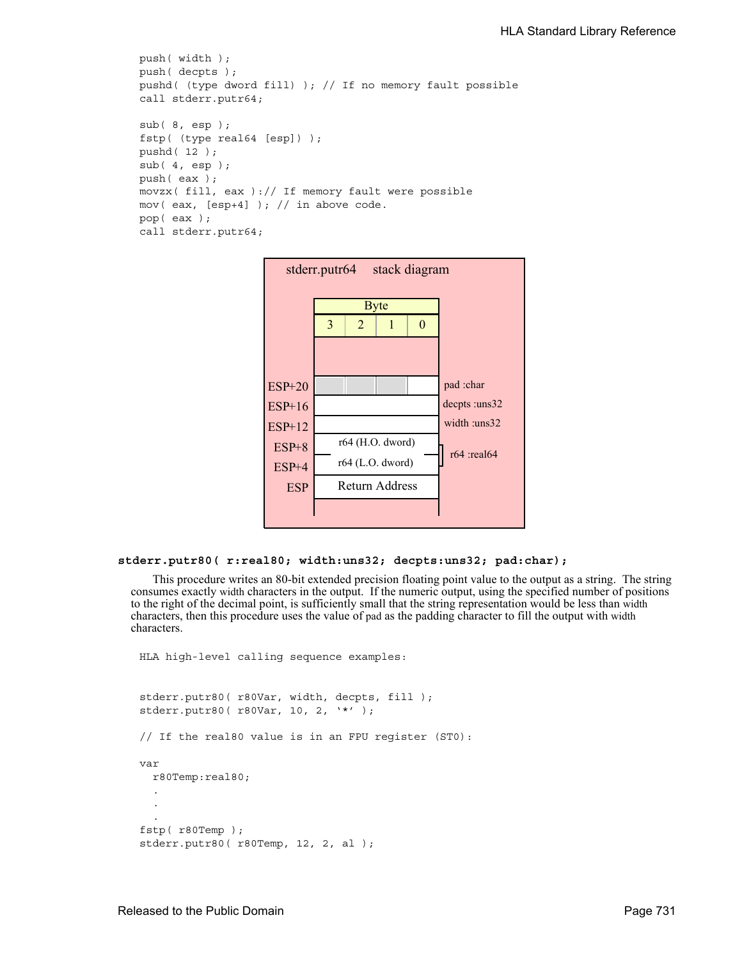```
push( width );
push( decpts );
pushd( (type dword fill) ); // If no memory fault possible
call stderr.putr64;
sub( 8, esp );
fstp( (type real64 [esp]) );
pushd( 12 );
sub(4, esp);push( eax );
movzx( fill, eax ):// If memory fault were possible
mov( eax, [esp+4] ); // in above code.
pop( eax );
call stderr.putr64;
```


### **stderr.putr80( r:real80; width:uns32; decpts:uns32; pad:char);**

This procedure writes an 80-bit extended precision floating point value to the output as a string. The string consumes exactly width characters in the output. If the numeric output, using the specified number of positions to the right of the decimal point, is sufficiently small that the string representation would be less than width characters, then this procedure uses the value of pad as the padding character to fill the output with width characters.

```
HLA high-level calling sequence examples:
stderr.putr80( r80Var, width, decpts, fill );
stderr.putr80( r80Var, 10, 2, '*' );
// If the real80 value is in an FPU register (ST0):
var
  r80Temp:real80;
  .
  .
  .
fstp( r80Temp );
stderr.putr80( r80Temp, 12, 2, al );
```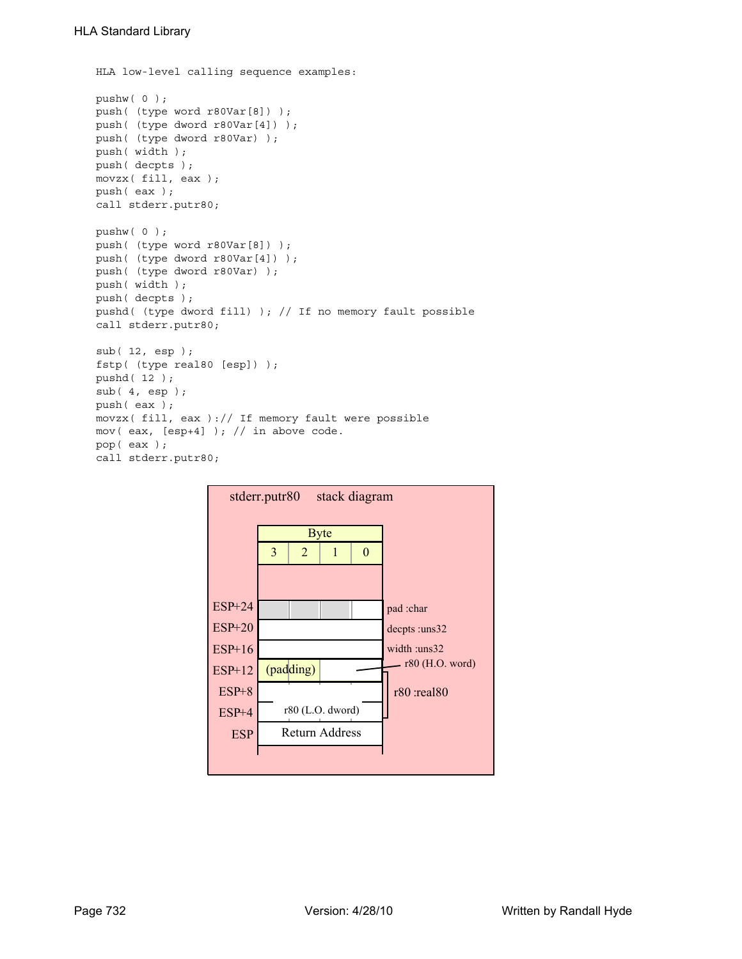```
HLA low-level calling sequence examples:
pushw( 0 );
push( (type word r80Var[8]) );
push( (type dword r80Var[4]) );
push( (type dword r80Var) );
push( width );
push( decpts );
movzx( fill, eax );
push( eax );
call stderr.putr80;
pushw( 0 );
push( (type word r80Var[8]) );
push( (type dword r80Var[4]) );
push( (type dword r80Var) );
push( width );
push( decpts );
pushd( (type dword fill) ); // If no memory fault possible
call stderr.putr80;
sub( 12, esp );
fstp( (type real80 [esp]) );
pushd( 12 );
sub( 4, esp );
push( eax );
movzx( fill, eax ):// If memory fault were possible
mov( eax, [esp+4] ); // in above code.
pop( eax );
call stderr.putr80;
```